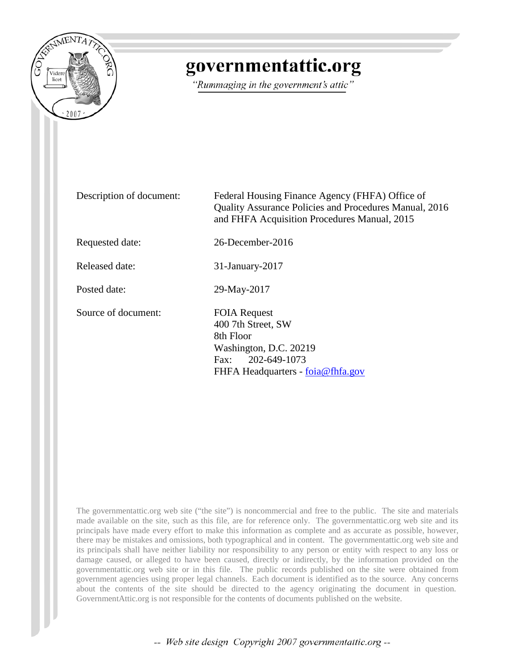

# governmentattic.org

"Rummaging in the government's attic"

Description of document: Federal Housing Finance Agency (FHFA) Office of Quality Assurance Policies and Procedures Manual, 2016 and FHFA Acquisition Procedures Manual, 2015 Requested date: 26-December-2016 Released date: 31-January-2017 Posted date: 29-May-2017 Source of document: FOIA Request 400 7th Street, SW 8th Floor Washington, D.C. 20219 Fax: 202-649-1073 FHFA Headquarters - <u>[foia@fhfa.gov](mailto:foia@fhfa.gov)</u>

The governmentattic.org web site ("the site") is noncommercial and free to the public. The site and materials made available on the site, such as this file, are for reference only. The governmentattic.org web site and its principals have made every effort to make this information as complete and as accurate as possible, however, there may be mistakes and omissions, both typographical and in content. The governmentattic.org web site and its principals shall have neither liability nor responsibility to any person or entity with respect to any loss or damage caused, or alleged to have been caused, directly or indirectly, by the information provided on the governmentattic.org web site or in this file. The public records published on the site were obtained from government agencies using proper legal channels. Each document is identified as to the source. Any concerns about the contents of the site should be directed to the agency originating the document in question. GovernmentAttic.org is not responsible for the contents of documents published on the website.

-- Web site design Copyright 2007 governmentattic.org --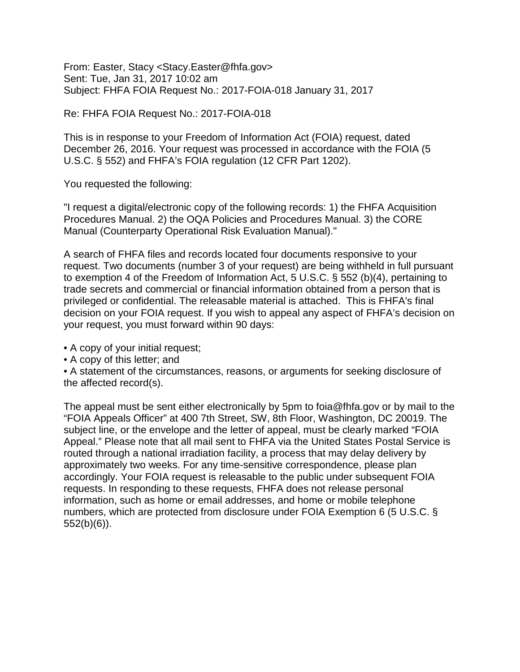From: Easter, Stacy <Stacy.Easter@fhfa.gov> Sent: Tue, Jan 31, 2017 10:02 am Subject: FHFA FOIA Request No.: 2017-FOIA-018 January 31, 2017

Re: FHFA FOIA Request No.: 2017-FOIA-018

This is in response to your Freedom of Information Act (FOIA) request, dated December 26, 2016. Your request was processed in accordance with the FOIA (5 U.S.C. § 552) and FHFA's FOIA regulation (12 CFR Part 1202).

You requested the following:

"I request a digital/electronic copy of the following records: 1) the FHFA Acquisition Procedures Manual. 2) the OQA Policies and Procedures Manual. 3) the CORE Manual (Counterparty Operational Risk Evaluation Manual)."

A search of FHFA files and records located four documents responsive to your request. Two documents (number 3 of your request) are being withheld in full pursuant to exemption 4 of the Freedom of Information Act, 5 U.S.C. § 552 (b)(4), pertaining to trade secrets and commercial or financial information obtained from a person that is privileged or confidential. The releasable material is attached. This is FHFA's final decision on your FOIA request. If you wish to appeal any aspect of FHFA's decision on your request, you must forward within 90 days:

- A copy of your initial request;
- A copy of this letter; and

• A statement of the circumstances, reasons, or arguments for seeking disclosure of the affected record(s).

The appeal must be sent either electronically by 5pm to foia@fhfa.gov or by mail to the "FOIA Appeals Officer" at 400 7th Street, SW, 8th Floor, Washington, DC 20019. The subject line, or the envelope and the letter of appeal, must be clearly marked "FOIA Appeal." Please note that all mail sent to FHFA via the United States Postal Service is routed through a national irradiation facility, a process that may delay delivery by approximately two weeks. For any time-sensitive correspondence, please plan accordingly. Your FOIA request is releasable to the public under subsequent FOIA requests. In responding to these requests, FHFA does not release personal information, such as home or email addresses, and home or mobile telephone numbers, which are protected from disclosure under FOIA Exemption 6 (5 U.S.C. § 552(b)(6)).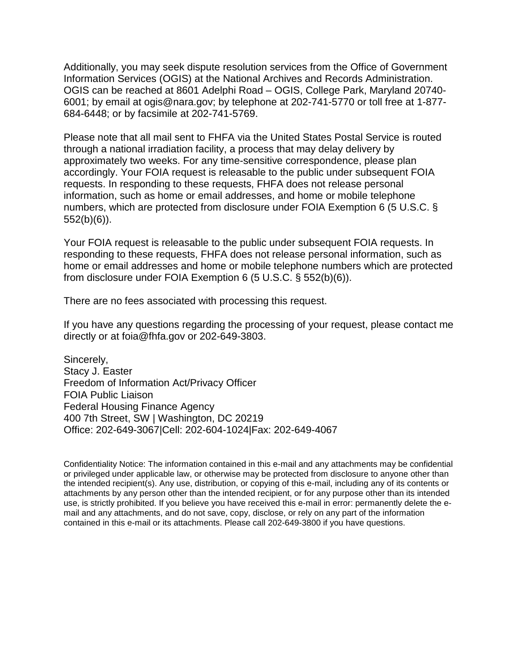Additionally, you may seek dispute resolution services from the Office of Government Information Services (OGIS) at the National Archives and Records Administration. OGIS can be reached at 8601 Adelphi Road – OGIS, College Park, Maryland 20740- 6001; by email at ogis@nara.gov; by telephone at 202-741-5770 or toll free at 1-877- 684-6448; or by facsimile at 202-741-5769.

Please note that all mail sent to FHFA via the United States Postal Service is routed through a national irradiation facility, a process that may delay delivery by approximately two weeks. For any time-sensitive correspondence, please plan accordingly. Your FOIA request is releasable to the public under subsequent FOIA requests. In responding to these requests, FHFA does not release personal information, such as home or email addresses, and home or mobile telephone numbers, which are protected from disclosure under FOIA Exemption 6 (5 U.S.C. § 552(b)(6)).

Your FOIA request is releasable to the public under subsequent FOIA requests. In responding to these requests, FHFA does not release personal information, such as home or email addresses and home or mobile telephone numbers which are protected from disclosure under FOIA Exemption 6 (5 U.S.C. § 552(b)(6)).

There are no fees associated with processing this request.

If you have any questions regarding the processing of your request, please contact me directly or at foia@fhfa.gov or 202-649-3803.

Sincerely, Stacy J. Easter Freedom of Information Act/Privacy Officer FOIA Public Liaison Federal Housing Finance Agency 400 7th Street, SW | Washington, DC 20219 Office: 202-649-3067|Cell: 202-604-1024|Fax: 202-649-4067

Confidentiality Notice: The information contained in this e-mail and any attachments may be confidential or privileged under applicable law, or otherwise may be protected from disclosure to anyone other than the intended recipient(s). Any use, distribution, or copying of this e-mail, including any of its contents or attachments by any person other than the intended recipient, or for any purpose other than its intended use, is strictly prohibited. If you believe you have received this e-mail in error: permanently delete the email and any attachments, and do not save, copy, disclose, or rely on any part of the information contained in this e-mail or its attachments. Please call 202-649-3800 if you have questions.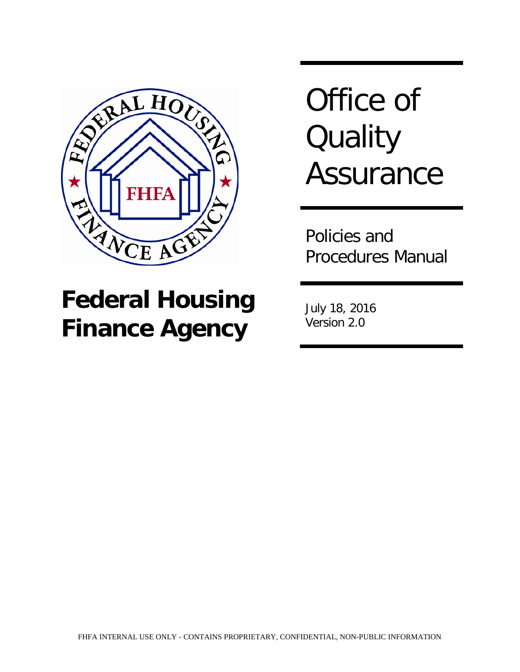

# **Federal Housing Finance Agency**

Office of **Quality Assurance** 

Policies and Procedures Manual

July 18, 2016 Version 2.0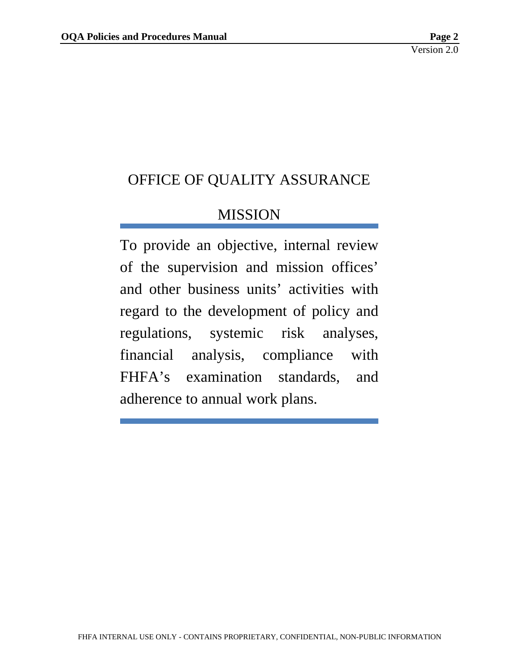# OFFICE OF QUALITY ASSURANCE

# MISSION

To provide an objective, internal review of the supervision and mission offices' and other business units' activities with regard to the development of policy and regulations, systemic risk analyses, financial analysis, compliance with FHFA's examination standards, and adherence to annual work plans.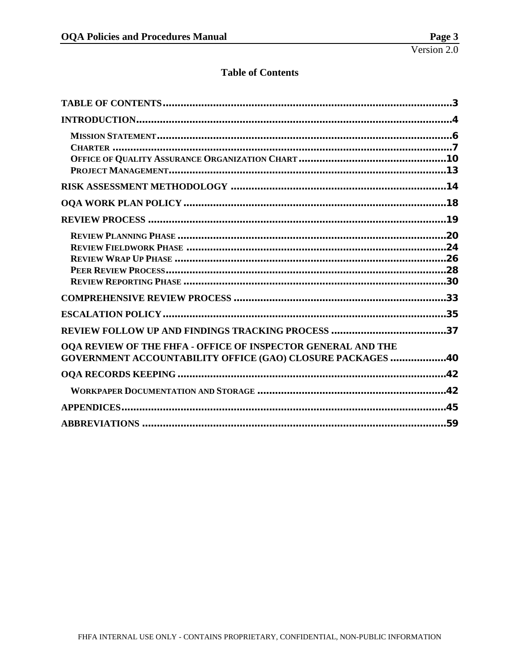#### **Table of Contents**

<span id="page-5-0"></span>

| OQA REVIEW OF THE FHFA - OFFICE OF INSPECTOR GENERAL AND THE<br><b>GOVERNMENT ACCOUNTABILITY OFFICE (GAO) CLOSURE PACKAGES 40</b> |  |
|-----------------------------------------------------------------------------------------------------------------------------------|--|
|                                                                                                                                   |  |
|                                                                                                                                   |  |
|                                                                                                                                   |  |
|                                                                                                                                   |  |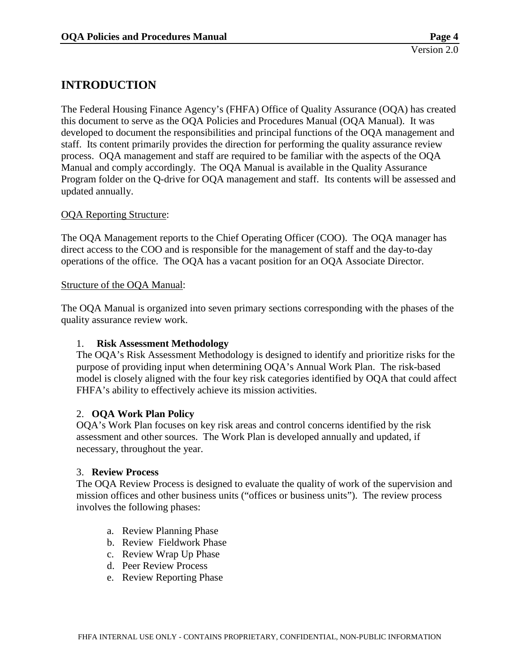## <span id="page-6-0"></span>**INTRODUCTION**

The Federal Housing Finance Agency's (FHFA) Office of Quality Assurance (OQA) has created this document to serve as the OQA Policies and Procedures Manual (OQA Manual). It was developed to document the responsibilities and principal functions of the OQA management and staff. Its content primarily provides the direction for performing the quality assurance review process. OQA management and staff are required to be familiar with the aspects of the OQA Manual and comply accordingly. The OQA Manual is available in the Quality Assurance Program folder on the Q-drive for OQA management and staff. Its contents will be assessed and updated annually.

#### OQA Reporting Structure:

The OQA Management reports to the Chief Operating Officer (COO). The OQA manager has direct access to the COO and is responsible for the management of staff and the day-to-day operations of the office. The OQA has a vacant position for an OQA Associate Director.

#### Structure of the OQA Manual:

The OQA Manual is organized into seven primary sections corresponding with the phases of the quality assurance review work.

#### 1. **Risk Assessment Methodology**

The OQA's Risk Assessment Methodology is designed to identify and prioritize risks for the purpose of providing input when determining OQA's Annual Work Plan. The risk-based model is closely aligned with the four key risk categories identified by OQA that could affect FHFA's ability to effectively achieve its mission activities.

#### 2. **OQA Work Plan Policy**

OQA's Work Plan focuses on key risk areas and control concerns identified by the risk assessment and other sources. The Work Plan is developed annually and updated, if necessary, throughout the year.

#### 3. **Review Process**

The OQA Review Process is designed to evaluate the quality of work of the supervision and mission offices and other business units ("offices or business units"). The review process involves the following phases:

- a. Review Planning Phase
- b. Review Fieldwork Phase
- c. Review Wrap Up Phase
- d. Peer Review Process
- e. Review Reporting Phase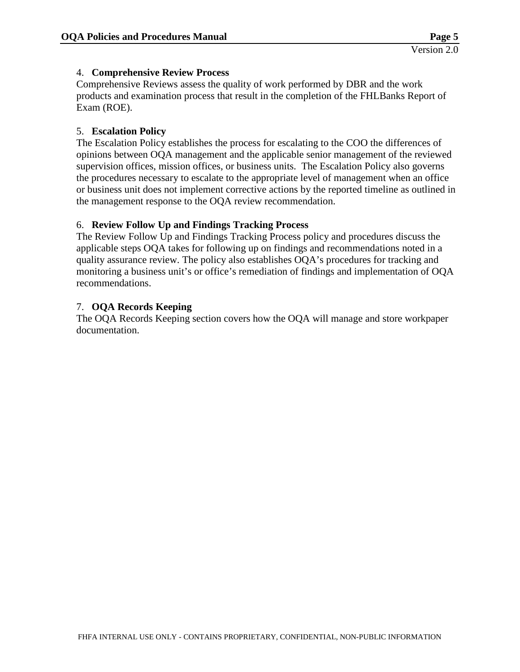#### 4. **Comprehensive Review Process**

Comprehensive Reviews assess the quality of work performed by DBR and the work products and examination process that result in the completion of the FHLBanks Report of Exam (ROE).

#### 5. **Escalation Policy**

The Escalation Policy establishes the process for escalating to the COO the differences of opinions between OQA management and the applicable senior management of the reviewed supervision offices, mission offices, or business units. The Escalation Policy also governs the procedures necessary to escalate to the appropriate level of management when an office or business unit does not implement corrective actions by the reported timeline as outlined in the management response to the OQA review recommendation.

#### 6. **Review Follow Up and Findings Tracking Process**

The Review Follow Up and Findings Tracking Process policy and procedures discuss the applicable steps OQA takes for following up on findings and recommendations noted in a quality assurance review. The policy also establishes OQA's procedures for tracking and monitoring a business unit's or office's remediation of findings and implementation of OQA recommendations.

#### 7. **OQA Records Keeping**

The OQA Records Keeping section covers how the OQA will manage and store workpaper documentation.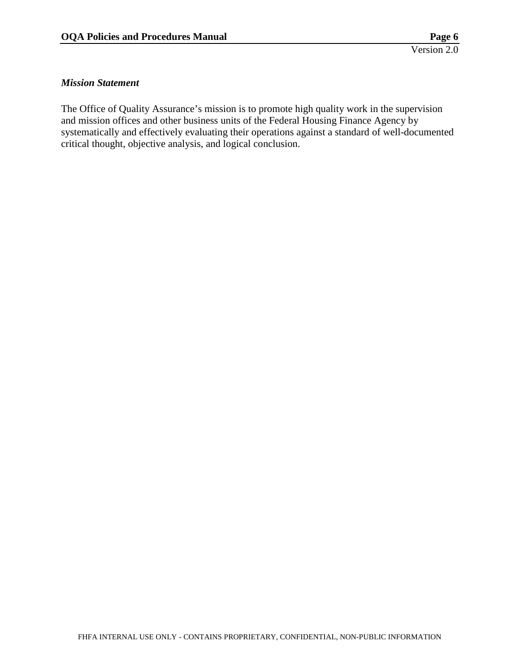#### <span id="page-8-0"></span>*Mission Statement*

The Office of Quality Assurance's mission is to promote high quality work in the supervision and mission offices and other business units of the Federal Housing Finance Agency by systematically and effectively evaluating their operations against a standard of well-documented critical thought, objective analysis, and logical conclusion.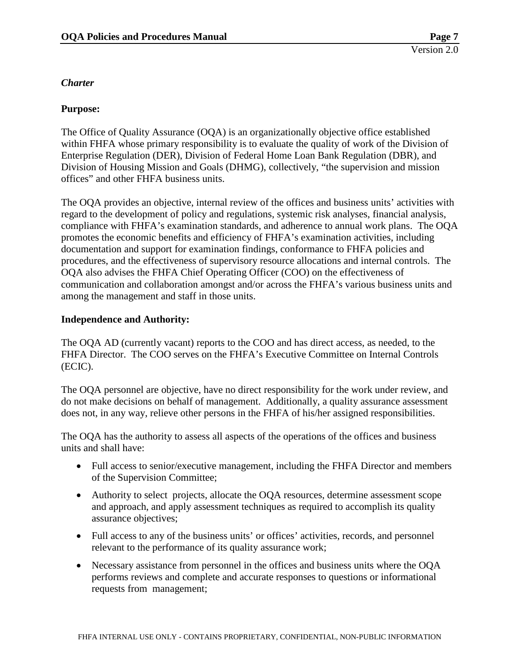#### <span id="page-9-0"></span>*Charter*

#### **Purpose:**

The Office of Quality Assurance (OQA) is an organizationally objective office established within FHFA whose primary responsibility is to evaluate the quality of work of the Division of Enterprise Regulation (DER), Division of Federal Home Loan Bank Regulation (DBR), and Division of Housing Mission and Goals (DHMG), collectively, "the supervision and mission offices" and other FHFA business units.

The OQA provides an objective, internal review of the offices and business units' activities with regard to the development of policy and regulations, systemic risk analyses, financial analysis, compliance with FHFA's examination standards, and adherence to annual work plans. The OQA promotes the economic benefits and efficiency of FHFA's examination activities, including documentation and support for examination findings, conformance to FHFA policies and procedures, and the effectiveness of supervisory resource allocations and internal controls. The OQA also advises the FHFA Chief Operating Officer (COO) on the effectiveness of communication and collaboration amongst and/or across the FHFA's various business units and among the management and staff in those units.

#### **Independence and Authority:**

The OQA AD (currently vacant) reports to the COO and has direct access, as needed, to the FHFA Director. The COO serves on the FHFA's Executive Committee on Internal Controls (ECIC).

The OQA personnel are objective, have no direct responsibility for the work under review, and do not make decisions on behalf of management. Additionally, a quality assurance assessment does not, in any way, relieve other persons in the FHFA of his/her assigned responsibilities.

The OQA has the authority to assess all aspects of the operations of the offices and business units and shall have:

- Full access to senior/executive management, including the FHFA Director and members of the Supervision Committee;
- Authority to select projects, allocate the OQA resources, determine assessment scope and approach, and apply assessment techniques as required to accomplish its quality assurance objectives;
- Full access to any of the business units' or offices' activities, records, and personnel relevant to the performance of its quality assurance work;
- Necessary assistance from personnel in the offices and business units where the OQA performs reviews and complete and accurate responses to questions or informational requests from management;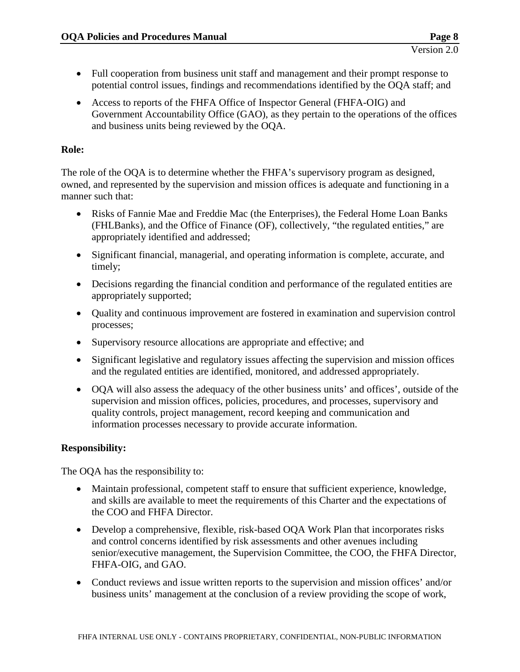- Full cooperation from business unit staff and management and their prompt response to potential control issues, findings and recommendations identified by the OQA staff; and
- Access to reports of the FHFA Office of Inspector General (FHFA-OIG) and Government Accountability Office (GAO), as they pertain to the operations of the offices and business units being reviewed by the OQA.

#### **Role:**

The role of the OQA is to determine whether the FHFA's supervisory program as designed, owned, and represented by the supervision and mission offices is adequate and functioning in a manner such that:

- Risks of Fannie Mae and Freddie Mac (the Enterprises), the Federal Home Loan Banks (FHLBanks), and the Office of Finance (OF), collectively, "the regulated entities," are appropriately identified and addressed;
- Significant financial, managerial, and operating information is complete, accurate, and timely;
- Decisions regarding the financial condition and performance of the regulated entities are appropriately supported;
- Quality and continuous improvement are fostered in examination and supervision control processes;
- Supervisory resource allocations are appropriate and effective; and
- Significant legislative and regulatory issues affecting the supervision and mission offices and the regulated entities are identified, monitored, and addressed appropriately.
- OQA will also assess the adequacy of the other business units' and offices', outside of the supervision and mission offices, policies, procedures, and processes, supervisory and quality controls, project management, record keeping and communication and information processes necessary to provide accurate information.

#### **Responsibility:**

The OQA has the responsibility to:

- Maintain professional, competent staff to ensure that sufficient experience, knowledge, and skills are available to meet the requirements of this Charter and the expectations of the COO and FHFA Director.
- Develop a comprehensive, flexible, risk-based OQA Work Plan that incorporates risks and control concerns identified by risk assessments and other avenues including senior/executive management, the Supervision Committee, the COO, the FHFA Director, FHFA-OIG, and GAO.
- Conduct reviews and issue written reports to the supervision and mission offices' and/or business units' management at the conclusion of a review providing the scope of work,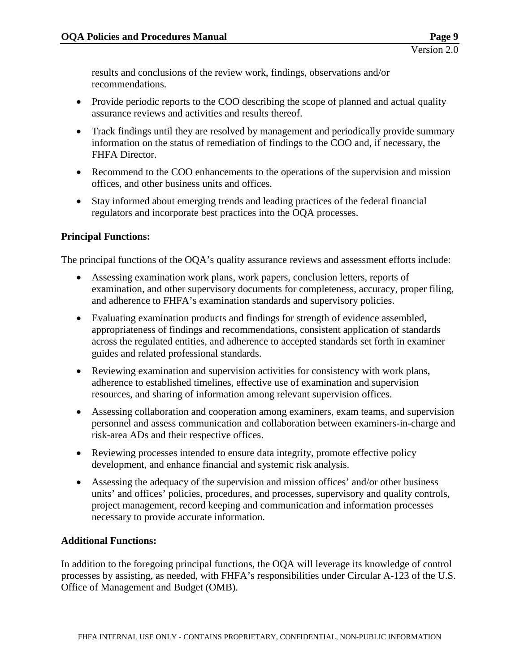results and conclusions of the review work, findings, observations and/or recommendations.

- Provide periodic reports to the COO describing the scope of planned and actual quality assurance reviews and activities and results thereof.
- Track findings until they are resolved by management and periodically provide summary information on the status of remediation of findings to the COO and, if necessary, the FHFA Director.
- Recommend to the COO enhancements to the operations of the supervision and mission offices, and other business units and offices.
- Stay informed about emerging trends and leading practices of the federal financial regulators and incorporate best practices into the OQA processes.

#### **Principal Functions:**

The principal functions of the OQA's quality assurance reviews and assessment efforts include:

- Assessing examination work plans, work papers, conclusion letters, reports of examination, and other supervisory documents for completeness, accuracy, proper filing, and adherence to FHFA's examination standards and supervisory policies.
- Evaluating examination products and findings for strength of evidence assembled, appropriateness of findings and recommendations, consistent application of standards across the regulated entities, and adherence to accepted standards set forth in examiner guides and related professional standards.
- Reviewing examination and supervision activities for consistency with work plans, adherence to established timelines, effective use of examination and supervision resources, and sharing of information among relevant supervision offices.
- Assessing collaboration and cooperation among examiners, exam teams, and supervision personnel and assess communication and collaboration between examiners-in-charge and risk-area ADs and their respective offices.
- Reviewing processes intended to ensure data integrity, promote effective policy development, and enhance financial and systemic risk analysis.
- Assessing the adequacy of the supervision and mission offices' and/or other business units' and offices' policies, procedures, and processes, supervisory and quality controls, project management, record keeping and communication and information processes necessary to provide accurate information.

#### **Additional Functions:**

In addition to the foregoing principal functions, the OQA will leverage its knowledge of control processes by assisting, as needed, with FHFA's responsibilities under Circular A-123 of the U.S. Office of Management and Budget (OMB).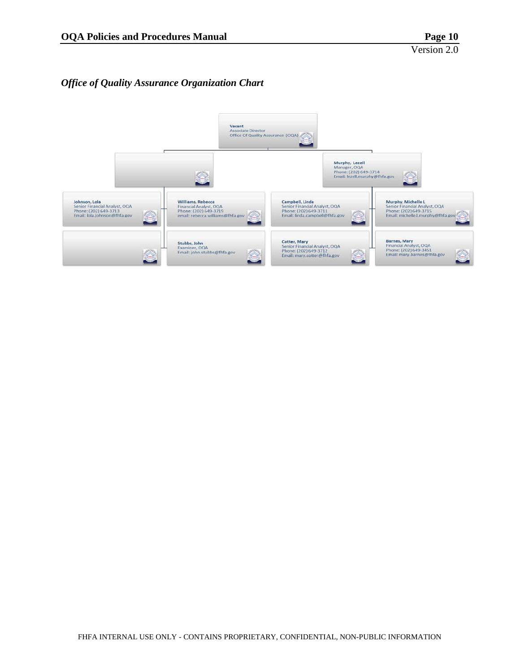#### <span id="page-12-0"></span>*Office of Quality Assurance Organization Chart*

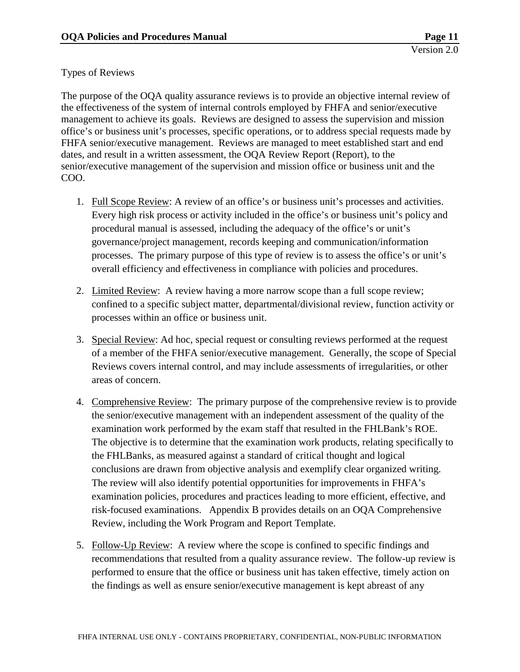#### Types of Reviews

The purpose of the OQA quality assurance reviews is to provide an objective internal review of the effectiveness of the system of internal controls employed by FHFA and senior/executive management to achieve its goals. Reviews are designed to assess the supervision and mission office's or business unit's processes, specific operations, or to address special requests made by FHFA senior/executive management. Reviews are managed to meet established start and end dates, and result in a written assessment, the OQA Review Report (Report), to the senior/executive management of the supervision and mission office or business unit and the COO.

- 1. Full Scope Review: A review of an office's or business unit's processes and activities. Every high risk process or activity included in the office's or business unit's policy and procedural manual is assessed, including the adequacy of the office's or unit's governance/project management, records keeping and communication/information processes. The primary purpose of this type of review is to assess the office's or unit's overall efficiency and effectiveness in compliance with policies and procedures.
- 2. Limited Review: A review having a more narrow scope than a full scope review; confined to a specific subject matter, departmental/divisional review, function activity or processes within an office or business unit.
- 3. Special Review: Ad hoc, special request or consulting reviews performed at the request of a member of the FHFA senior/executive management. Generally, the scope of Special Reviews covers internal control, and may include assessments of irregularities, or other areas of concern.
- 4. Comprehensive Review: The primary purpose of the comprehensive review is to provide the senior/executive management with an independent assessment of the quality of the examination work performed by the exam staff that resulted in the FHLBank's ROE. The objective is to determine that the examination work products, relating specifically to the FHLBanks, as measured against a standard of critical thought and logical conclusions are drawn from objective analysis and exemplify clear organized writing. The review will also identify potential opportunities for improvements in FHFA's examination policies, procedures and practices leading to more efficient, effective, and risk-focused examinations. Appendix B provides details on an OQA Comprehensive Review, including the Work Program and Report Template.
- 5. Follow-Up Review: A review where the scope is confined to specific findings and recommendations that resulted from a quality assurance review. The follow-up review is performed to ensure that the office or business unit has taken effective, timely action on the findings as well as ensure senior/executive management is kept abreast of any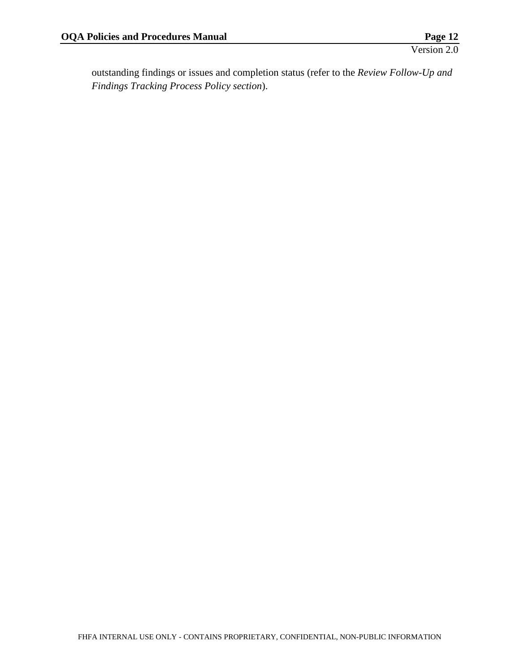outstanding findings or issues and completion status (refer to the *Review Follow-Up and Findings Tracking Process Policy section*).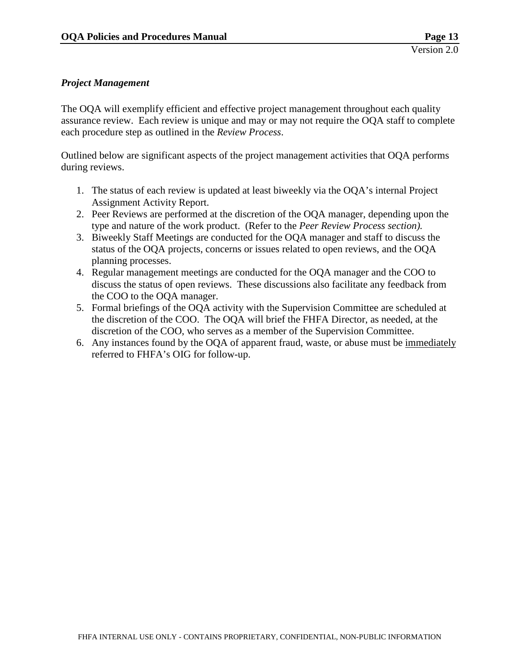#### <span id="page-15-0"></span>*Project Management*

The OQA will exemplify efficient and effective project management throughout each quality assurance review. Each review is unique and may or may not require the OQA staff to complete each procedure step as outlined in the *Review Process*.

Outlined below are significant aspects of the project management activities that OQA performs during reviews.

- 1. The status of each review is updated at least biweekly via the OQA's internal Project Assignment Activity Report.
- 2. Peer Reviews are performed at the discretion of the OQA manager, depending upon the type and nature of the work product. (Refer to the *Peer Review Process section).*
- 3. Biweekly Staff Meetings are conducted for the OQA manager and staff to discuss the status of the OQA projects, concerns or issues related to open reviews, and the OQA planning processes.
- 4. Regular management meetings are conducted for the OQA manager and the COO to discuss the status of open reviews. These discussions also facilitate any feedback from the COO to the OQA manager.
- 5. Formal briefings of the OQA activity with the Supervision Committee are scheduled at the discretion of the COO. The OQA will brief the FHFA Director, as needed, at the discretion of the COO, who serves as a member of the Supervision Committee.
- 6. Any instances found by the OQA of apparent fraud, waste, or abuse must be immediately referred to FHFA's OIG for follow-up.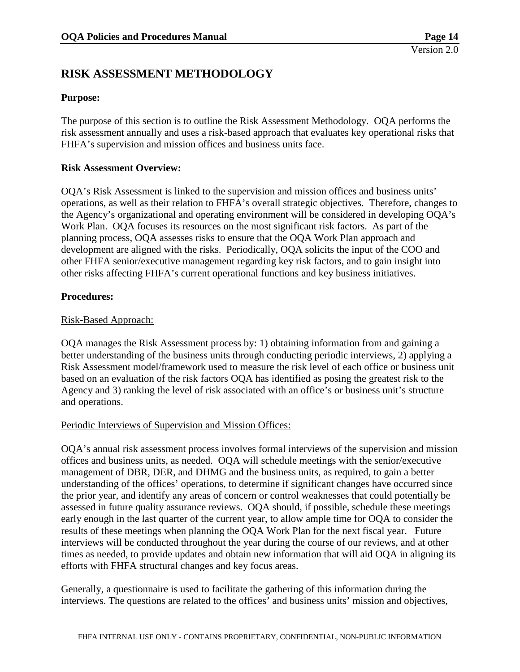## <span id="page-16-0"></span>**RISK ASSESSMENT METHODOLOGY**

#### **Purpose:**

The purpose of this section is to outline the Risk Assessment Methodology. OQA performs the risk assessment annually and uses a risk-based approach that evaluates key operational risks that FHFA's supervision and mission offices and business units face.

#### **Risk Assessment Overview:**

OQA's Risk Assessment is linked to the supervision and mission offices and business units' operations, as well as their relation to FHFA's overall strategic objectives. Therefore, changes to the Agency's organizational and operating environment will be considered in developing OQA's Work Plan. OQA focuses its resources on the most significant risk factors. As part of the planning process, OQA assesses risks to ensure that the OQA Work Plan approach and development are aligned with the risks. Periodically, OQA solicits the input of the COO and other FHFA senior/executive management regarding key risk factors, and to gain insight into other risks affecting FHFA's current operational functions and key business initiatives.

#### **Procedures:**

#### Risk-Based Approach:

OQA manages the Risk Assessment process by: 1) obtaining information from and gaining a better understanding of the business units through conducting periodic interviews, 2) applying a Risk Assessment model/framework used to measure the risk level of each office or business unit based on an evaluation of the risk factors OQA has identified as posing the greatest risk to the Agency and 3) ranking the level of risk associated with an office's or business unit's structure and operations.

#### Periodic Interviews of Supervision and Mission Offices:

OQA's annual risk assessment process involves formal interviews of the supervision and mission offices and business units, as needed. OQA will schedule meetings with the senior/executive management of DBR, DER, and DHMG and the business units, as required, to gain a better understanding of the offices' operations, to determine if significant changes have occurred since the prior year, and identify any areas of concern or control weaknesses that could potentially be assessed in future quality assurance reviews. OQA should, if possible, schedule these meetings early enough in the last quarter of the current year, to allow ample time for OQA to consider the results of these meetings when planning the OQA Work Plan for the next fiscal year. Future interviews will be conducted throughout the year during the course of our reviews, and at other times as needed, to provide updates and obtain new information that will aid OQA in aligning its efforts with FHFA structural changes and key focus areas.

Generally, a questionnaire is used to facilitate the gathering of this information during the interviews. The questions are related to the offices' and business units' mission and objectives,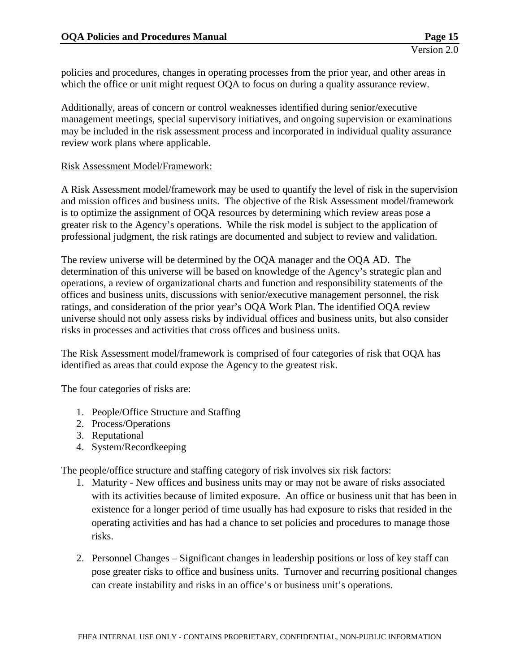policies and procedures, changes in operating processes from the prior year, and other areas in which the office or unit might request OQA to focus on during a quality assurance review.

Additionally, areas of concern or control weaknesses identified during senior/executive management meetings, special supervisory initiatives, and ongoing supervision or examinations may be included in the risk assessment process and incorporated in individual quality assurance review work plans where applicable.

#### Risk Assessment Model/Framework:

A Risk Assessment model/framework may be used to quantify the level of risk in the supervision and mission offices and business units. The objective of the Risk Assessment model/framework is to optimize the assignment of OQA resources by determining which review areas pose a greater risk to the Agency's operations. While the risk model is subject to the application of professional judgment, the risk ratings are documented and subject to review and validation.

The review universe will be determined by the OQA manager and the OQA AD. The determination of this universe will be based on knowledge of the Agency's strategic plan and operations, a review of organizational charts and function and responsibility statements of the offices and business units, discussions with senior/executive management personnel, the risk ratings, and consideration of the prior year's OQA Work Plan. The identified OQA review universe should not only assess risks by individual offices and business units, but also consider risks in processes and activities that cross offices and business units.

The Risk Assessment model/framework is comprised of four categories of risk that OQA has identified as areas that could expose the Agency to the greatest risk.

The four categories of risks are:

- 1. People/Office Structure and Staffing
- 2. Process/Operations
- 3. Reputational
- 4. System/Recordkeeping

The people/office structure and staffing category of risk involves six risk factors:

- 1. Maturity New offices and business units may or may not be aware of risks associated with its activities because of limited exposure. An office or business unit that has been in existence for a longer period of time usually has had exposure to risks that resided in the operating activities and has had a chance to set policies and procedures to manage those risks.
- 2. Personnel Changes Significant changes in leadership positions or loss of key staff can pose greater risks to office and business units. Turnover and recurring positional changes can create instability and risks in an office's or business unit's operations.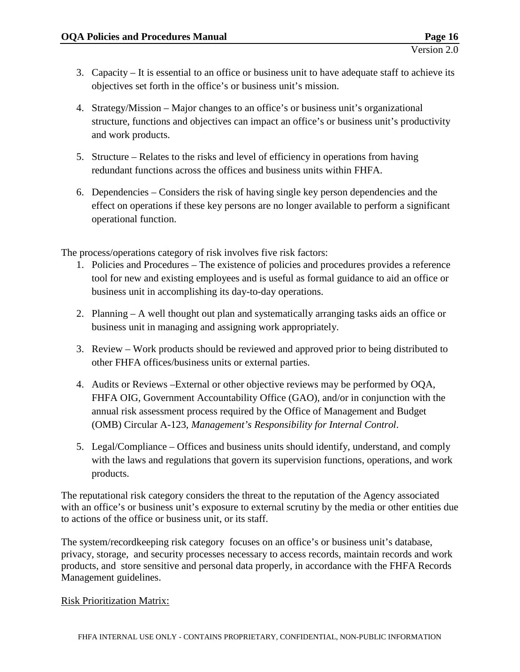- 3. Capacity It is essential to an office or business unit to have adequate staff to achieve its objectives set forth in the office's or business unit's mission.
- 4. Strategy/Mission Major changes to an office's or business unit's organizational structure, functions and objectives can impact an office's or business unit's productivity and work products.
- 5. Structure Relates to the risks and level of efficiency in operations from having redundant functions across the offices and business units within FHFA.
- 6. Dependencies Considers the risk of having single key person dependencies and the effect on operations if these key persons are no longer available to perform a significant operational function.

The process/operations category of risk involves five risk factors:

- 1. Policies and Procedures The existence of policies and procedures provides a reference tool for new and existing employees and is useful as formal guidance to aid an office or business unit in accomplishing its day-to-day operations.
- 2. Planning A well thought out plan and systematically arranging tasks aids an office or business unit in managing and assigning work appropriately.
- 3. Review Work products should be reviewed and approved prior to being distributed to other FHFA offices/business units or external parties.
- 4. Audits or Reviews –External or other objective reviews may be performed by OQA, FHFA OIG, Government Accountability Office (GAO), and/or in conjunction with the annual risk assessment process required by the Office of Management and Budget (OMB) Circular A-123, *Management's Responsibility for Internal Control*.
- 5. Legal/Compliance Offices and business units should identify, understand, and comply with the laws and regulations that govern its supervision functions, operations, and work products.

The reputational risk category considers the threat to the reputation of the Agency associated with an office's or business unit's exposure to external scrutiny by the media or other entities due to actions of the office or business unit, or its staff.

The system/recordkeeping risk category focuses on an office's or business unit's database, privacy, storage, and security processes necessary to access records, maintain records and work products, and store sensitive and personal data properly, in accordance with the FHFA Records Management guidelines.

#### Risk Prioritization Matrix: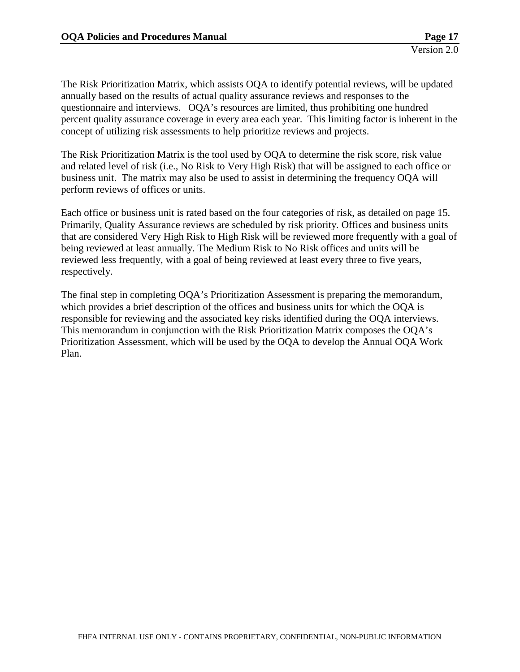The Risk Prioritization Matrix, which assists OQA to identify potential reviews, will be updated annually based on the results of actual quality assurance reviews and responses to the questionnaire and interviews. OQA's resources are limited, thus prohibiting one hundred percent quality assurance coverage in every area each year. This limiting factor is inherent in the concept of utilizing risk assessments to help prioritize reviews and projects.

The Risk Prioritization Matrix is the tool used by OQA to determine the risk score, risk value and related level of risk (i.e., No Risk to Very High Risk) that will be assigned to each office or business unit. The matrix may also be used to assist in determining the frequency OQA will perform reviews of offices or units.

Each office or business unit is rated based on the four categories of risk, as detailed on page 15. Primarily, Quality Assurance reviews are scheduled by risk priority. Offices and business units that are considered Very High Risk to High Risk will be reviewed more frequently with a goal of being reviewed at least annually. The Medium Risk to No Risk offices and units will be reviewed less frequently, with a goal of being reviewed at least every three to five years, respectively.

The final step in completing OQA's Prioritization Assessment is preparing the memorandum, which provides a brief description of the offices and business units for which the OQA is responsible for reviewing and the associated key risks identified during the OQA interviews. This memorandum in conjunction with the Risk Prioritization Matrix composes the OQA's Prioritization Assessment, which will be used by the OQA to develop the Annual OQA Work Plan.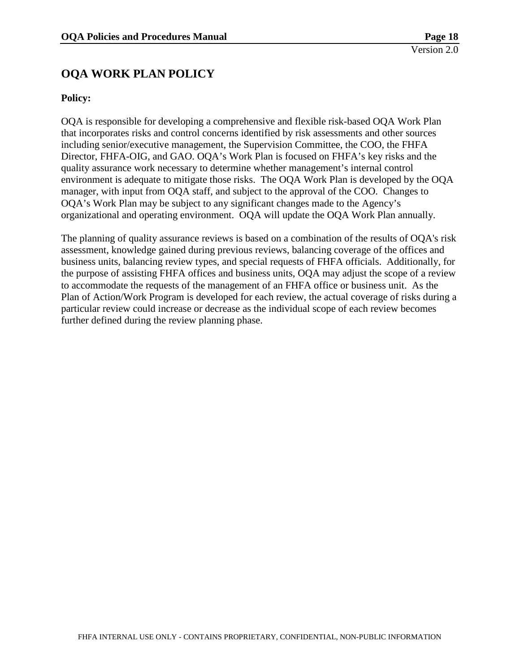## <span id="page-20-0"></span>**OQA WORK PLAN POLICY**

#### **Policy:**

OQA is responsible for developing a comprehensive and flexible risk-based OQA Work Plan that incorporates risks and control concerns identified by risk assessments and other sources including senior/executive management, the Supervision Committee, the COO, the FHFA Director, FHFA-OIG, and GAO. OQA's Work Plan is focused on FHFA's key risks and the quality assurance work necessary to determine whether management's internal control environment is adequate to mitigate those risks. The OQA Work Plan is developed by the OQA manager, with input from OQA staff, and subject to the approval of the COO. Changes to OQA's Work Plan may be subject to any significant changes made to the Agency's organizational and operating environment. OQA will update the OQA Work Plan annually.

The planning of quality assurance reviews is based on a combination of the results of OQA's risk assessment, knowledge gained during previous reviews, balancing coverage of the offices and business units, balancing review types, and special requests of FHFA officials. Additionally, for the purpose of assisting FHFA offices and business units, OQA may adjust the scope of a review to accommodate the requests of the management of an FHFA office or business unit. As the Plan of Action/Work Program is developed for each review, the actual coverage of risks during a particular review could increase or decrease as the individual scope of each review becomes further defined during the review planning phase.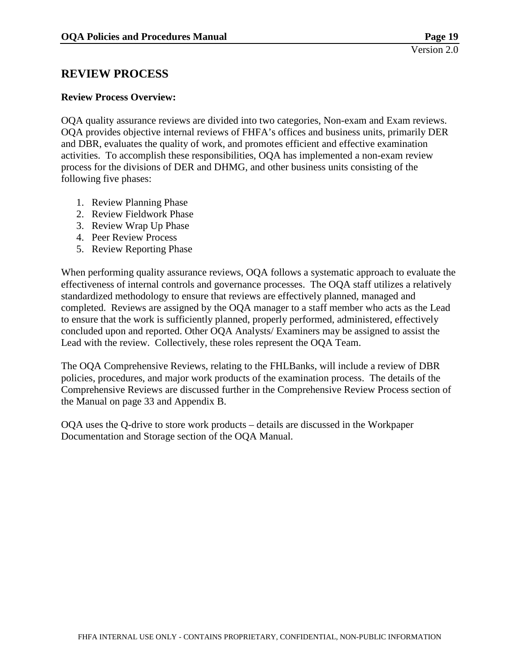### <span id="page-21-0"></span>**REVIEW PROCESS**

#### **Review Process Overview:**

OQA quality assurance reviews are divided into two categories, Non-exam and Exam reviews. OQA provides objective internal reviews of FHFA's offices and business units, primarily DER and DBR, evaluates the quality of work, and promotes efficient and effective examination activities. To accomplish these responsibilities, OQA has implemented a non-exam review process for the divisions of DER and DHMG, and other business units consisting of the following five phases:

- 1. Review Planning Phase
- 2. Review Fieldwork Phase
- 3. Review Wrap Up Phase
- 4. Peer Review Process
- 5. Review Reporting Phase

When performing quality assurance reviews, OQA follows a systematic approach to evaluate the effectiveness of internal controls and governance processes. The OQA staff utilizes a relatively standardized methodology to ensure that reviews are effectively planned, managed and completed. Reviews are assigned by the OQA manager to a staff member who acts as the Lead to ensure that the work is sufficiently planned, properly performed, administered, effectively concluded upon and reported. Other OQA Analysts/ Examiners may be assigned to assist the Lead with the review. Collectively, these roles represent the OQA Team.

The OQA Comprehensive Reviews, relating to the FHLBanks, will include a review of DBR policies, procedures, and major work products of the examination process. The details of the Comprehensive Reviews are discussed further in the Comprehensive Review Process section of the Manual on page 33 and Appendix B.

OQA uses the Q-drive to store work products – details are discussed in the Workpaper Documentation and Storage section of the OQA Manual.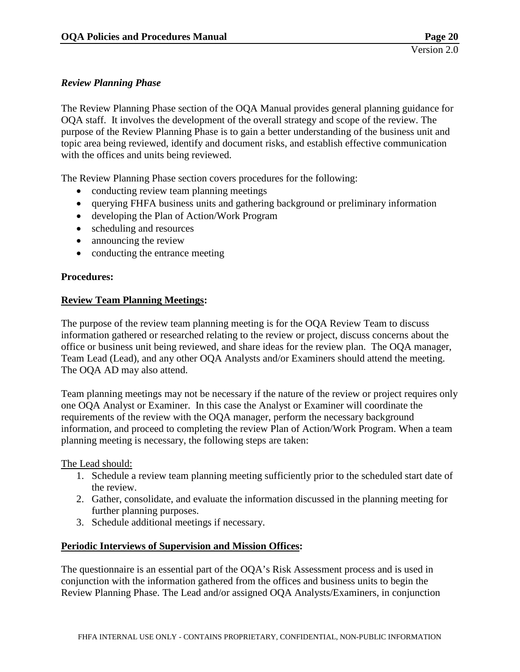#### <span id="page-22-0"></span>*Review Planning Phase*

The Review Planning Phase section of the OQA Manual provides general planning guidance for OQA staff. It involves the development of the overall strategy and scope of the review. The purpose of the Review Planning Phase is to gain a better understanding of the business unit and topic area being reviewed, identify and document risks, and establish effective communication with the offices and units being reviewed.

The Review Planning Phase section covers procedures for the following:

- conducting review team planning meetings
- querying FHFA business units and gathering background or preliminary information
- developing the Plan of Action/Work Program
- scheduling and resources
- announcing the review
- conducting the entrance meeting

#### **Procedures:**

#### **Review Team Planning Meetings:**

The purpose of the review team planning meeting is for the OQA Review Team to discuss information gathered or researched relating to the review or project, discuss concerns about the office or business unit being reviewed, and share ideas for the review plan. The OQA manager, Team Lead (Lead), and any other OQA Analysts and/or Examiners should attend the meeting. The OQA AD may also attend.

Team planning meetings may not be necessary if the nature of the review or project requires only one OQA Analyst or Examiner. In this case the Analyst or Examiner will coordinate the requirements of the review with the OQA manager, perform the necessary background information, and proceed to completing the review Plan of Action/Work Program. When a team planning meeting is necessary, the following steps are taken:

#### The Lead should:

- 1. Schedule a review team planning meeting sufficiently prior to the scheduled start date of the review.
- 2. Gather, consolidate, and evaluate the information discussed in the planning meeting for further planning purposes.
- 3. Schedule additional meetings if necessary.

#### **Periodic Interviews of Supervision and Mission Offices:**

The questionnaire is an essential part of the OQA's Risk Assessment process and is used in conjunction with the information gathered from the offices and business units to begin the Review Planning Phase. The Lead and/or assigned OQA Analysts/Examiners, in conjunction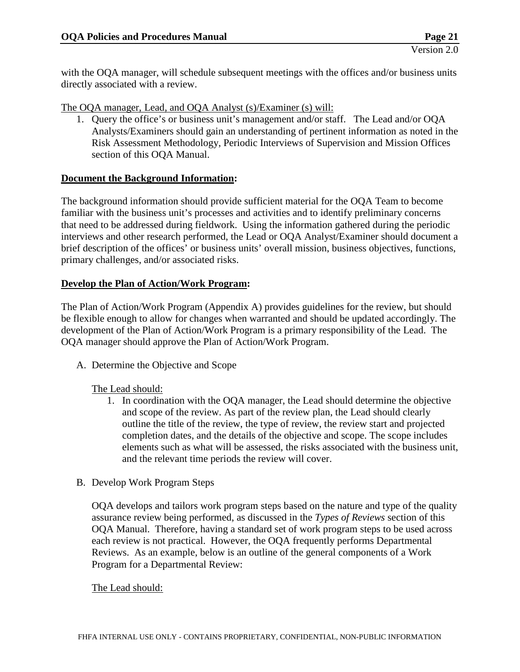with the OQA manager, will schedule subsequent meetings with the offices and/or business units directly associated with a review.

The OQA manager, Lead, and OQA Analyst (s)/Examiner (s) will:

1. Query the office's or business unit's management and/or staff. The Lead and/or OQA Analysts/Examiners should gain an understanding of pertinent information as noted in the Risk Assessment Methodology, Periodic Interviews of Supervision and Mission Offices section of this OQA Manual.

#### **Document the Background Information:**

The background information should provide sufficient material for the OQA Team to become familiar with the business unit's processes and activities and to identify preliminary concerns that need to be addressed during fieldwork. Using the information gathered during the periodic interviews and other research performed, the Lead or OQA Analyst/Examiner should document a brief description of the offices' or business units' overall mission, business objectives, functions, primary challenges, and/or associated risks.

#### **Develop the Plan of Action/Work Program:**

The Plan of Action/Work Program (Appendix A) provides guidelines for the review, but should be flexible enough to allow for changes when warranted and should be updated accordingly. The development of the Plan of Action/Work Program is a primary responsibility of the Lead. The OQA manager should approve the Plan of Action/Work Program.

A. Determine the Objective and Scope

#### The Lead should:

- 1. In coordination with the OQA manager, the Lead should determine the objective and scope of the review. As part of the review plan, the Lead should clearly outline the title of the review, the type of review, the review start and projected completion dates, and the details of the objective and scope. The scope includes elements such as what will be assessed, the risks associated with the business unit, and the relevant time periods the review will cover.
- B. Develop Work Program Steps

OQA develops and tailors work program steps based on the nature and type of the quality assurance review being performed, as discussed in the *Types of Reviews* section of this OQA Manual. Therefore, having a standard set of work program steps to be used across each review is not practical. However, the OQA frequently performs Departmental Reviews. As an example, below is an outline of the general components of a Work Program for a Departmental Review:

#### The Lead should: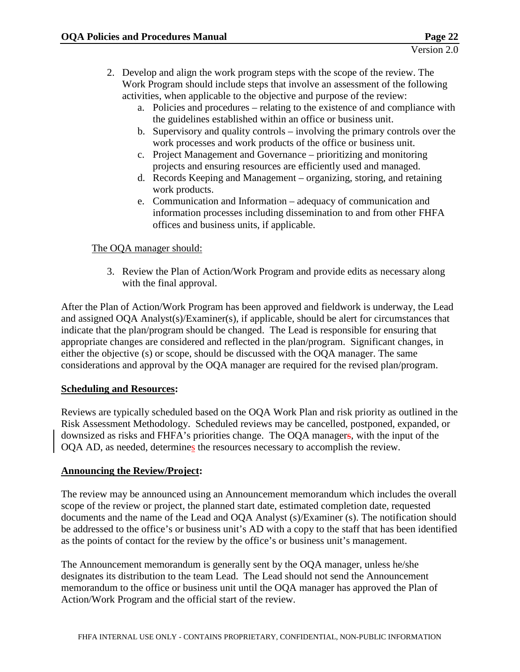- 2. Develop and align the work program steps with the scope of the review. The Work Program should include steps that involve an assessment of the following activities, when applicable to the objective and purpose of the review:
	- a. Policies and procedures relating to the existence of and compliance with the guidelines established within an office or business unit.
	- b. Supervisory and quality controls involving the primary controls over the work processes and work products of the office or business unit.
	- c. Project Management and Governance prioritizing and monitoring projects and ensuring resources are efficiently used and managed.
	- d. Records Keeping and Management organizing, storing, and retaining work products.
	- e. Communication and Information adequacy of communication and information processes including dissemination to and from other FHFA offices and business units, if applicable.

#### The OQA manager should:

3. Review the Plan of Action/Work Program and provide edits as necessary along with the final approval.

After the Plan of Action/Work Program has been approved and fieldwork is underway, the Lead and assigned OQA Analyst(s)/Examiner(s), if applicable, should be alert for circumstances that indicate that the plan/program should be changed. The Lead is responsible for ensuring that appropriate changes are considered and reflected in the plan/program. Significant changes, in either the objective (s) or scope, should be discussed with the OQA manager. The same considerations and approval by the OQA manager are required for the revised plan/program.

#### **Scheduling and Resources:**

Reviews are typically scheduled based on the OQA Work Plan and risk priority as outlined in the Risk Assessment Methodology. Scheduled reviews may be cancelled, postponed, expanded, or downsized as risks and FHFA's priorities change. The OQA managers, with the input of the OQA AD, as needed, determines the resources necessary to accomplish the review.

#### **Announcing the Review/Project:**

The review may be announced using an Announcement memorandum which includes the overall scope of the review or project, the planned start date, estimated completion date, requested documents and the name of the Lead and OQA Analyst (s)/Examiner (s). The notification should be addressed to the office's or business unit's AD with a copy to the staff that has been identified as the points of contact for the review by the office's or business unit's management.

The Announcement memorandum is generally sent by the OQA manager, unless he/she designates its distribution to the team Lead. The Lead should not send the Announcement memorandum to the office or business unit until the OQA manager has approved the Plan of Action/Work Program and the official start of the review.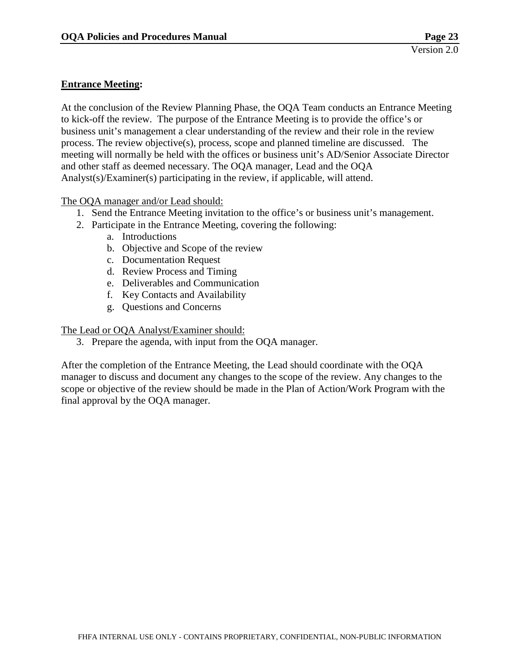#### **Entrance Meeting:**

At the conclusion of the Review Planning Phase, the OQA Team conducts an Entrance Meeting to kick-off the review. The purpose of the Entrance Meeting is to provide the office's or business unit's management a clear understanding of the review and their role in the review process. The review objective(s), process, scope and planned timeline are discussed. The meeting will normally be held with the offices or business unit's AD/Senior Associate Director and other staff as deemed necessary. The OQA manager, Lead and the OQA Analyst(s)/Examiner(s) participating in the review, if applicable, will attend.

The OQA manager and/or Lead should:

- 1. Send the Entrance Meeting invitation to the office's or business unit's management.
- 2. Participate in the Entrance Meeting, covering the following:
	- a. Introductions
	- b. Objective and Scope of the review
	- c. Documentation Request
	- d. Review Process and Timing
	- e. Deliverables and Communication
	- f. Key Contacts and Availability
	- g. Questions and Concerns

The Lead or OQA Analyst/Examiner should:

3. Prepare the agenda, with input from the OQA manager.

After the completion of the Entrance Meeting, the Lead should coordinate with the OQA manager to discuss and document any changes to the scope of the review. Any changes to the scope or objective of the review should be made in the Plan of Action/Work Program with the final approval by the OQA manager.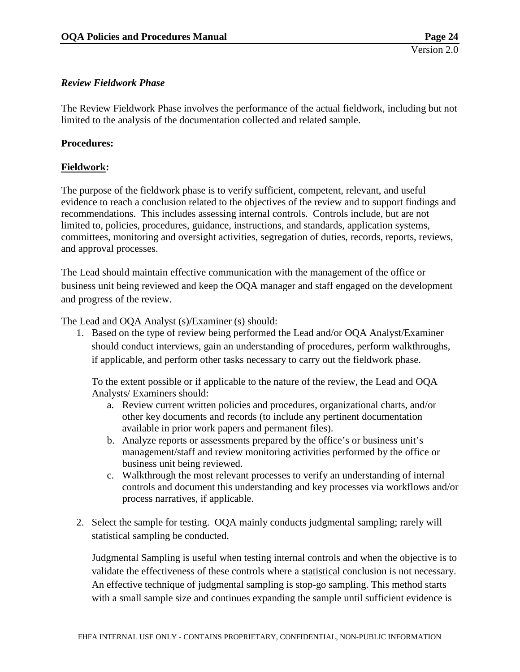#### <span id="page-26-0"></span>*Review Fieldwork Phase*

The Review Fieldwork Phase involves the performance of the actual fieldwork, including but not limited to the analysis of the documentation collected and related sample.

#### **Procedures:**

#### **Fieldwork:**

The purpose of the fieldwork phase is to verify sufficient, competent, relevant, and useful evidence to reach a conclusion related to the objectives of the review and to support findings and recommendations. This includes assessing internal controls. Controls include, but are not limited to, policies, procedures, guidance, instructions, and standards, application systems, committees, monitoring and oversight activities, segregation of duties, records, reports, reviews, and approval processes.

The Lead should maintain effective communication with the management of the office or business unit being reviewed and keep the OQA manager and staff engaged on the development and progress of the review.

The Lead and OQA Analyst (s)/Examiner (s) should:

1. Based on the type of review being performed the Lead and/or OQA Analyst/Examiner should conduct interviews, gain an understanding of procedures, perform walkthroughs, if applicable, and perform other tasks necessary to carry out the fieldwork phase.

To the extent possible or if applicable to the nature of the review, the Lead and OQA Analysts/ Examiners should:

- a. Review current written policies and procedures, organizational charts, and/or other key documents and records (to include any pertinent documentation available in prior work papers and permanent files).
- b. Analyze reports or assessments prepared by the office's or business unit's management/staff and review monitoring activities performed by the office or business unit being reviewed.
- c. Walkthrough the most relevant processes to verify an understanding of internal controls and document this understanding and key processes via workflows and/or process narratives, if applicable.
- 2. Select the sample for testing. OQA mainly conducts judgmental sampling; rarely will statistical sampling be conducted.

Judgmental Sampling is useful when testing internal controls and when the objective is to validate the effectiveness of these controls where a statistical conclusion is not necessary. An effective technique of judgmental sampling is stop-go sampling. This method starts with a small sample size and continues expanding the sample until sufficient evidence is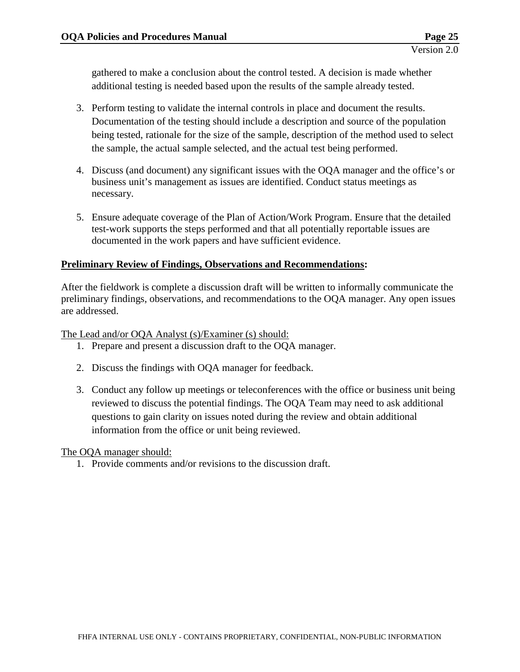gathered to make a conclusion about the control tested. A decision is made whether additional testing is needed based upon the results of the sample already tested.

- 3. Perform testing to validate the internal controls in place and document the results. Documentation of the testing should include a description and source of the population being tested, rationale for the size of the sample, description of the method used to select the sample, the actual sample selected, and the actual test being performed.
- 4. Discuss (and document) any significant issues with the OQA manager and the office's or business unit's management as issues are identified. Conduct status meetings as necessary.
- 5. Ensure adequate coverage of the Plan of Action/Work Program. Ensure that the detailed test-work supports the steps performed and that all potentially reportable issues are documented in the work papers and have sufficient evidence.

#### **Preliminary Review of Findings, Observations and Recommendations:**

After the fieldwork is complete a discussion draft will be written to informally communicate the preliminary findings, observations, and recommendations to the OQA manager. Any open issues are addressed.

The Lead and/or OQA Analyst (s)/Examiner (s) should:

- 1. Prepare and present a discussion draft to the OQA manager.
- 2. Discuss the findings with OQA manager for feedback.
- 3. Conduct any follow up meetings or teleconferences with the office or business unit being reviewed to discuss the potential findings. The OQA Team may need to ask additional questions to gain clarity on issues noted during the review and obtain additional information from the office or unit being reviewed.

The OQA manager should:

1. Provide comments and/or revisions to the discussion draft.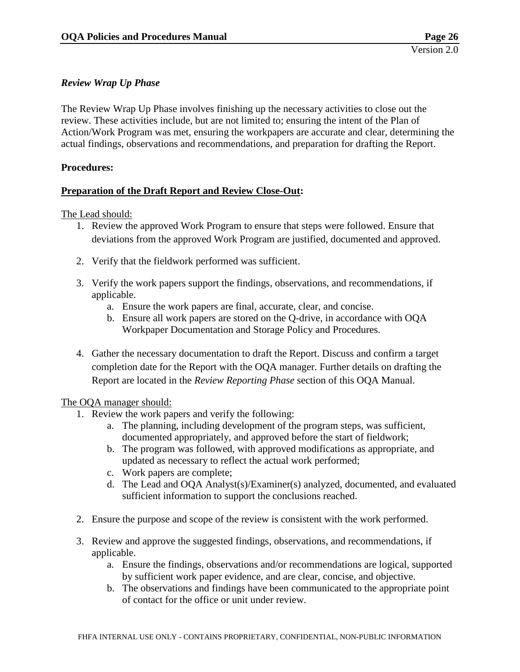#### <span id="page-28-0"></span>*Review Wrap Up Phase*

The Review Wrap Up Phase involves finishing up the necessary activities to close out the review. These activities include, but are not limited to; ensuring the intent of the Plan of Action/Work Program was met, ensuring the workpapers are accurate and clear, determining the actual findings, observations and recommendations, and preparation for drafting the Report.

#### **Procedures:**

#### **Preparation of the Draft Report and Review Close-Out:**

The Lead should:

- 1. Review the approved Work Program to ensure that steps were followed. Ensure that deviations from the approved Work Program are justified, documented and approved.
- 2. Verify that the fieldwork performed was sufficient.
- 3. Verify the work papers support the findings, observations, and recommendations, if applicable.
	- a. Ensure the work papers are final, accurate, clear, and concise.
	- b. Ensure all work papers are stored on the Q-drive, in accordance with OQA Workpaper Documentation and Storage Policy and Procedures.
- 4. Gather the necessary documentation to draft the Report. Discuss and confirm a target completion date for the Report with the OQA manager. Further details on drafting the Report are located in the *Review Reporting Phase* section of this OQA Manual.

#### The OQA manager should:

- 1. Review the work papers and verify the following:
	- a. The planning, including development of the program steps, was sufficient, documented appropriately, and approved before the start of fieldwork;
	- b. The program was followed, with approved modifications as appropriate, and updated as necessary to reflect the actual work performed;
	- c. Work papers are complete;
	- d. The Lead and OQA Analyst(s)/Examiner(s) analyzed, documented, and evaluated sufficient information to support the conclusions reached.
- 2. Ensure the purpose and scope of the review is consistent with the work performed.
- 3. Review and approve the suggested findings, observations, and recommendations, if applicable.
	- a. Ensure the findings, observations and/or recommendations are logical, supported by sufficient work paper evidence, and are clear, concise, and objective.
	- b. The observations and findings have been communicated to the appropriate point of contact for the office or unit under review.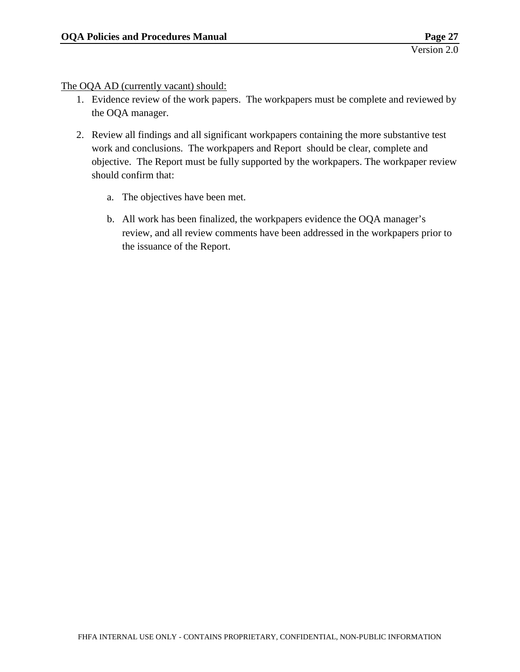The OQA AD (currently vacant) should:

- 1. Evidence review of the work papers. The workpapers must be complete and reviewed by the OQA manager.
- 2. Review all findings and all significant workpapers containing the more substantive test work and conclusions. The workpapers and Report should be clear, complete and objective. The Report must be fully supported by the workpapers. The workpaper review should confirm that:
	- a. The objectives have been met.
	- b. All work has been finalized, the workpapers evidence the OQA manager's review, and all review comments have been addressed in the workpapers prior to the issuance of the Report.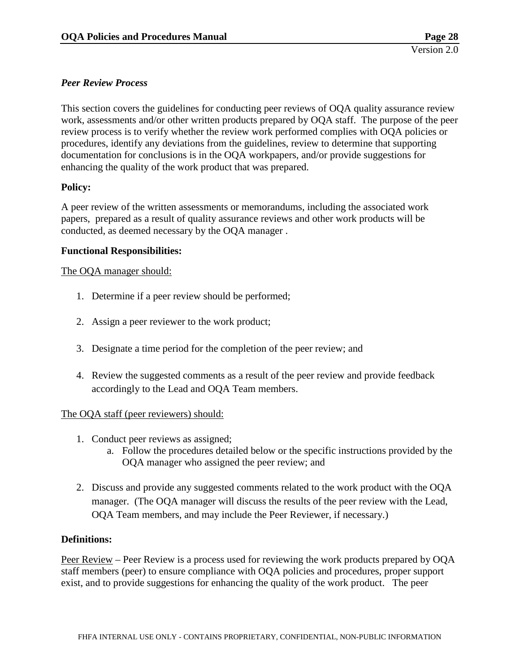#### <span id="page-30-0"></span>*Peer Review Process*

This section covers the guidelines for conducting peer reviews of OQA quality assurance review work, assessments and/or other written products prepared by OQA staff. The purpose of the peer review process is to verify whether the review work performed complies with OQA policies or procedures, identify any deviations from the guidelines, review to determine that supporting documentation for conclusions is in the OQA workpapers, and/or provide suggestions for enhancing the quality of the work product that was prepared.

#### **Policy:**

A peer review of the written assessments or memorandums, including the associated work papers, prepared as a result of quality assurance reviews and other work products will be conducted, as deemed necessary by the OQA manager .

#### **Functional Responsibilities:**

#### The OQA manager should:

- 1. Determine if a peer review should be performed;
- 2. Assign a peer reviewer to the work product;
- 3. Designate a time period for the completion of the peer review; and
- 4. Review the suggested comments as a result of the peer review and provide feedback accordingly to the Lead and OQA Team members.

#### The OQA staff (peer reviewers) should:

- 1. Conduct peer reviews as assigned;
	- a. Follow the procedures detailed below or the specific instructions provided by the OQA manager who assigned the peer review; and
- 2. Discuss and provide any suggested comments related to the work product with the OQA manager. (The OQA manager will discuss the results of the peer review with the Lead, OQA Team members, and may include the Peer Reviewer, if necessary.)

#### **Definitions:**

Peer Review – Peer Review is a process used for reviewing the work products prepared by OQA staff members (peer) to ensure compliance with OQA policies and procedures, proper support exist, and to provide suggestions for enhancing the quality of the work product. The peer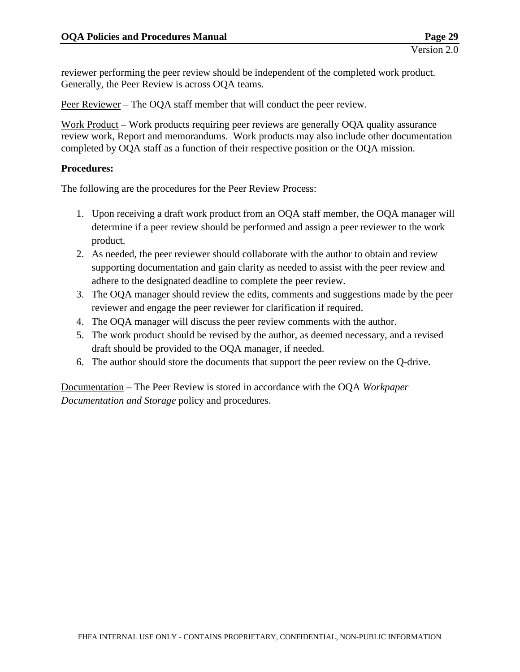reviewer performing the peer review should be independent of the completed work product. Generally, the Peer Review is across OQA teams.

Peer Reviewer – The OQA staff member that will conduct the peer review.

Work Product – Work products requiring peer reviews are generally OQA quality assurance review work, Report and memorandums. Work products may also include other documentation completed by OQA staff as a function of their respective position or the OQA mission.

#### **Procedures:**

The following are the procedures for the Peer Review Process:

- 1. Upon receiving a draft work product from an OQA staff member, the OQA manager will determine if a peer review should be performed and assign a peer reviewer to the work product.
- 2. As needed, the peer reviewer should collaborate with the author to obtain and review supporting documentation and gain clarity as needed to assist with the peer review and adhere to the designated deadline to complete the peer review.
- 3. The OQA manager should review the edits, comments and suggestions made by the peer reviewer and engage the peer reviewer for clarification if required.
- 4. The OQA manager will discuss the peer review comments with the author.
- 5. The work product should be revised by the author, as deemed necessary, and a revised draft should be provided to the OQA manager, if needed.
- 6. The author should store the documents that support the peer review on the Q-drive.

Documentation – The Peer Review is stored in accordance with the OQA *Workpaper Documentation and Storage* policy and procedures.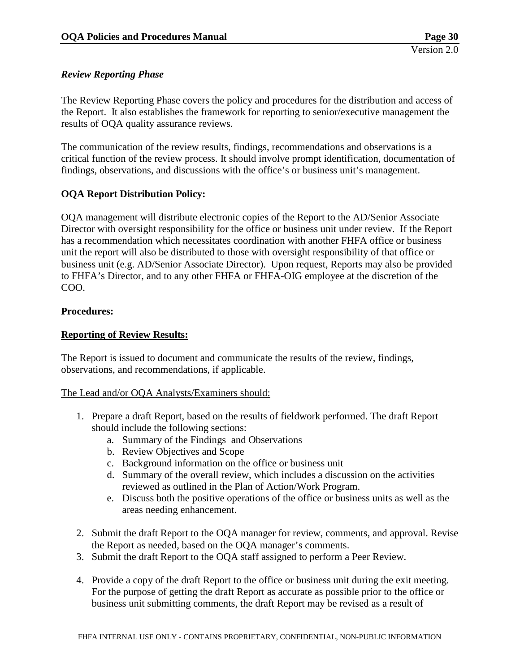#### <span id="page-32-0"></span>*Review Reporting Phase*

The Review Reporting Phase covers the policy and procedures for the distribution and access of the Report. It also establishes the framework for reporting to senior/executive management the results of OQA quality assurance reviews.

The communication of the review results, findings, recommendations and observations is a critical function of the review process. It should involve prompt identification, documentation of findings, observations, and discussions with the office's or business unit's management.

#### **OQA Report Distribution Policy:**

OQA management will distribute electronic copies of the Report to the AD/Senior Associate Director with oversight responsibility for the office or business unit under review. If the Report has a recommendation which necessitates coordination with another FHFA office or business unit the report will also be distributed to those with oversight responsibility of that office or business unit (e.g. AD/Senior Associate Director). Upon request, Reports may also be provided to FHFA's Director, and to any other FHFA or FHFA-OIG employee at the discretion of the COO.

#### **Procedures:**

#### **Reporting of Review Results:**

The Report is issued to document and communicate the results of the review, findings, observations, and recommendations, if applicable.

#### The Lead and/or OQA Analysts/Examiners should:

- 1. Prepare a draft Report, based on the results of fieldwork performed. The draft Report should include the following sections:
	- a. Summary of the Findings and Observations
	- b. Review Objectives and Scope
	- c. Background information on the office or business unit
	- d. Summary of the overall review, which includes a discussion on the activities reviewed as outlined in the Plan of Action/Work Program.
	- e. Discuss both the positive operations of the office or business units as well as the areas needing enhancement.
- 2. Submit the draft Report to the OQA manager for review, comments, and approval. Revise the Report as needed, based on the OQA manager's comments.
- 3. Submit the draft Report to the OQA staff assigned to perform a Peer Review.
- 4. Provide a copy of the draft Report to the office or business unit during the exit meeting. For the purpose of getting the draft Report as accurate as possible prior to the office or business unit submitting comments, the draft Report may be revised as a result of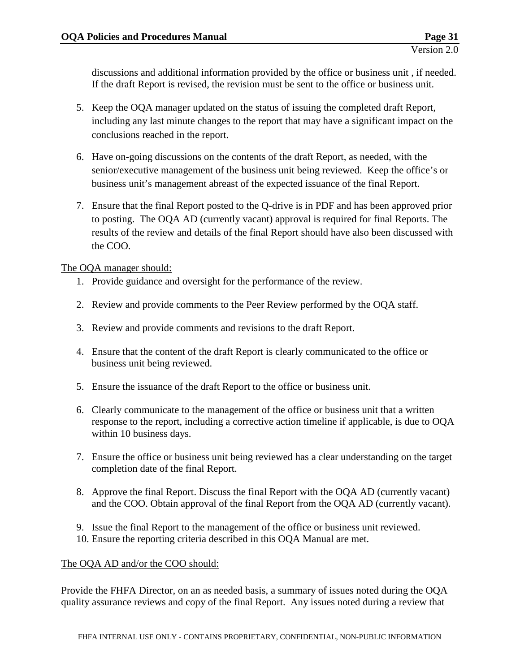discussions and additional information provided by the office or business unit , if needed. If the draft Report is revised, the revision must be sent to the office or business unit.

- 5. Keep the OQA manager updated on the status of issuing the completed draft Report, including any last minute changes to the report that may have a significant impact on the conclusions reached in the report.
- 6. Have on-going discussions on the contents of the draft Report, as needed, with the senior/executive management of the business unit being reviewed. Keep the office's or business unit's management abreast of the expected issuance of the final Report.
- 7. Ensure that the final Report posted to the Q-drive is in PDF and has been approved prior to posting. The OQA AD (currently vacant) approval is required for final Reports. The results of the review and details of the final Report should have also been discussed with the COO.

The OQA manager should:

- 1. Provide guidance and oversight for the performance of the review.
- 2. Review and provide comments to the Peer Review performed by the OQA staff.
- 3. Review and provide comments and revisions to the draft Report.
- 4. Ensure that the content of the draft Report is clearly communicated to the office or business unit being reviewed.
- 5. Ensure the issuance of the draft Report to the office or business unit.
- 6. Clearly communicate to the management of the office or business unit that a written response to the report, including a corrective action timeline if applicable, is due to OQA within 10 business days.
- 7. Ensure the office or business unit being reviewed has a clear understanding on the target completion date of the final Report.
- 8. Approve the final Report. Discuss the final Report with the OQA AD (currently vacant) and the COO. Obtain approval of the final Report from the OQA AD (currently vacant).
- 9. Issue the final Report to the management of the office or business unit reviewed.
- 10. Ensure the reporting criteria described in this OQA Manual are met.

#### The OQA AD and/or the COO should:

Provide the FHFA Director, on an as needed basis, a summary of issues noted during the OQA quality assurance reviews and copy of the final Report. Any issues noted during a review that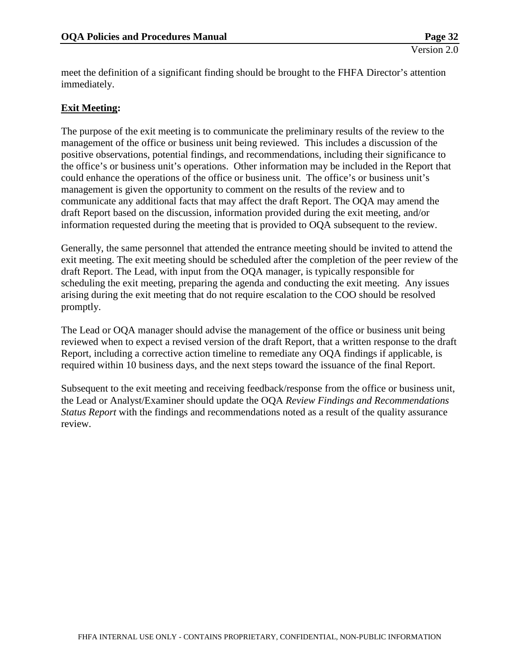meet the definition of a significant finding should be brought to the FHFA Director's attention immediately.

#### **Exit Meeting:**

The purpose of the exit meeting is to communicate the preliminary results of the review to the management of the office or business unit being reviewed. This includes a discussion of the positive observations, potential findings, and recommendations, including their significance to the office's or business unit's operations. Other information may be included in the Report that could enhance the operations of the office or business unit. The office's or business unit's management is given the opportunity to comment on the results of the review and to communicate any additional facts that may affect the draft Report. The OQA may amend the draft Report based on the discussion, information provided during the exit meeting, and/or information requested during the meeting that is provided to OQA subsequent to the review.

Generally, the same personnel that attended the entrance meeting should be invited to attend the exit meeting. The exit meeting should be scheduled after the completion of the peer review of the draft Report. The Lead, with input from the OQA manager, is typically responsible for scheduling the exit meeting, preparing the agenda and conducting the exit meeting. Any issues arising during the exit meeting that do not require escalation to the COO should be resolved promptly.

The Lead or OQA manager should advise the management of the office or business unit being reviewed when to expect a revised version of the draft Report, that a written response to the draft Report, including a corrective action timeline to remediate any OQA findings if applicable, is required within 10 business days, and the next steps toward the issuance of the final Report.

Subsequent to the exit meeting and receiving feedback/response from the office or business unit, the Lead or Analyst/Examiner should update the OQA *Review Findings and Recommendations Status Report* with the findings and recommendations noted as a result of the quality assurance review.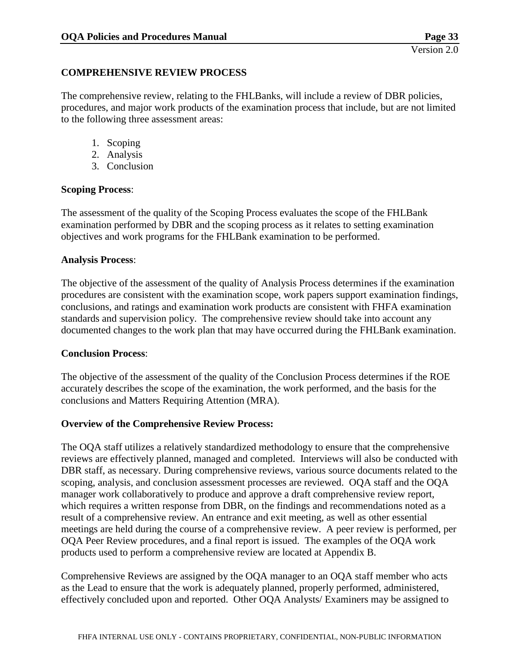#### <span id="page-35-0"></span>**COMPREHENSIVE REVIEW PROCESS**

The comprehensive review, relating to the FHLBanks, will include a review of DBR policies, procedures, and major work products of the examination process that include, but are not limited to the following three assessment areas:

- 1. Scoping
- 2. Analysis
- 3. Conclusion

#### **Scoping Process**:

The assessment of the quality of the Scoping Process evaluates the scope of the FHLBank examination performed by DBR and the scoping process as it relates to setting examination objectives and work programs for the FHLBank examination to be performed.

#### **Analysis Process**:

The objective of the assessment of the quality of Analysis Process determines if the examination procedures are consistent with the examination scope, work papers support examination findings, conclusions, and ratings and examination work products are consistent with FHFA examination standards and supervision policy. The comprehensive review should take into account any documented changes to the work plan that may have occurred during the FHLBank examination.

#### **Conclusion Process**:

The objective of the assessment of the quality of the Conclusion Process determines if the ROE accurately describes the scope of the examination, the work performed, and the basis for the conclusions and Matters Requiring Attention (MRA).

#### **Overview of the Comprehensive Review Process:**

The OQA staff utilizes a relatively standardized methodology to ensure that the comprehensive reviews are effectively planned, managed and completed. Interviews will also be conducted with DBR staff, as necessary. During comprehensive reviews, various source documents related to the scoping, analysis, and conclusion assessment processes are reviewed. OQA staff and the OQA manager work collaboratively to produce and approve a draft comprehensive review report, which requires a written response from DBR, on the findings and recommendations noted as a result of a comprehensive review. An entrance and exit meeting, as well as other essential meetings are held during the course of a comprehensive review. A peer review is performed, per OQA Peer Review procedures, and a final report is issued. The examples of the OQA work products used to perform a comprehensive review are located at Appendix B.

Comprehensive Reviews are assigned by the OQA manager to an OQA staff member who acts as the Lead to ensure that the work is adequately planned, properly performed, administered, effectively concluded upon and reported. Other OQA Analysts/ Examiners may be assigned to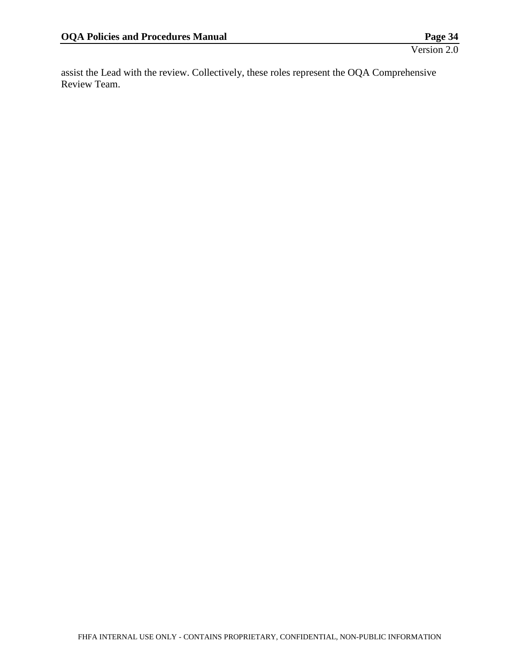assist the Lead with the review. Collectively, these roles represent the OQA Comprehensive Review Team.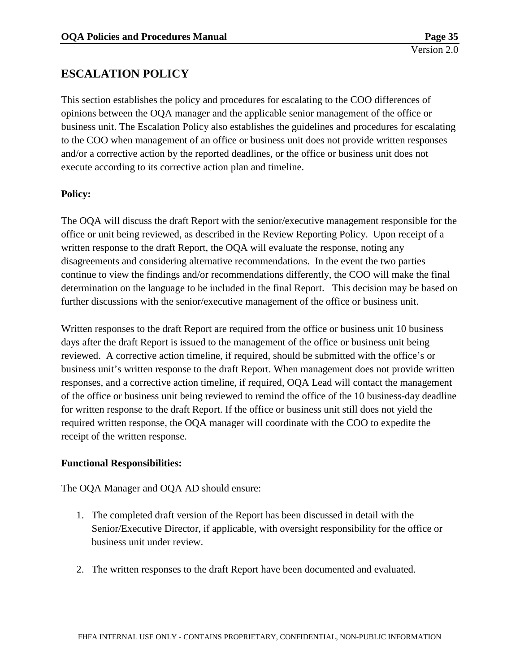# **ESCALATION POLICY**

This section establishes the policy and procedures for escalating to the COO differences of opinions between the OQA manager and the applicable senior management of the office or business unit. The Escalation Policy also establishes the guidelines and procedures for escalating to the COO when management of an office or business unit does not provide written responses and/or a corrective action by the reported deadlines, or the office or business unit does not execute according to its corrective action plan and timeline.

## **Policy:**

The OQA will discuss the draft Report with the senior/executive management responsible for the office or unit being reviewed, as described in the Review Reporting Policy. Upon receipt of a written response to the draft Report, the OQA will evaluate the response, noting any disagreements and considering alternative recommendations. In the event the two parties continue to view the findings and/or recommendations differently, the COO will make the final determination on the language to be included in the final Report. This decision may be based on further discussions with the senior/executive management of the office or business unit.

Written responses to the draft Report are required from the office or business unit 10 business days after the draft Report is issued to the management of the office or business unit being reviewed. A corrective action timeline, if required, should be submitted with the office's or business unit's written response to the draft Report. When management does not provide written responses, and a corrective action timeline, if required, OQA Lead will contact the management of the office or business unit being reviewed to remind the office of the 10 business-day deadline for written response to the draft Report. If the office or business unit still does not yield the required written response, the OQA manager will coordinate with the COO to expedite the receipt of the written response.

## **Functional Responsibilities:**

## The OQA Manager and OQA AD should ensure:

- 1. The completed draft version of the Report has been discussed in detail with the Senior/Executive Director, if applicable, with oversight responsibility for the office or business unit under review.
- 2. The written responses to the draft Report have been documented and evaluated.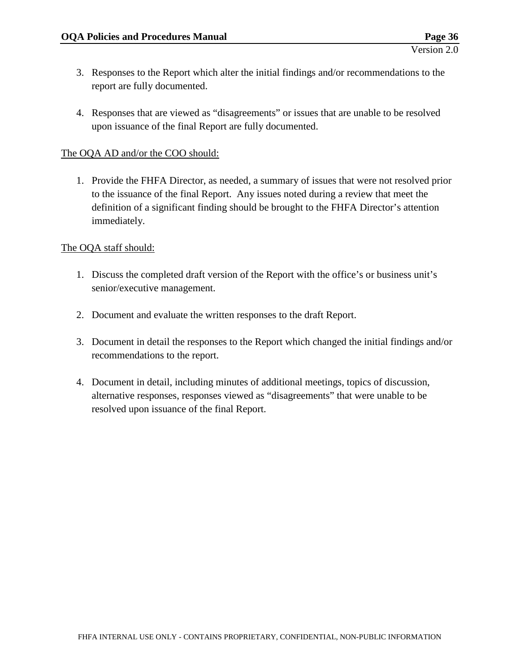- 3. Responses to the Report which alter the initial findings and/or recommendations to the report are fully documented.
- 4. Responses that are viewed as "disagreements" or issues that are unable to be resolved upon issuance of the final Report are fully documented.

## The OQA AD and/or the COO should:

1. Provide the FHFA Director, as needed, a summary of issues that were not resolved prior to the issuance of the final Report. Any issues noted during a review that meet the definition of a significant finding should be brought to the FHFA Director's attention immediately.

## The OQA staff should:

- 1. Discuss the completed draft version of the Report with the office's or business unit's senior/executive management.
- 2. Document and evaluate the written responses to the draft Report.
- 3. Document in detail the responses to the Report which changed the initial findings and/or recommendations to the report.
- 4. Document in detail, including minutes of additional meetings, topics of discussion, alternative responses, responses viewed as "disagreements" that were unable to be resolved upon issuance of the final Report.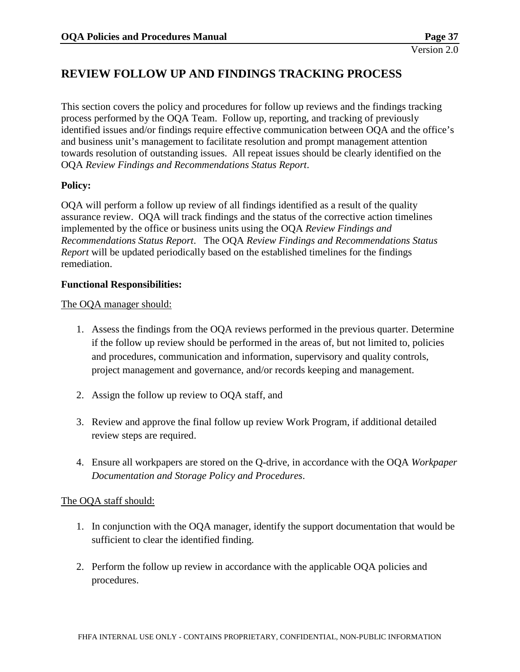# **REVIEW FOLLOW UP AND FINDINGS TRACKING PROCESS**

This section covers the policy and procedures for follow up reviews and the findings tracking process performed by the OQA Team. Follow up, reporting, and tracking of previously identified issues and/or findings require effective communication between OQA and the office's and business unit's management to facilitate resolution and prompt management attention towards resolution of outstanding issues. All repeat issues should be clearly identified on the OQA *Review Findings and Recommendations Status Report*.

## **Policy:**

OQA will perform a follow up review of all findings identified as a result of the quality assurance review. OQA will track findings and the status of the corrective action timelines implemented by the office or business units using the OQA *Review Findings and Recommendations Status Report*. The OQA *Review Findings and Recommendations Status Report* will be updated periodically based on the established timelines for the findings remediation.

#### **Functional Responsibilities:**

#### The OQA manager should:

- 1. Assess the findings from the OQA reviews performed in the previous quarter. Determine if the follow up review should be performed in the areas of, but not limited to, policies and procedures, communication and information, supervisory and quality controls, project management and governance, and/or records keeping and management.
- 2. Assign the follow up review to OQA staff, and
- 3. Review and approve the final follow up review Work Program, if additional detailed review steps are required.
- 4. Ensure all workpapers are stored on the Q-drive, in accordance with the OQA *Workpaper Documentation and Storage Policy and Procedures*.

## The OQA staff should:

- 1. In conjunction with the OQA manager, identify the support documentation that would be sufficient to clear the identified finding.
- 2. Perform the follow up review in accordance with the applicable OQA policies and procedures.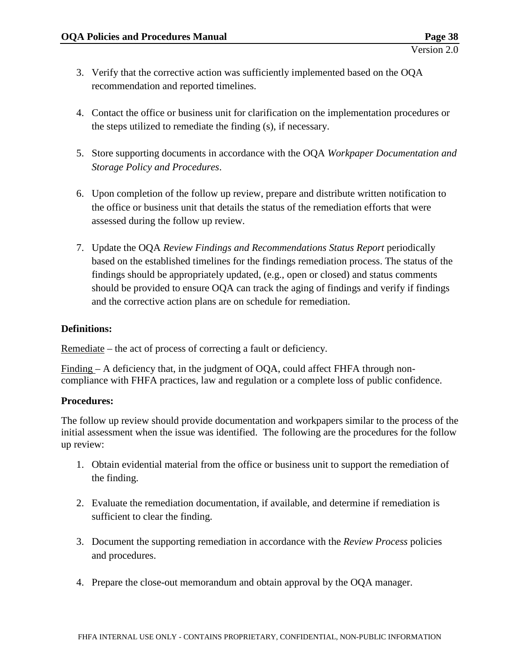- 3. Verify that the corrective action was sufficiently implemented based on the OQA recommendation and reported timelines.
- 4. Contact the office or business unit for clarification on the implementation procedures or the steps utilized to remediate the finding (s), if necessary.
- 5. Store supporting documents in accordance with the OQA *Workpaper Documentation and Storage Policy and Procedures*.
- 6. Upon completion of the follow up review, prepare and distribute written notification to the office or business unit that details the status of the remediation efforts that were assessed during the follow up review.
- 7. Update the OQA *Review Findings and Recommendations Status Report* periodically based on the established timelines for the findings remediation process. The status of the findings should be appropriately updated, (e.g., open or closed) and status comments should be provided to ensure OQA can track the aging of findings and verify if findings and the corrective action plans are on schedule for remediation.

## **Definitions:**

Remediate – the act of process of correcting a fault or deficiency.

Finding – A deficiency that, in the judgment of OQA, could affect FHFA through noncompliance with FHFA practices, law and regulation or a complete loss of public confidence.

## **Procedures:**

The follow up review should provide documentation and workpapers similar to the process of the initial assessment when the issue was identified. The following are the procedures for the follow up review:

- 1. Obtain evidential material from the office or business unit to support the remediation of the finding.
- 2. Evaluate the remediation documentation, if available, and determine if remediation is sufficient to clear the finding.
- 3. Document the supporting remediation in accordance with the *Review Process* policies and procedures.
- 4. Prepare the close-out memorandum and obtain approval by the OQA manager.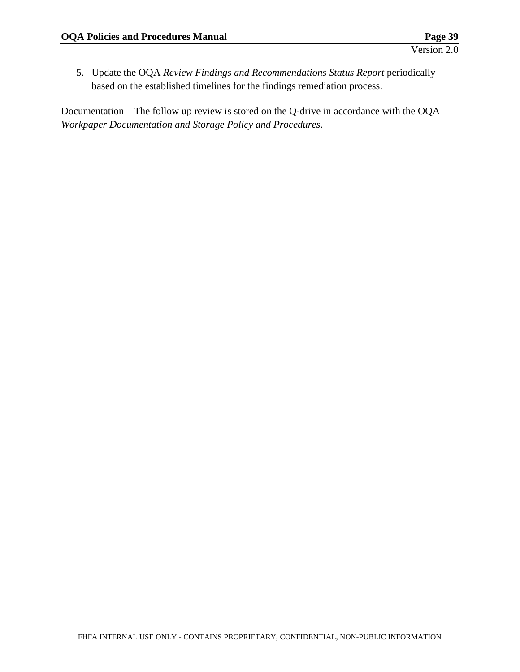5. Update the OQA *Review Findings and Recommendations Status Report* periodically based on the established timelines for the findings remediation process.

Documentation – The follow up review is stored on the Q-drive in accordance with the OQA *Workpaper Documentation and Storage Policy and Procedures*.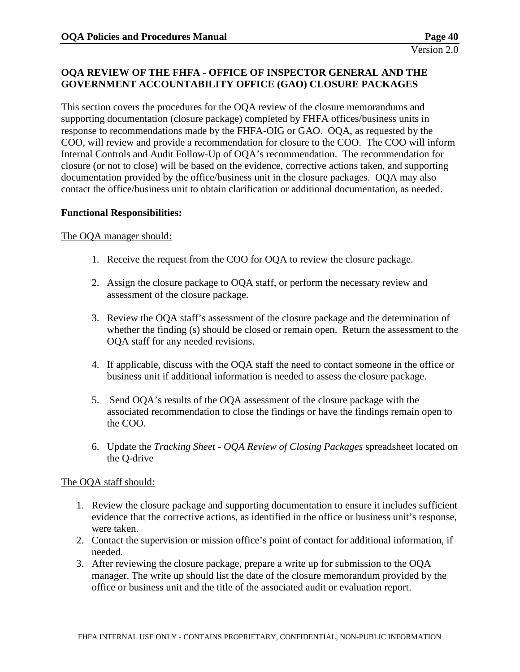## **OQA REVIEW OF THE FHFA - OFFICE OF INSPECTOR GENERAL AND THE GOVERNMENT ACCOUNTABILITY OFFICE (GAO) CLOSURE PACKAGES**

This section covers the procedures for the OQA review of the closure memorandums and supporting documentation (closure package) completed by FHFA offices/business units in response to recommendations made by the FHFA-OIG or GAO. OQA, as requested by the COO, will review and provide a recommendation for closure to the COO. The COO will inform Internal Controls and Audit Follow-Up of OQA's recommendation. The recommendation for closure (or not to close) will be based on the evidence, corrective actions taken, and supporting documentation provided by the office/business unit in the closure packages. OQA may also contact the office/business unit to obtain clarification or additional documentation, as needed.

#### **Functional Responsibilities:**

#### The OQA manager should:

- 1. Receive the request from the COO for OQA to review the closure package.
- 2. Assign the closure package to OQA staff, or perform the necessary review and assessment of the closure package.
- 3. Review the OQA staff's assessment of the closure package and the determination of whether the finding (s) should be closed or remain open. Return the assessment to the OQA staff for any needed revisions.
- 4. If applicable, discuss with the OQA staff the need to contact someone in the office or business unit if additional information is needed to assess the closure package.
- 5. Send OQA's results of the OQA assessment of the closure package with the associated recommendation to close the findings or have the findings remain open to the COO.
- 6. Update the *Tracking Sheet - OQA Review of Closing Packages* spreadsheet located on the Q-drive

#### The OQA staff should:

- 1. Review the closure package and supporting documentation to ensure it includes sufficient evidence that the corrective actions, as identified in the office or business unit's response, were taken.
- 2. Contact the supervision or mission office's point of contact for additional information, if needed.
- 3. After reviewing the closure package, prepare a write up for submission to the OQA manager. The write up should list the date of the closure memorandum provided by the office or business unit and the title of the associated audit or evaluation report.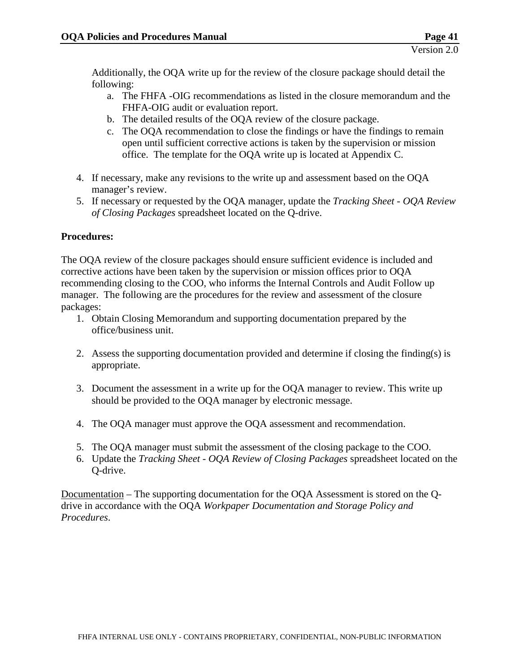Additionally, the OQA write up for the review of the closure package should detail the following:

- a. The FHFA -OIG recommendations as listed in the closure memorandum and the FHFA-OIG audit or evaluation report.
- b. The detailed results of the OQA review of the closure package.
- c. The OQA recommendation to close the findings or have the findings to remain open until sufficient corrective actions is taken by the supervision or mission office. The template for the OQA write up is located at Appendix C.
- 4. If necessary, make any revisions to the write up and assessment based on the OQA manager's review.
- 5. If necessary or requested by the OQA manager, update the *Tracking Sheet - OQA Review of Closing Packages* spreadsheet located on the Q-drive.

## **Procedures:**

The OQA review of the closure packages should ensure sufficient evidence is included and corrective actions have been taken by the supervision or mission offices prior to OQA recommending closing to the COO, who informs the Internal Controls and Audit Follow up manager. The following are the procedures for the review and assessment of the closure packages:

- 1. Obtain Closing Memorandum and supporting documentation prepared by the office/business unit.
- 2. Assess the supporting documentation provided and determine if closing the finding(s) is appropriate.
- 3. Document the assessment in a write up for the OQA manager to review. This write up should be provided to the OQA manager by electronic message.
- 4. The OQA manager must approve the OQA assessment and recommendation.
- 5. The OQA manager must submit the assessment of the closing package to the COO.
- 6. Update the *Tracking Sheet - OQA Review of Closing Packages* spreadsheet located on the Q-drive.

Documentation – The supporting documentation for the OQA Assessment is stored on the Qdrive in accordance with the OQA *Workpaper Documentation and Storage Policy and Procedures*.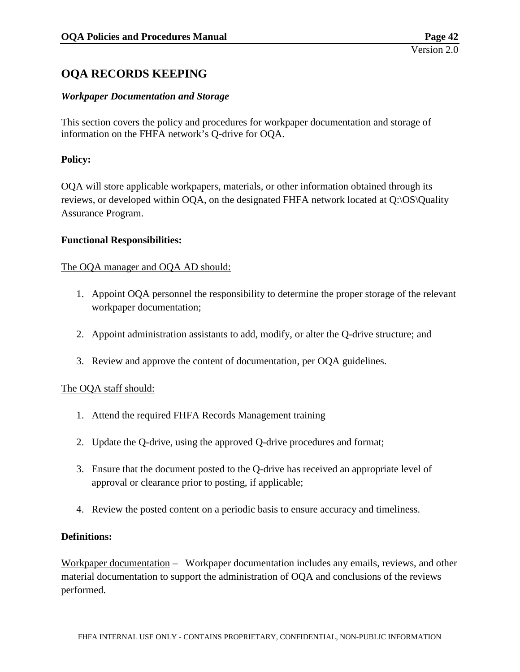# **OQA RECORDS KEEPING**

## *Workpaper Documentation and Storage*

This section covers the policy and procedures for workpaper documentation and storage of information on the FHFA network's Q-drive for OQA.

## **Policy:**

OQA will store applicable workpapers, materials, or other information obtained through its reviews, or developed within OQA, on the designated FHFA network located at Q:\OS\Quality Assurance Program.

#### **Functional Responsibilities:**

#### The OQA manager and OQA AD should:

- 1. Appoint OQA personnel the responsibility to determine the proper storage of the relevant workpaper documentation;
- 2. Appoint administration assistants to add, modify, or alter the Q-drive structure; and
- 3. Review and approve the content of documentation, per OQA guidelines.

#### The OQA staff should:

- 1. Attend the required FHFA Records Management training
- 2. Update the Q-drive, using the approved Q-drive procedures and format;
- 3. Ensure that the document posted to the Q-drive has received an appropriate level of approval or clearance prior to posting, if applicable;
- 4. Review the posted content on a periodic basis to ensure accuracy and timeliness.

#### **Definitions:**

Workpaper documentation – Workpaper documentation includes any emails, reviews, and other material documentation to support the administration of OQA and conclusions of the reviews performed.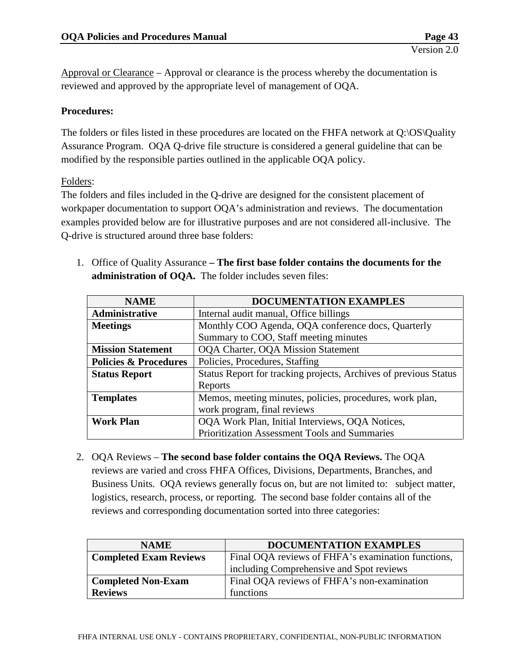Approval or Clearance – Approval or clearance is the process whereby the documentation is reviewed and approved by the appropriate level of management of OQA.

## **Procedures:**

The folders or files listed in these procedures are located on the FHFA network at Q:\OS\Quality Assurance Program. OQA Q-drive file structure is considered a general guideline that can be modified by the responsible parties outlined in the applicable OQA policy.

#### Folders:

The folders and files included in the Q-drive are designed for the consistent placement of workpaper documentation to support OQA's administration and reviews. The documentation examples provided below are for illustrative purposes and are not considered all-inclusive. The Q-drive is structured around three base folders:

| <b>NAME</b>                      | DOCUMENTATION EXAMPLES                                           |  |
|----------------------------------|------------------------------------------------------------------|--|
| Administrative                   | Internal audit manual, Office billings                           |  |
| <b>Meetings</b>                  | Monthly COO Agenda, OQA conference docs, Quarterly               |  |
|                                  | Summary to COO, Staff meeting minutes                            |  |
| <b>Mission Statement</b>         | <b>OQA Charter, OQA Mission Statement</b>                        |  |
| <b>Policies &amp; Procedures</b> | Policies, Procedures, Staffing                                   |  |
| <b>Status Report</b>             | Status Report for tracking projects, Archives of previous Status |  |
|                                  | Reports                                                          |  |
| <b>Templates</b>                 | Memos, meeting minutes, policies, procedures, work plan,         |  |
|                                  | work program, final reviews                                      |  |
| <b>Work Plan</b>                 | OQA Work Plan, Initial Interviews, OQA Notices,                  |  |
|                                  | Prioritization Assessment Tools and Summaries                    |  |

1. Office of Quality Assurance **– The first base folder contains the documents for the administration of OQA.** The folder includes seven files:

2. OQA Reviews – **The second base folder contains the OQA Reviews.** The OQA reviews are varied and cross FHFA Offices, Divisions, Departments, Branches, and Business Units. OQA reviews generally focus on, but are not limited to: subject matter, logistics, research, process, or reporting. The second base folder contains all of the reviews and corresponding documentation sorted into three categories:

| <b>NAME</b>                   | <b>DOCUMENTATION EXAMPLES</b>                      |
|-------------------------------|----------------------------------------------------|
| <b>Completed Exam Reviews</b> | Final OQA reviews of FHFA's examination functions, |
|                               | including Comprehensive and Spot reviews           |
| <b>Completed Non-Exam</b>     | Final OQA reviews of FHFA's non-examination        |
| <b>Reviews</b>                | functions                                          |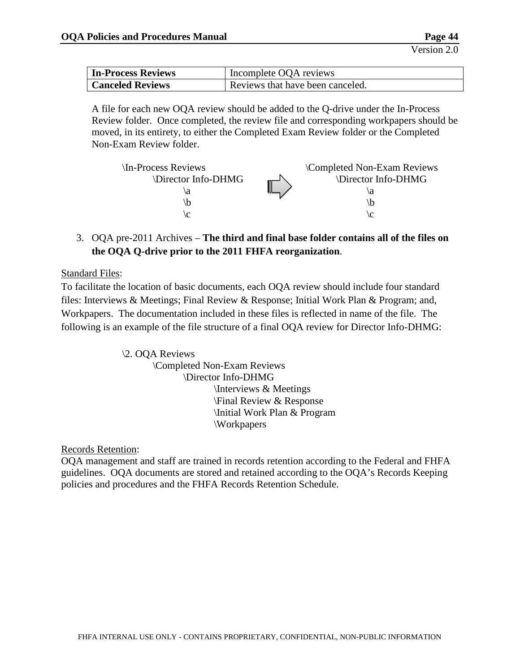| In-Process Reviews      | Incomplete OQA reviews           |
|-------------------------|----------------------------------|
| <b>Canceled Reviews</b> | Reviews that have been canceled. |

A file for each new OQA review should be added to the Q-drive under the In-Process Review folder. Once completed, the review file and corresponding workpapers should be moved, in its entirety, to either the Completed Exam Review folder or the Completed Non-Exam Review folder.

| In-Process Reviews | Completed Non-Exam Reviews |
|--------------------|----------------------------|
| Director Info-DHMG | \Director Info-DHMG        |
| ۱a                 | ١a                         |
|                    | ١b                         |
|                    |                            |

3. OQA pre-2011 Archives – **The third and final base folder contains all of the files on the OQA Q-drive prior to the 2011 FHFA reorganization**.

## Standard Files:

To facilitate the location of basic documents, each OQA review should include four standard files: Interviews & Meetings; Final Review & Response; Initial Work Plan & Program; and, Workpapers. The documentation included in these files is reflected in name of the file. The following is an example of the file structure of a final OQA review for Director Info-DHMG:

> \2. OQA Reviews \Completed Non-Exam Reviews \Director Info-DHMG \Interviews & Meetings \Final Review & Response \Initial Work Plan & Program \Workpapers

Records Retention:

OQA management and staff are trained in records retention according to the Federal and FHFA guidelines. OQA documents are stored and retained according to the OQA's Records Keeping policies and procedures and the FHFA Records Retention Schedule.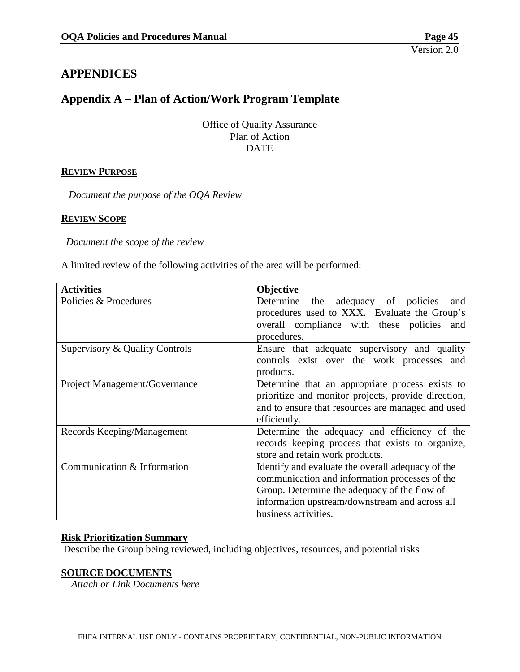# **APPENDICES**

## **Appendix A – Plan of Action/Work Program Template**

Office of Quality Assurance Plan of Action **DATE** 

## **REVIEW PURPOSE**

 *Document the purpose of the OQA Review*

#### **REVIEW SCOPE**

*Document the scope of the review*

A limited review of the following activities of the area will be performed:

| <b>Activities</b>              | Objective                                           |
|--------------------------------|-----------------------------------------------------|
| Policies & Procedures          | the adequacy of policies<br>Determine<br>and        |
|                                | procedures used to XXX. Evaluate the Group's        |
|                                | overall compliance with these policies<br>and       |
|                                | procedures.                                         |
| Supervisory & Quality Controls | Ensure that adequate supervisory and quality        |
|                                | controls exist over the work processes and          |
|                                | products.                                           |
| Project Management/Governance  | Determine that an appropriate process exists to     |
|                                | prioritize and monitor projects, provide direction, |
|                                | and to ensure that resources are managed and used   |
|                                | efficiently.                                        |
| Records Keeping/Management     | Determine the adequacy and efficiency of the        |
|                                | records keeping process that exists to organize,    |
|                                | store and retain work products.                     |
| Communication & Information    | Identify and evaluate the overall adequacy of the   |
|                                | communication and information processes of the      |
|                                | Group. Determine the adequacy of the flow of        |
|                                | information upstream/downstream and across all      |
|                                | business activities.                                |

#### **Risk Prioritization Summary**

Describe the Group being reviewed, including objectives, resources, and potential risks

#### **SOURCE DOCUMENTS**

 *Attach or Link Documents here*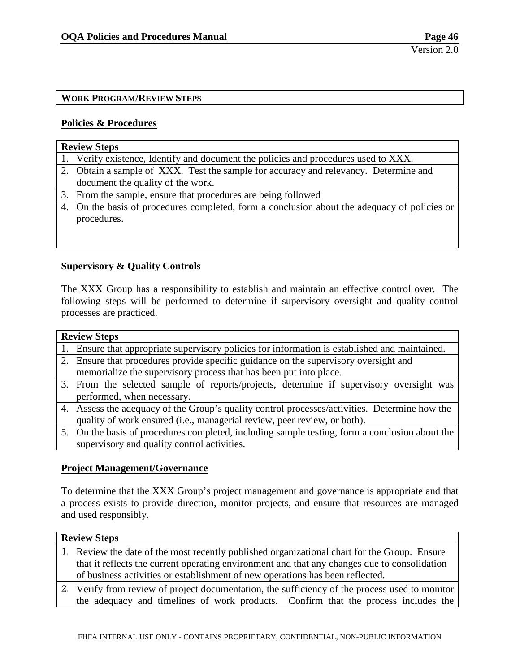## **WORK PROGRAM/REVIEW STEPS**

#### **Policies & Procedures**

## **Review Steps**

- 1. Verify existence, Identify and document the policies and procedures used to XXX.
- 2. Obtain a sample of XXX. Test the sample for accuracy and relevancy. Determine and document the quality of the work.
- 3. From the sample, ensure that procedures are being followed
- 4. On the basis of procedures completed, form a conclusion about the adequacy of policies or procedures.

#### **Supervisory & Quality Controls**

The XXX Group has a responsibility to establish and maintain an effective control over. The following steps will be performed to determine if supervisory oversight and quality control processes are practiced.

# **Review Steps** 1. Ensure that appropriate supervisory policies for information is established and maintained. 2. Ensure that procedures provide specific guidance on the supervisory oversight and memorialize the supervisory process that has been put into place. 3. From the selected sample of reports/projects, determine if supervisory oversight was performed, when necessary.

- 4. Assess the adequacy of the Group's quality control processes/activities. Determine how the quality of work ensured (i.e., managerial review, peer review, or both).
- 5. On the basis of procedures completed, including sample testing, form a conclusion about the supervisory and quality control activities.

## **Project Management/Governance**

To determine that the XXX Group's project management and governance is appropriate and that a process exists to provide direction, monitor projects, and ensure that resources are managed and used responsibly.

## **Review Steps**

- 1. Review the date of the most recently published organizational chart for the Group. Ensure that it reflects the current operating environment and that any changes due to consolidation of business activities or establishment of new operations has been reflected.
- 2. Verify from review of project documentation, the sufficiency of the process used to monitor the adequacy and timelines of work products. Confirm that the process includes the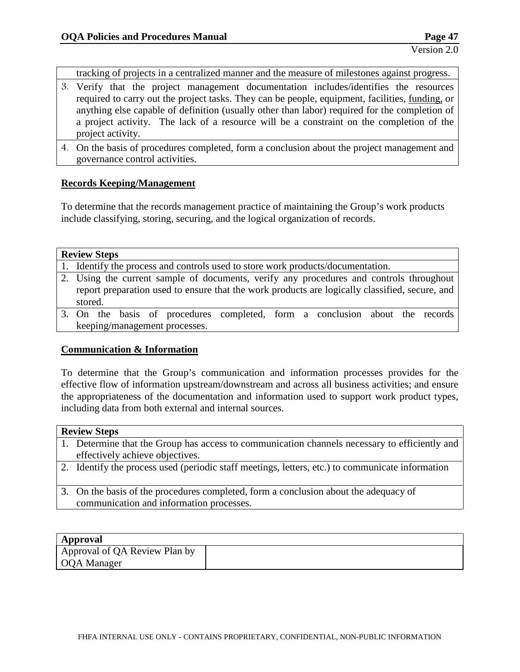tracking of projects in a centralized manner and the measure of milestones against progress.

- 3. Verify that the project management documentation includes/identifies the resources required to carry out the project tasks. They can be people, equipment, facilities, funding, or anything else capable of definition (usually other than labor) required for the completion of a project activity. The lack of a resource will be a constraint on the completion of the project activity.
- 4. On the basis of procedures completed, form a conclusion about the project management and governance control activities.

#### **Records Keeping/Management**

To determine that the records management practice of maintaining the Group's work products include classifying, storing, securing, and the logical organization of records.

| <b>Review Steps</b>                                                                            |
|------------------------------------------------------------------------------------------------|
| 1. Identify the process and controls used to store work products/documentation.                |
| 2. Using the current sample of documents, verify any procedures and controls throughout        |
| report preparation used to ensure that the work products are logically classified, secure, and |
| stored.                                                                                        |
| 3. On the basis of procedures completed, form a conclusion about the records                   |

keeping/management processes.

#### **Communication & Information**

To determine that the Group's communication and information processes provides for the effective flow of information upstream/downstream and across all business activities; and ensure the appropriateness of the documentation and information used to support work product types, including data from both external and internal sources.

#### **Review Steps**

- 1. Determine that the Group has access to communication channels necessary to efficiently and effectively achieve objectives.
- 2. Identify the process used (periodic staff meetings, letters, etc.) to communicate information
- 3. On the basis of the procedures completed, form a conclusion about the adequacy of communication and information processes.

# **Approval**

| $A$ ppi o val                 |  |
|-------------------------------|--|
| Approval of QA Review Plan by |  |
| <b>OOA</b> Manager            |  |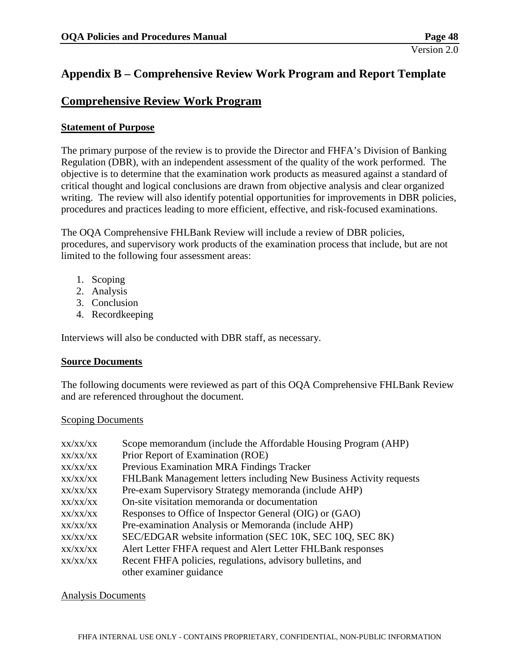# **Appendix B – Comprehensive Review Work Program and Report Template**

## **Comprehensive Review Work Program**

### **Statement of Purpose**

The primary purpose of the review is to provide the Director and FHFA's Division of Banking Regulation (DBR), with an independent assessment of the quality of the work performed. The objective is to determine that the examination work products as measured against a standard of critical thought and logical conclusions are drawn from objective analysis and clear organized writing. The review will also identify potential opportunities for improvements in DBR policies, procedures and practices leading to more efficient, effective, and risk-focused examinations.

The OQA Comprehensive FHLBank Review will include a review of DBR policies, procedures, and supervisory work products of the examination process that include, but are not limited to the following four assessment areas:

- 1. Scoping
- 2. Analysis
- 3. Conclusion
- 4. Recordkeeping

Interviews will also be conducted with DBR staff, as necessary.

#### **Source Documents**

The following documents were reviewed as part of this OQA Comprehensive FHLBank Review and are referenced throughout the document.

#### Scoping Documents

| XX/XX/XX | Scope memorandum (include the Affordable Housing Program (AHP)      |
|----------|---------------------------------------------------------------------|
| XX/XX/XX | Prior Report of Examination (ROE)                                   |
| XX/XX/XX | Previous Examination MRA Findings Tracker                           |
| XX/XX/XX | FHLBank Management letters including New Business Activity requests |
| XX/XX/XX | Pre-exam Supervisory Strategy memoranda (include AHP)               |
| XX/XX/XX | On-site visitation memoranda or documentation                       |
| XX/XX/XX | Responses to Office of Inspector General (OIG) or (GAO)             |
| XX/XX/XX | Pre-examination Analysis or Memoranda (include AHP)                 |
| XX/XX/XX | SEC/EDGAR website information (SEC 10K, SEC 10Q, SEC 8K)            |
| XX/XX/XX | Alert Letter FHFA request and Alert Letter FHLBank responses        |
| XX/XX/XX | Recent FHFA policies, regulations, advisory bulletins, and          |
|          | other examiner guidance                                             |

#### Analysis Documents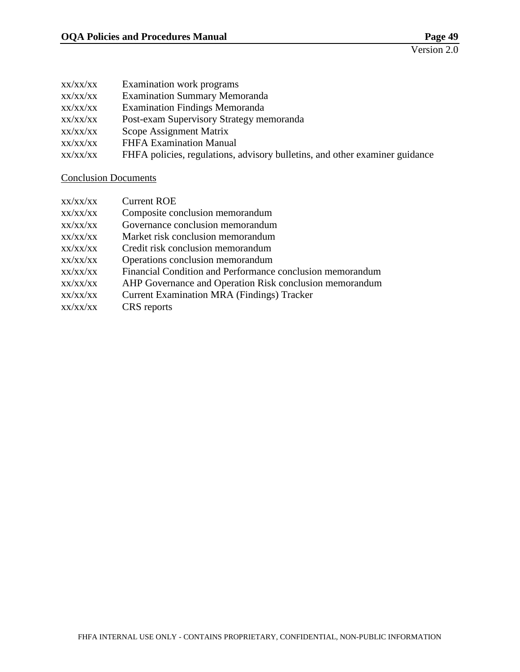| XX/XX/XX | Examination work programs                                                   |
|----------|-----------------------------------------------------------------------------|
| XX/XX/XX | <b>Examination Summary Memoranda</b>                                        |
| XX/XX/XX | <b>Examination Findings Memoranda</b>                                       |
| XX/XX/XX | Post-exam Supervisory Strategy memoranda                                    |
| XX/XX/XX | Scope Assignment Matrix                                                     |
| XX/XX/XX | <b>FHFA Examination Manual</b>                                              |
| XX/XX/XX | FHFA policies, regulations, advisory bulletins, and other examiner guidance |
|          |                                                                             |

## Conclusion Documents

| XX/XX/XX | <b>Current ROE</b>                                        |
|----------|-----------------------------------------------------------|
| XX/XX/XX | Composite conclusion memorandum                           |
| XX/XX/XX | Governance conclusion memorandum                          |
| XX/XX/XX | Market risk conclusion memorandum                         |
| XX/XX/XX | Credit risk conclusion memorandum                         |
| XX/XX/XX | Operations conclusion memorandum                          |
| XX/XX/XX | Financial Condition and Performance conclusion memorandum |
| XX/XX/XX | AHP Governance and Operation Risk conclusion memorandum   |
| XX/XX/XX | <b>Current Examination MRA (Findings) Tracker</b>         |
| XX/XX/XX | CRS reports                                               |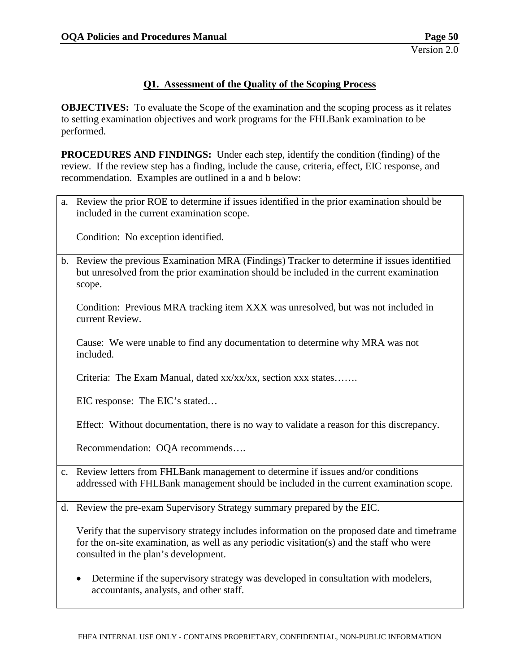### **Q1. Assessment of the Quality of the Scoping Process**

**OBJECTIVES:** To evaluate the Scope of the examination and the scoping process as it relates to setting examination objectives and work programs for the FHLBank examination to be performed.

**PROCEDURES AND FINDINGS:** Under each step, identify the condition (finding) of the review. If the review step has a finding, include the cause, criteria, effect, EIC response, and recommendation. Examples are outlined in a and b below:

a. Review the prior ROE to determine if issues identified in the prior examination should be included in the current examination scope.

Condition: No exception identified.

b. Review the previous Examination MRA (Findings) Tracker to determine if issues identified but unresolved from the prior examination should be included in the current examination scope.

Condition: Previous MRA tracking item XXX was unresolved, but was not included in current Review.

Cause: We were unable to find any documentation to determine why MRA was not included.

Criteria: The Exam Manual, dated xx/xx/xx, section xxx states…….

EIC response: The EIC's stated…

Effect: Without documentation, there is no way to validate a reason for this discrepancy.

Recommendation: OQA recommends….

- c. Review letters from FHLBank management to determine if issues and/or conditions addressed with FHLBank management should be included in the current examination scope.
- d. Review the pre-exam Supervisory Strategy summary prepared by the EIC.

Verify that the supervisory strategy includes information on the proposed date and timeframe for the on-site examination, as well as any periodic visitation(s) and the staff who were consulted in the plan's development.

• Determine if the supervisory strategy was developed in consultation with modelers, accountants, analysts, and other staff.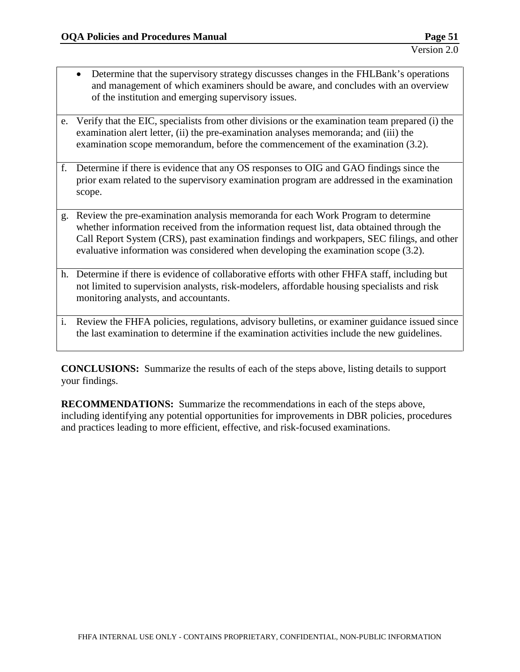- Determine that the supervisory strategy discusses changes in the FHLBank's operations and management of which examiners should be aware, and concludes with an overview of the institution and emerging supervisory issues.
- e. Verify that the EIC, specialists from other divisions or the examination team prepared (i) the examination alert letter, (ii) the pre-examination analyses memoranda; and (iii) the examination scope memorandum, before the commencement of the examination (3.2).
- f. Determine if there is evidence that any OS responses to OIG and GAO findings since the prior exam related to the supervisory examination program are addressed in the examination scope.
- g. Review the pre-examination analysis memoranda for each Work Program to determine whether information received from the information request list, data obtained through the Call Report System (CRS), past examination findings and workpapers, SEC filings, and other evaluative information was considered when developing the examination scope (3.2).
- h. Determine if there is evidence of collaborative efforts with other FHFA staff, including but not limited to supervision analysts, risk-modelers, affordable housing specialists and risk monitoring analysts, and accountants.
- i. Review the FHFA policies, regulations, advisory bulletins, or examiner guidance issued since the last examination to determine if the examination activities include the new guidelines.

**CONCLUSIONS:** Summarize the results of each of the steps above, listing details to support your findings.

**RECOMMENDATIONS:** Summarize the recommendations in each of the steps above, including identifying any potential opportunities for improvements in DBR policies, procedures and practices leading to more efficient, effective, and risk-focused examinations.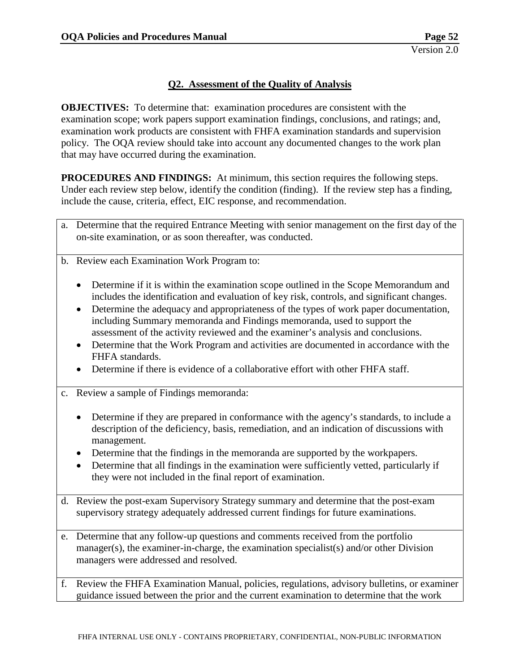## **Q2. Assessment of the Quality of Analysis**

**OBJECTIVES:** To determine that: examination procedures are consistent with the examination scope; work papers support examination findings, conclusions, and ratings; and, examination work products are consistent with FHFA examination standards and supervision policy. The OQA review should take into account any documented changes to the work plan that may have occurred during the examination.

**PROCEDURES AND FINDINGS:** At minimum, this section requires the following steps. Under each review step below, identify the condition (finding). If the review step has a finding, include the cause, criteria, effect, EIC response, and recommendation.

- a. Determine that the required Entrance Meeting with senior management on the first day of the on-site examination, or as soon thereafter, was conducted.
- b. Review each Examination Work Program to:
	- Determine if it is within the examination scope outlined in the Scope Memorandum and includes the identification and evaluation of key risk, controls, and significant changes.
	- Determine the adequacy and appropriateness of the types of work paper documentation, including Summary memoranda and Findings memoranda, used to support the assessment of the activity reviewed and the examiner's analysis and conclusions.
	- Determine that the Work Program and activities are documented in accordance with the FHFA standards.
	- Determine if there is evidence of a collaborative effort with other FHFA staff.
- c. Review a sample of Findings memoranda:
	- Determine if they are prepared in conformance with the agency's standards, to include a description of the deficiency, basis, remediation, and an indication of discussions with management.
	- Determine that the findings in the memoranda are supported by the workpapers.
	- Determine that all findings in the examination were sufficiently vetted, particularly if they were not included in the final report of examination.
- d. Review the post-exam Supervisory Strategy summary and determine that the post-exam supervisory strategy adequately addressed current findings for future examinations.
- e. Determine that any follow-up questions and comments received from the portfolio manager(s), the examiner-in-charge, the examination specialist(s) and/or other Division managers were addressed and resolved.
- f. Review the FHFA Examination Manual, policies, regulations, advisory bulletins, or examiner guidance issued between the prior and the current examination to determine that the work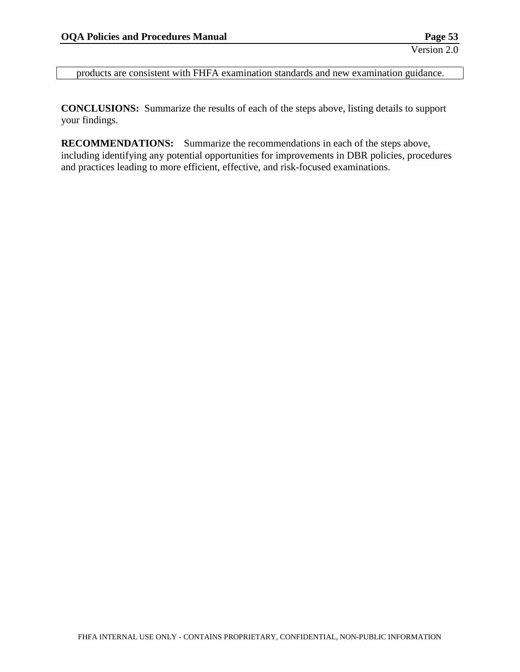products are consistent with FHFA examination standards and new examination guidance.

**CONCLUSIONS:** Summarize the results of each of the steps above, listing details to support your findings.

**RECOMMENDATIONS:** Summarize the recommendations in each of the steps above, including identifying any potential opportunities for improvements in DBR policies, procedures and practices leading to more efficient, effective, and risk-focused examinations.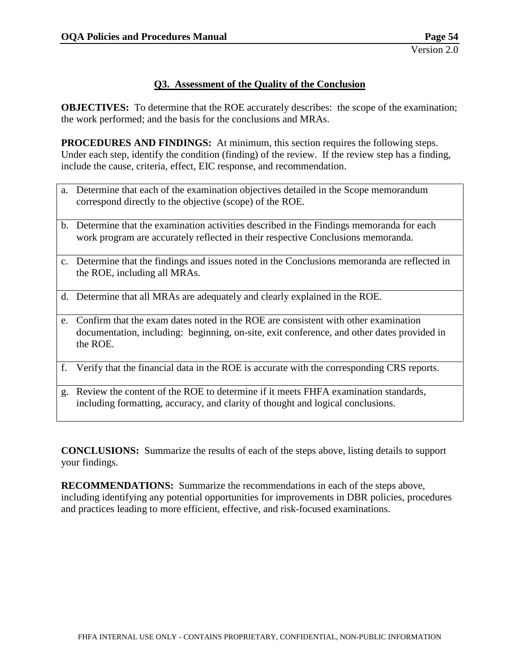#### **Q3. Assessment of the Quality of the Conclusion**

**OBJECTIVES:** To determine that the ROE accurately describes: the scope of the examination; the work performed; and the basis for the conclusions and MRAs.

**PROCEDURES AND FINDINGS:** At minimum, this section requires the following steps. Under each step, identify the condition (finding) of the review. If the review step has a finding, include the cause, criteria, effect, EIC response, and recommendation.

- a. Determine that each of the examination objectives detailed in the Scope memorandum correspond directly to the objective (scope) of the ROE.
- b. Determine that the examination activities described in the Findings memoranda for each work program are accurately reflected in their respective Conclusions memoranda.
- c. Determine that the findings and issues noted in the Conclusions memoranda are reflected in the ROE, including all MRAs.
- d. Determine that all MRAs are adequately and clearly explained in the ROE.
- e. Confirm that the exam dates noted in the ROE are consistent with other examination documentation, including: beginning, on-site, exit conference, and other dates provided in the ROE.
- f. Verify that the financial data in the ROE is accurate with the corresponding CRS reports.
- g. Review the content of the ROE to determine if it meets FHFA examination standards, including formatting, accuracy, and clarity of thought and logical conclusions.

**CONCLUSIONS:** Summarize the results of each of the steps above, listing details to support your findings.

**RECOMMENDATIONS:** Summarize the recommendations in each of the steps above, including identifying any potential opportunities for improvements in DBR policies, procedures and practices leading to more efficient, effective, and risk-focused examinations.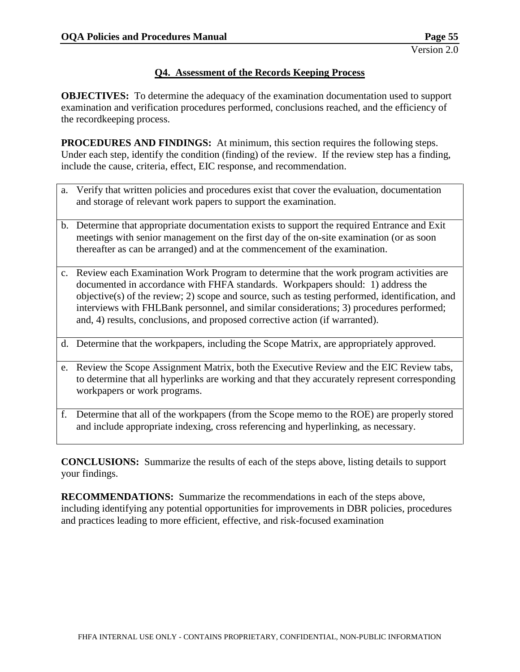## **Q4. Assessment of the Records Keeping Process**

**OBJECTIVES:** To determine the adequacy of the examination documentation used to support examination and verification procedures performed, conclusions reached, and the efficiency of the recordkeeping process.

**PROCEDURES AND FINDINGS:** At minimum, this section requires the following steps. Under each step, identify the condition (finding) of the review. If the review step has a finding, include the cause, criteria, effect, EIC response, and recommendation.

- a. Verify that written policies and procedures exist that cover the evaluation, documentation and storage of relevant work papers to support the examination.
- b. Determine that appropriate documentation exists to support the required Entrance and Exit meetings with senior management on the first day of the on-site examination (or as soon thereafter as can be arranged) and at the commencement of the examination.
- c. Review each Examination Work Program to determine that the work program activities are documented in accordance with FHFA standards. Workpapers should: 1) address the objective(s) of the review; 2) scope and source, such as testing performed, identification, and interviews with FHLBank personnel, and similar considerations; 3) procedures performed; and, 4) results, conclusions, and proposed corrective action (if warranted).
- d. Determine that the workpapers, including the Scope Matrix, are appropriately approved.
- e. Review the Scope Assignment Matrix, both the Executive Review and the EIC Review tabs, to determine that all hyperlinks are working and that they accurately represent corresponding workpapers or work programs.
- f. Determine that all of the workpapers (from the Scope memo to the ROE) are properly stored and include appropriate indexing, cross referencing and hyperlinking, as necessary.

**CONCLUSIONS:** Summarize the results of each of the steps above, listing details to support your findings.

**RECOMMENDATIONS:** Summarize the recommendations in each of the steps above, including identifying any potential opportunities for improvements in DBR policies, procedures and practices leading to more efficient, effective, and risk-focused examination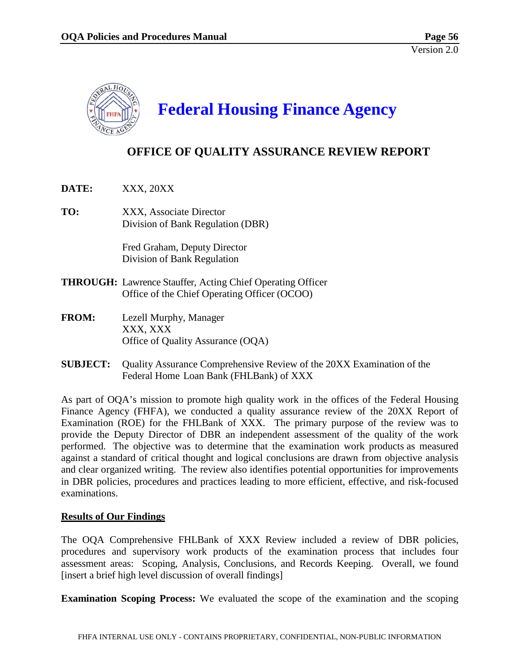

# **Federal Housing Finance Agency**

# **OFFICE OF QUALITY ASSURANCE REVIEW REPORT**

- **DATE:** XXX, 20XX
- **TO:** XXX, Associate Director Division of Bank Regulation (DBR)

Fred Graham, Deputy Director Division of Bank Regulation

- **THROUGH:** Lawrence Stauffer, Acting Chief Operating Officer Office of the Chief Operating Officer (OCOO)
- **FROM:** Lezell Murphy, Manager XXX, XXX Office of Quality Assurance (OQA)
- **SUBJECT:** Quality Assurance Comprehensive Review of the 20XX Examination of the Federal Home Loan Bank (FHLBank) of XXX

As part of OQA's mission to promote high quality work in the offices of the Federal Housing Finance Agency (FHFA), we conducted a quality assurance review of the 20XX Report of Examination (ROE) for the FHLBank of XXX. The primary purpose of the review was to provide the Deputy Director of DBR an independent assessment of the quality of the work performed. The objective was to determine that the examination work products as measured against a standard of critical thought and logical conclusions are drawn from objective analysis and clear organized writing. The review also identifies potential opportunities for improvements in DBR policies, procedures and practices leading to more efficient, effective, and risk-focused examinations.

#### **Results of Our Findings**

The OQA Comprehensive FHLBank of XXX Review included a review of DBR policies, procedures and supervisory work products of the examination process that includes four assessment areas: Scoping, Analysis, Conclusions, and Records Keeping. Overall, we found [insert a brief high level discussion of overall findings]

**Examination Scoping Process:** We evaluated the scope of the examination and the scoping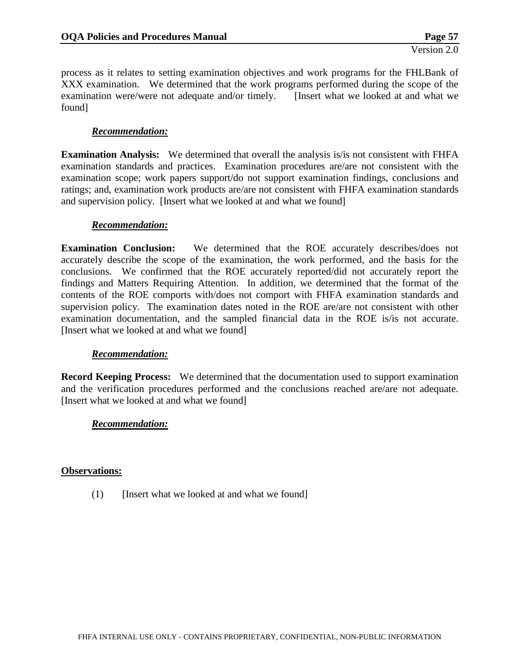process as it relates to setting examination objectives and work programs for the FHLBank of XXX examination. We determined that the work programs performed during the scope of the examination were/were not adequate and/or timely. [Insert what we looked at and what we found]

## *Recommendation:*

**Examination Analysis:** We determined that overall the analysis is/is not consistent with FHFA examination standards and practices. Examination procedures are/are not consistent with the examination scope; work papers support/do not support examination findings, conclusions and ratings; and, examination work products are/are not consistent with FHFA examination standards and supervision policy. [Insert what we looked at and what we found]

#### *Recommendation:*

**Examination Conclusion:** We determined that the ROE accurately describes/does not accurately describe the scope of the examination, the work performed, and the basis for the conclusions. We confirmed that the ROE accurately reported/did not accurately report the findings and Matters Requiring Attention. In addition, we determined that the format of the contents of the ROE comports with/does not comport with FHFA examination standards and supervision policy. The examination dates noted in the ROE are/are not consistent with other examination documentation, and the sampled financial data in the ROE is/is not accurate. [Insert what we looked at and what we found]

#### *Recommendation:*

**Record Keeping Process:** We determined that the documentation used to support examination and the verification procedures performed and the conclusions reached are/are not adequate. [Insert what we looked at and what we found]

#### *Recommendation:*

#### **Observations:**

(1) [Insert what we looked at and what we found]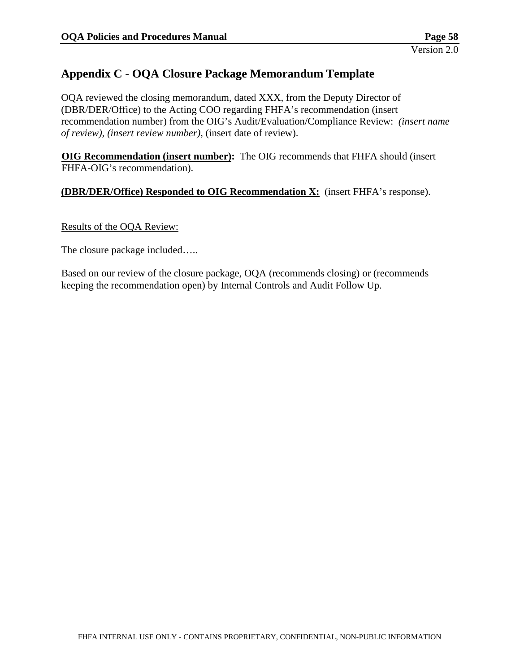# **Appendix C - OQA Closure Package Memorandum Template**

OQA reviewed the closing memorandum, dated XXX, from the Deputy Director of (DBR/DER/Office) to the Acting COO regarding FHFA's recommendation (insert recommendation number) from the OIG's Audit/Evaluation/Compliance Review: *(insert name of review), (insert review number)*, (insert date of review).

**OIG Recommendation (insert number):** The OIG recommends that FHFA should (insert FHFA-OIG's recommendation).

## **(DBR/DER/Office) Responded to OIG Recommendation X:** (insert FHFA's response).

#### Results of the OQA Review:

The closure package included…..

Based on our review of the closure package, OQA (recommends closing) or (recommends keeping the recommendation open) by Internal Controls and Audit Follow Up.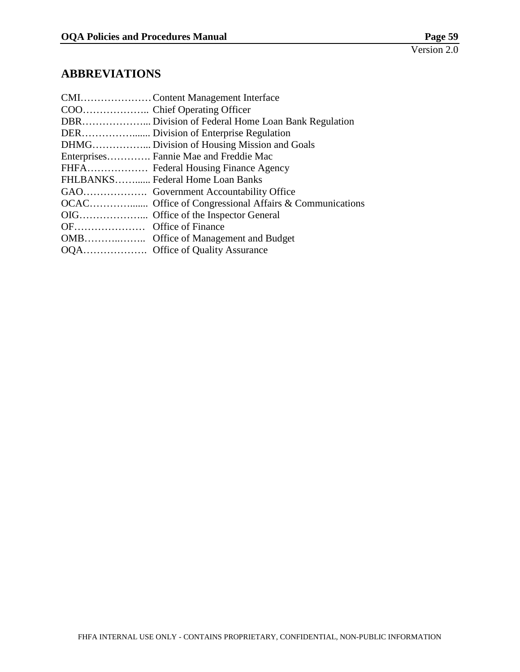# **ABBREVIATIONS**

| DBR Division of Federal Home Loan Bank Regulation |
|---------------------------------------------------|
|                                                   |
|                                                   |
| Enterprises Fannie Mae and Freddie Mac            |
|                                                   |
| FHLBANKS Federal Home Loan Banks                  |
|                                                   |
|                                                   |
|                                                   |
|                                                   |
|                                                   |
|                                                   |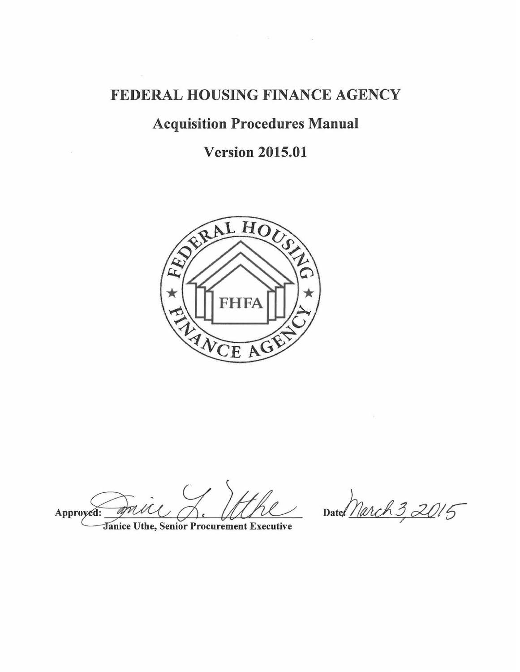# FEDERAL HOUSING FINANCE AGENCY

# Acquisition Procedures Manual

# Version 2015.01



amu Approyed:

 $\widetilde{A}^{\prime}$ 

anice Uthe, Senior Procurement Executive

 $= \frac{D}{2}$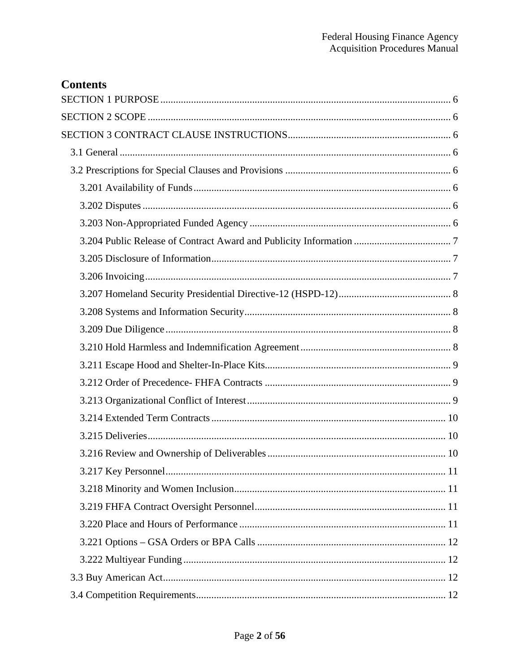| <b>Contents</b> |
|-----------------|
|                 |
|                 |
|                 |
|                 |
|                 |
|                 |
|                 |
|                 |
|                 |
|                 |
|                 |
|                 |
|                 |
|                 |
|                 |
|                 |
|                 |
|                 |
|                 |
|                 |
|                 |
|                 |
|                 |
|                 |
|                 |
|                 |
|                 |
|                 |
|                 |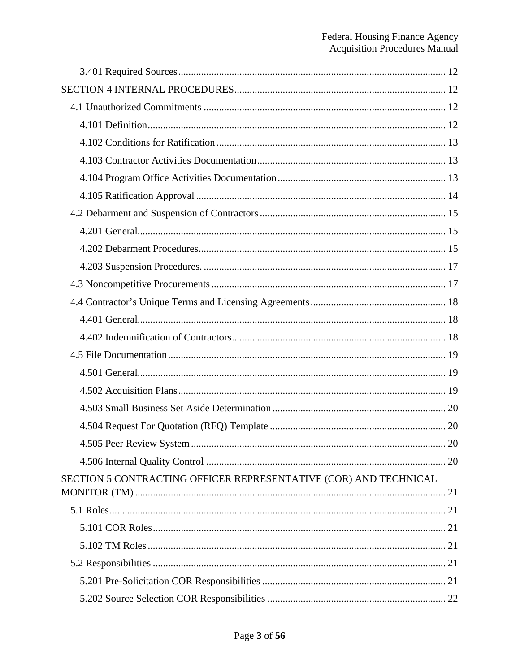|                                                                  | 20 |
|------------------------------------------------------------------|----|
|                                                                  |    |
| SECTION 5 CONTRACTING OFFICER REPRESENTATIVE (COR) AND TECHNICAL |    |
|                                                                  |    |
|                                                                  |    |
|                                                                  |    |
|                                                                  |    |
|                                                                  |    |
|                                                                  |    |
|                                                                  |    |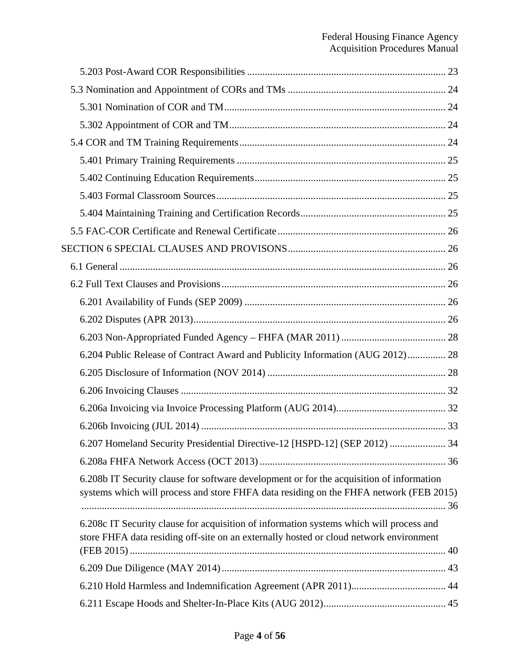| 6.204 Public Release of Contract Award and Publicity Information (AUG 2012) 28                                                                                                     |  |
|------------------------------------------------------------------------------------------------------------------------------------------------------------------------------------|--|
|                                                                                                                                                                                    |  |
|                                                                                                                                                                                    |  |
|                                                                                                                                                                                    |  |
|                                                                                                                                                                                    |  |
| 6.207 Homeland Security Presidential Directive-12 [HSPD-12] (SEP 2012)  34                                                                                                         |  |
|                                                                                                                                                                                    |  |
| 6.208b IT Security clause for software development or for the acquisition of information<br>systems which will process and store FHFA data residing on the FHFA network (FEB 2015) |  |
| 6.208c IT Security clause for acquisition of information systems which will process and<br>store FHFA data residing off-site on an externally hosted or cloud network environment  |  |
|                                                                                                                                                                                    |  |
|                                                                                                                                                                                    |  |
|                                                                                                                                                                                    |  |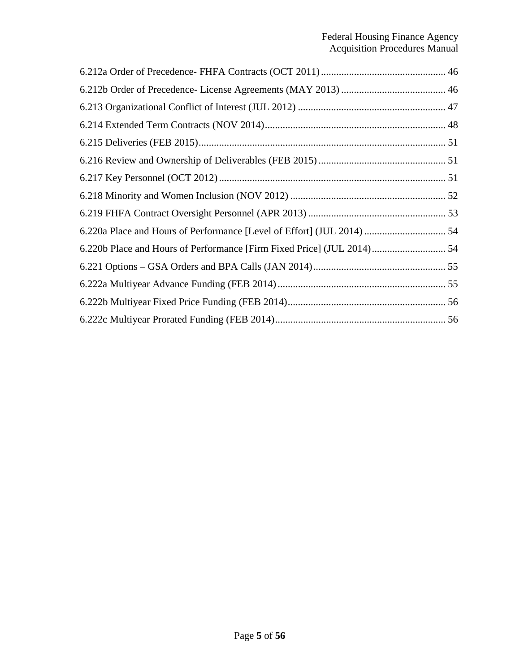| 6.220a Place and Hours of Performance [Level of Effort] (JUL 2014)  54 |  |
|------------------------------------------------------------------------|--|
| 6.220b Place and Hours of Performance [Firm Fixed Price] (JUL 2014) 54 |  |
|                                                                        |  |
|                                                                        |  |
|                                                                        |  |
|                                                                        |  |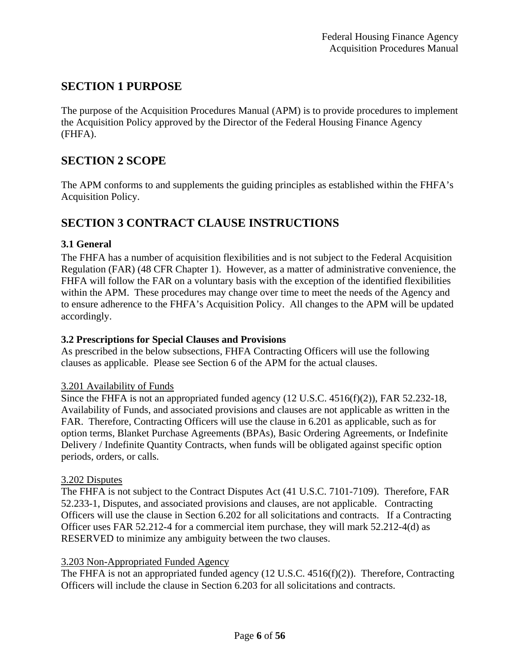# **SECTION 1 PURPOSE**

The purpose of the Acquisition Procedures Manual (APM) is to provide procedures to implement the Acquisition Policy approved by the Director of the Federal Housing Finance Agency (FHFA).

## **SECTION 2 SCOPE**

The APM conforms to and supplements the guiding principles as established within the FHFA's Acquisition Policy.

# **SECTION 3 CONTRACT CLAUSE INSTRUCTIONS**

## **3.1 General**

The FHFA has a number of acquisition flexibilities and is not subject to the Federal Acquisition Regulation (FAR) (48 CFR Chapter 1). However, as a matter of administrative convenience, the FHFA will follow the FAR on a voluntary basis with the exception of the identified flexibilities within the APM. These procedures may change over time to meet the needs of the Agency and to ensure adherence to the FHFA's Acquisition Policy. All changes to the APM will be updated accordingly.

## **3.2 Prescriptions for Special Clauses and Provisions**

As prescribed in the below subsections, FHFA Contracting Officers will use the following clauses as applicable. Please see Section 6 of the APM for the actual clauses.

#### 3.201 Availability of Funds

Since the FHFA is not an appropriated funded agency (12 U.S.C. 4516(f)(2)), FAR 52.232-18, Availability of Funds, and associated provisions and clauses are not applicable as written in the FAR. Therefore, Contracting Officers will use the clause in 6.201 as applicable, such as for option terms, Blanket Purchase Agreements (BPAs), Basic Ordering Agreements, or Indefinite Delivery / Indefinite Quantity Contracts, when funds will be obligated against specific option periods, orders, or calls.

#### 3.202 Disputes

The FHFA is not subject to the Contract Disputes Act (41 U.S.C. 7101-7109). Therefore, FAR 52.233-1, Disputes, and associated provisions and clauses, are not applicable. Contracting Officers will use the clause in Section 6.202 for all solicitations and contracts. If a Contracting Officer uses FAR 52.212-4 for a commercial item purchase, they will mark 52.212-4(d) as RESERVED to minimize any ambiguity between the two clauses.

#### 3.203 Non-Appropriated Funded Agency

The FHFA is not an appropriated funded agency (12 U.S.C. 4516(f)(2)). Therefore, Contracting Officers will include the clause in Section 6.203 for all solicitations and contracts.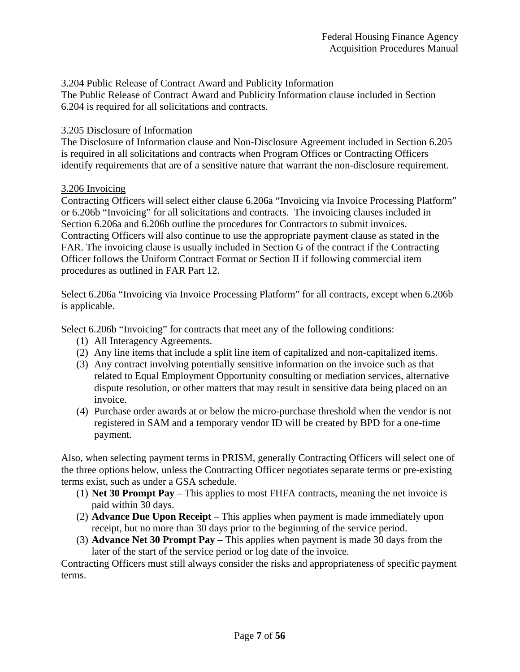#### 3.204 Public Release of Contract Award and Publicity Information

The Public Release of Contract Award and Publicity Information clause included in Section 6.204 is required for all solicitations and contracts.

#### 3.205 Disclosure of Information

The Disclosure of Information clause and Non-Disclosure Agreement included in Section 6.205 is required in all solicitations and contracts when Program Offices or Contracting Officers identify requirements that are of a sensitive nature that warrant the non-disclosure requirement.

#### 3.206 Invoicing

Contracting Officers will select either clause 6.206a "Invoicing via Invoice Processing Platform" or 6.206b "Invoicing" for all solicitations and contracts. The invoicing clauses included in Section 6.206a and 6.206b outline the procedures for Contractors to submit invoices. Contracting Officers will also continue to use the appropriate payment clause as stated in the FAR. The invoicing clause is usually included in Section G of the contract if the Contracting Officer follows the Uniform Contract Format or Section II if following commercial item procedures as outlined in FAR Part 12.

Select 6.206a "Invoicing via Invoice Processing Platform" for all contracts, except when 6.206b is applicable.

Select 6.206b "Invoicing" for contracts that meet any of the following conditions:

- (1) All Interagency Agreements.
- (2) Any line items that include a split line item of capitalized and non-capitalized items.
- (3) Any contract involving potentially sensitive information on the invoice such as that related to Equal Employment Opportunity consulting or mediation services, alternative dispute resolution, or other matters that may result in sensitive data being placed on an invoice.
- (4) Purchase order awards at or below the micro-purchase threshold when the vendor is not registered in SAM and a temporary vendor ID will be created by BPD for a one-time payment.

Also, when selecting payment terms in PRISM, generally Contracting Officers will select one of the three options below, unless the Contracting Officer negotiates separate terms or pre-existing terms exist, such as under a GSA schedule.

- (1) **Net 30 Prompt Pay** This applies to most FHFA contracts, meaning the net invoice is paid within 30 days.
- (2) **Advance Due Upon Receipt** This applies when payment is made immediately upon receipt, but no more than 30 days prior to the beginning of the service period.
- (3) **Advance Net 30 Prompt Pay** This applies when payment is made 30 days from the later of the start of the service period or log date of the invoice.

Contracting Officers must still always consider the risks and appropriateness of specific payment terms.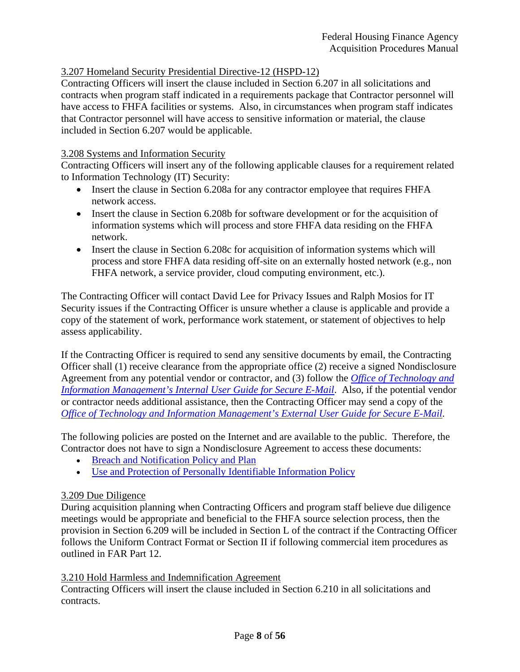## 3.207 Homeland Security Presidential Directive-12 (HSPD-12)

Contracting Officers will insert the clause included in Section 6.207 in all solicitations and contracts when program staff indicated in a requirements package that Contractor personnel will have access to FHFA facilities or systems. Also, in circumstances when program staff indicates that Contractor personnel will have access to sensitive information or material, the clause included in Section 6.207 would be applicable.

#### 3.208 Systems and Information Security

Contracting Officers will insert any of the following applicable clauses for a requirement related to Information Technology (IT) Security:

- Insert the clause in Section 6.208a for any contractor employee that requires FHFA network access.
- Insert the clause in Section 6.208b for software development or for the acquisition of information systems which will process and store FHFA data residing on the FHFA network.
- Insert the clause in Section 6.208c for acquisition of information systems which will process and store FHFA data residing off-site on an externally hosted network (e.g., non FHFA network, a service provider, cloud computing environment, etc.).

The Contracting Officer will contact David Lee for Privacy Issues and Ralph Mosios for IT Security issues if the Contracting Officer is unsure whether a clause is applicable and provide a copy of the statement of work, performance work statement, or statement of objectives to help assess applicability.

If the Contracting Officer is required to send any sensitive documents by email, the Contracting Officer shall (1) receive clearance from the appropriate office (2) receive a signed Nondisclosure Agreement from any potential vendor or contractor, and (3) follow the *Office of Technology and Information Management's Internal User Guide for Secure E-Mail*. Also, if the potential vendor or contractor needs additional assistance, then the Contracting Officer may send a copy of the *Office of Technology and Information Management's External User Guide for Secure E-Mail*.

The following policies are posted on the Internet and are available to the public. Therefore, the Contractor does not have to sign a Nondisclosure Agreement to access these documents:

- Breach and Notification Policy and Plan
- Use and Protection of Personally Identifiable Information Policy

#### 3.209 Due Diligence

During acquisition planning when Contracting Officers and program staff believe due diligence meetings would be appropriate and beneficial to the FHFA source selection process, then the provision in Section 6.209 will be included in Section L of the contract if the Contracting Officer follows the Uniform Contract Format or Section II if following commercial item procedures as outlined in FAR Part 12.

#### 3.210 Hold Harmless and Indemnification Agreement

Contracting Officers will insert the clause included in Section 6.210 in all solicitations and contracts.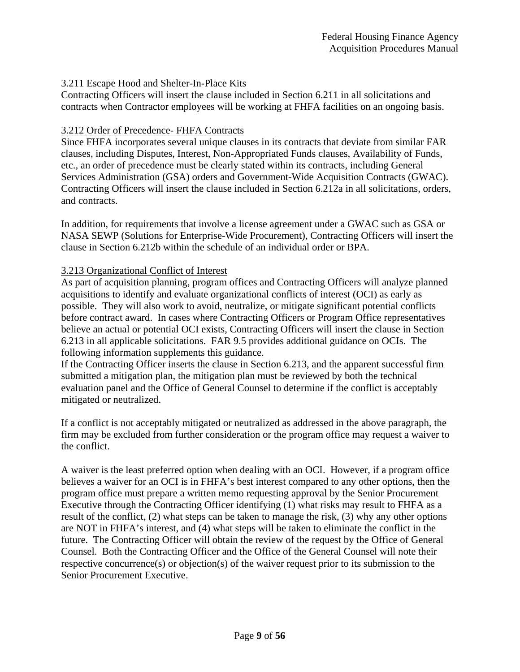## 3.211 Escape Hood and Shelter-In-Place Kits

Contracting Officers will insert the clause included in Section 6.211 in all solicitations and contracts when Contractor employees will be working at FHFA facilities on an ongoing basis.

## 3.212 Order of Precedence- FHFA Contracts

Since FHFA incorporates several unique clauses in its contracts that deviate from similar FAR clauses, including Disputes, Interest, Non-Appropriated Funds clauses, Availability of Funds, etc., an order of precedence must be clearly stated within its contracts, including General Services Administration (GSA) orders and Government-Wide Acquisition Contracts (GWAC). Contracting Officers will insert the clause included in Section 6.212a in all solicitations, orders, and contracts.

In addition, for requirements that involve a license agreement under a GWAC such as GSA or NASA SEWP (Solutions for Enterprise-Wide Procurement), Contracting Officers will insert the clause in Section 6.212b within the schedule of an individual order or BPA.

## 3.213 Organizational Conflict of Interest

As part of acquisition planning, program offices and Contracting Officers will analyze planned acquisitions to identify and evaluate organizational conflicts of interest (OCI) as early as possible. They will also work to avoid, neutralize, or mitigate significant potential conflicts before contract award. In cases where Contracting Officers or Program Office representatives believe an actual or potential OCI exists, Contracting Officers will insert the clause in Section 6.213 in all applicable solicitations. FAR 9.5 provides additional guidance on OCIs. The following information supplements this guidance.

If the Contracting Officer inserts the clause in Section 6.213, and the apparent successful firm submitted a mitigation plan, the mitigation plan must be reviewed by both the technical evaluation panel and the Office of General Counsel to determine if the conflict is acceptably mitigated or neutralized.

If a conflict is not acceptably mitigated or neutralized as addressed in the above paragraph, the firm may be excluded from further consideration or the program office may request a waiver to the conflict.

A waiver is the least preferred option when dealing with an OCI. However, if a program office believes a waiver for an OCI is in FHFA's best interest compared to any other options, then the program office must prepare a written memo requesting approval by the Senior Procurement Executive through the Contracting Officer identifying (1) what risks may result to FHFA as a result of the conflict, (2) what steps can be taken to manage the risk, (3) why any other options are NOT in FHFA's interest, and (4) what steps will be taken to eliminate the conflict in the future. The Contracting Officer will obtain the review of the request by the Office of General Counsel. Both the Contracting Officer and the Office of the General Counsel will note their respective concurrence(s) or objection(s) of the waiver request prior to its submission to the Senior Procurement Executive.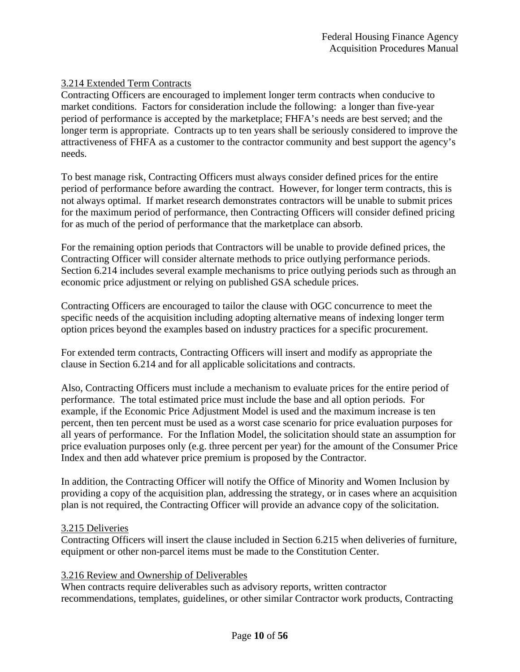## 3.214 Extended Term Contracts

Contracting Officers are encouraged to implement longer term contracts when conducive to market conditions. Factors for consideration include the following: a longer than five-year period of performance is accepted by the marketplace; FHFA's needs are best served; and the longer term is appropriate. Contracts up to ten years shall be seriously considered to improve the attractiveness of FHFA as a customer to the contractor community and best support the agency's needs.

To best manage risk, Contracting Officers must always consider defined prices for the entire period of performance before awarding the contract. However, for longer term contracts, this is not always optimal. If market research demonstrates contractors will be unable to submit prices for the maximum period of performance, then Contracting Officers will consider defined pricing for as much of the period of performance that the marketplace can absorb.

For the remaining option periods that Contractors will be unable to provide defined prices, the Contracting Officer will consider alternate methods to price outlying performance periods. Section 6.214 includes several example mechanisms to price outlying periods such as through an economic price adjustment or relying on published GSA schedule prices.

Contracting Officers are encouraged to tailor the clause with OGC concurrence to meet the specific needs of the acquisition including adopting alternative means of indexing longer term option prices beyond the examples based on industry practices for a specific procurement.

For extended term contracts, Contracting Officers will insert and modify as appropriate the clause in Section 6.214 and for all applicable solicitations and contracts.

Also, Contracting Officers must include a mechanism to evaluate prices for the entire period of performance. The total estimated price must include the base and all option periods. For example, if the Economic Price Adjustment Model is used and the maximum increase is ten percent, then ten percent must be used as a worst case scenario for price evaluation purposes for all years of performance. For the Inflation Model, the solicitation should state an assumption for price evaluation purposes only (e.g. three percent per year) for the amount of the Consumer Price Index and then add whatever price premium is proposed by the Contractor.

In addition, the Contracting Officer will notify the Office of Minority and Women Inclusion by providing a copy of the acquisition plan, addressing the strategy, or in cases where an acquisition plan is not required, the Contracting Officer will provide an advance copy of the solicitation.

#### 3.215 Deliveries

Contracting Officers will insert the clause included in Section 6.215 when deliveries of furniture, equipment or other non-parcel items must be made to the Constitution Center.

#### 3.216 Review and Ownership of Deliverables

When contracts require deliverables such as advisory reports, written contractor recommendations, templates, guidelines, or other similar Contractor work products, Contracting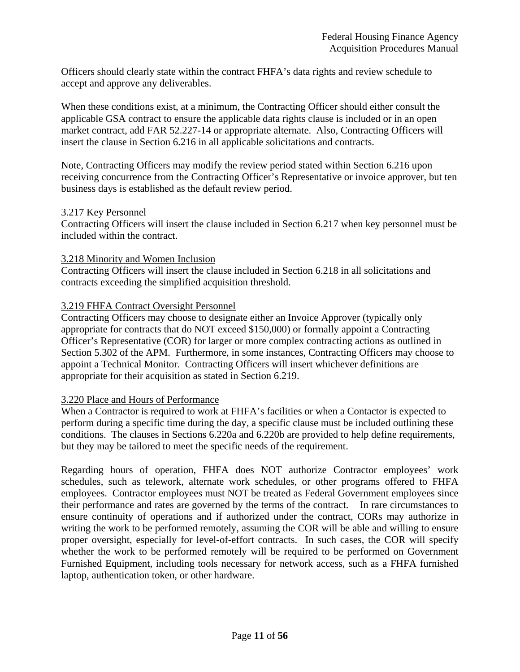Officers should clearly state within the contract FHFA's data rights and review schedule to accept and approve any deliverables.

When these conditions exist, at a minimum, the Contracting Officer should either consult the applicable GSA contract to ensure the applicable data rights clause is included or in an open market contract, add FAR 52.227-14 or appropriate alternate. Also, Contracting Officers will insert the clause in Section 6.216 in all applicable solicitations and contracts.

Note, Contracting Officers may modify the review period stated within Section 6.216 upon receiving concurrence from the Contracting Officer's Representative or invoice approver, but ten business days is established as the default review period.

#### 3.217 Key Personnel

Contracting Officers will insert the clause included in Section 6.217 when key personnel must be included within the contract.

#### 3.218 Minority and Women Inclusion

Contracting Officers will insert the clause included in Section 6.218 in all solicitations and contracts exceeding the simplified acquisition threshold.

#### 3.219 FHFA Contract Oversight Personnel

Contracting Officers may choose to designate either an Invoice Approver (typically only appropriate for contracts that do NOT exceed \$150,000) or formally appoint a Contracting Officer's Representative (COR) for larger or more complex contracting actions as outlined in Section 5.302 of the APM. Furthermore, in some instances, Contracting Officers may choose to appoint a Technical Monitor. Contracting Officers will insert whichever definitions are appropriate for their acquisition as stated in Section 6.219.

#### 3.220 Place and Hours of Performance

When a Contractor is required to work at FHFA's facilities or when a Contactor is expected to perform during a specific time during the day, a specific clause must be included outlining these conditions. The clauses in Sections 6.220a and 6.220b are provided to help define requirements, but they may be tailored to meet the specific needs of the requirement.

Regarding hours of operation, FHFA does NOT authorize Contractor employees' work schedules, such as telework, alternate work schedules, or other programs offered to FHFA employees. Contractor employees must NOT be treated as Federal Government employees since their performance and rates are governed by the terms of the contract. In rare circumstances to ensure continuity of operations and if authorized under the contract, CORs may authorize in writing the work to be performed remotely, assuming the COR will be able and willing to ensure proper oversight, especially for level-of-effort contracts. In such cases, the COR will specify whether the work to be performed remotely will be required to be performed on Government Furnished Equipment, including tools necessary for network access, such as a FHFA furnished laptop, authentication token, or other hardware.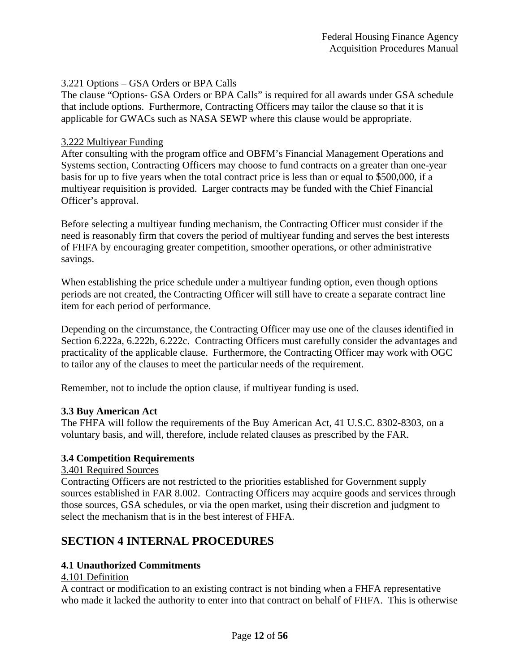### 3.221 Options – GSA Orders or BPA Calls

The clause "Options- GSA Orders or BPA Calls" is required for all awards under GSA schedule that include options. Furthermore, Contracting Officers may tailor the clause so that it is applicable for GWACs such as NASA SEWP where this clause would be appropriate.

#### 3.222 Multiyear Funding

After consulting with the program office and OBFM's Financial Management Operations and Systems section, Contracting Officers may choose to fund contracts on a greater than one-year basis for up to five years when the total contract price is less than or equal to \$500,000, if a multiyear requisition is provided. Larger contracts may be funded with the Chief Financial Officer's approval.

Before selecting a multiyear funding mechanism, the Contracting Officer must consider if the need is reasonably firm that covers the period of multiyear funding and serves the best interests of FHFA by encouraging greater competition, smoother operations, or other administrative savings.

When establishing the price schedule under a multiyear funding option, even though options periods are not created, the Contracting Officer will still have to create a separate contract line item for each period of performance.

Depending on the circumstance, the Contracting Officer may use one of the clauses identified in Section 6.222a, 6.222b, 6.222c. Contracting Officers must carefully consider the advantages and practicality of the applicable clause. Furthermore, the Contracting Officer may work with OGC to tailor any of the clauses to meet the particular needs of the requirement.

Remember, not to include the option clause, if multiyear funding is used.

#### **3.3 Buy American Act**

The FHFA will follow the requirements of the Buy American Act, 41 U.S.C. 8302-8303, on a voluntary basis, and will, therefore, include related clauses as prescribed by the FAR.

#### **3.4 Competition Requirements**

3.401 Required Sources

Contracting Officers are not restricted to the priorities established for Government supply sources established in FAR 8.002. Contracting Officers may acquire goods and services through those sources, GSA schedules, or via the open market, using their discretion and judgment to select the mechanism that is in the best interest of FHFA.

# **SECTION 4 INTERNAL PROCEDURES**

#### **4.1 Unauthorized Commitments**

### 4.101 Definition

A contract or modification to an existing contract is not binding when a FHFA representative who made it lacked the authority to enter into that contract on behalf of FHFA. This is otherwise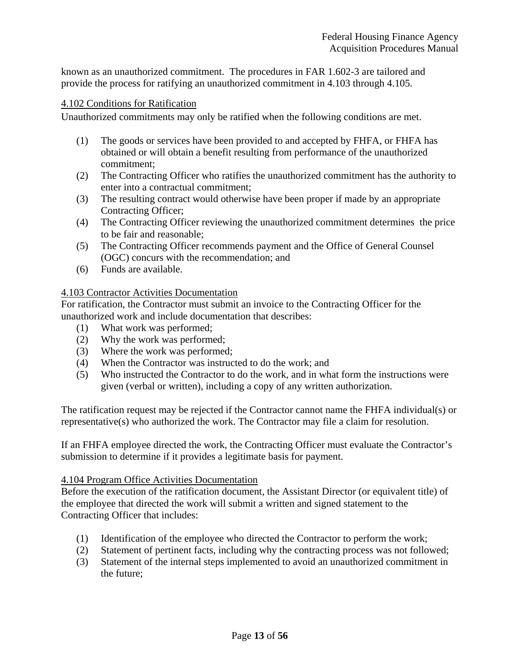known as an unauthorized commitment. The procedures in FAR 1.602-3 are tailored and provide the process for ratifying an unauthorized commitment in 4.103 through 4.105.

#### 4.102 Conditions for Ratification

Unauthorized commitments may only be ratified when the following conditions are met.

- (1) The goods or services have been provided to and accepted by FHFA, or FHFA has obtained or will obtain a benefit resulting from performance of the unauthorized commitment;
- (2) The Contracting Officer who ratifies the unauthorized commitment has the authority to enter into a contractual commitment;
- (3) The resulting contract would otherwise have been proper if made by an appropriate Contracting Officer;
- (4) The Contracting Officer reviewing the unauthorized commitment determines the price to be fair and reasonable;
- (5) The Contracting Officer recommends payment and the Office of General Counsel (OGC) concurs with the recommendation; and
- (6) Funds are available.

#### 4.103 Contractor Activities Documentation

For ratification, the Contractor must submit an invoice to the Contracting Officer for the unauthorized work and include documentation that describes:

- (1) What work was performed;
- (2) Why the work was performed;
- (3) Where the work was performed;
- (4) When the Contractor was instructed to do the work; and
- (5) Who instructed the Contractor to do the work, and in what form the instructions were given (verbal or written), including a copy of any written authorization.

The ratification request may be rejected if the Contractor cannot name the FHFA individual(s) or representative(s) who authorized the work. The Contractor may file a claim for resolution.

If an FHFA employee directed the work, the Contracting Officer must evaluate the Contractor's submission to determine if it provides a legitimate basis for payment.

#### 4.104 Program Office Activities Documentation

Before the execution of the ratification document, the Assistant Director (or equivalent title) of the employee that directed the work will submit a written and signed statement to the Contracting Officer that includes:

- (1) Identification of the employee who directed the Contractor to perform the work;
- (2) Statement of pertinent facts, including why the contracting process was not followed;
- (3) Statement of the internal steps implemented to avoid an unauthorized commitment in the future;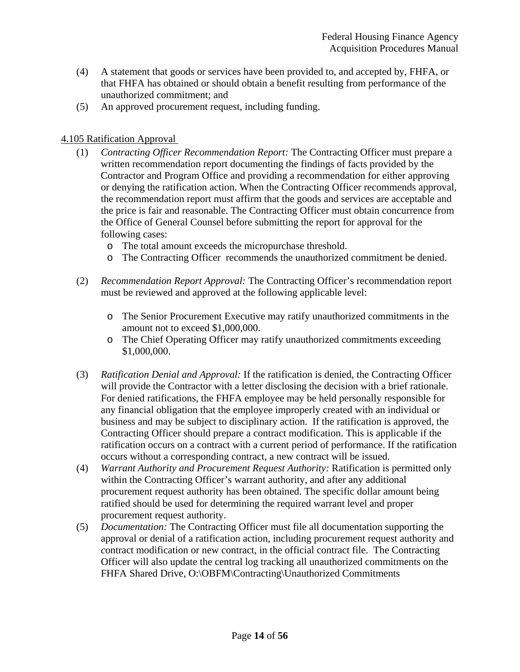- (4) A statement that goods or services have been provided to, and accepted by, FHFA, or that FHFA has obtained or should obtain a benefit resulting from performance of the unauthorized commitment; and
- (5) An approved procurement request, including funding.

### 4.105 Ratification Approval

- (1) *Contracting Officer Recommendation Report:* The Contracting Officer must prepare a written recommendation report documenting the findings of facts provided by the Contractor and Program Office and providing a recommendation for either approving or denying the ratification action. When the Contracting Officer recommends approval, the recommendation report must affirm that the goods and services are acceptable and the price is fair and reasonable. The Contracting Officer must obtain concurrence from the Office of General Counsel before submitting the report for approval for the following cases:
	- o The total amount exceeds the micropurchase threshold.
	- o The Contracting Officer recommends the unauthorized commitment be denied.
- (2) *Recommendation Report Approval:* The Contracting Officer's recommendation report must be reviewed and approved at the following applicable level:
	- o The Senior Procurement Executive may ratify unauthorized commitments in the amount not to exceed \$1,000,000.
	- o The Chief Operating Officer may ratify unauthorized commitments exceeding \$1,000,000.
- (3) *Ratification Denial and Approval:* If the ratification is denied, the Contracting Officer will provide the Contractor with a letter disclosing the decision with a brief rationale. For denied ratifications, the FHFA employee may be held personally responsible for any financial obligation that the employee improperly created with an individual or business and may be subject to disciplinary action. If the ratification is approved, the Contracting Officer should prepare a contract modification. This is applicable if the ratification occurs on a contract with a current period of performance. If the ratification occurs without a corresponding contract, a new contract will be issued.
- (4) *Warrant Authority and Procurement Request Authority:* Ratification is permitted only within the Contracting Officer's warrant authority, and after any additional procurement request authority has been obtained. The specific dollar amount being ratified should be used for determining the required warrant level and proper procurement request authority.
- (5) *Documentation:* The Contracting Officer must file all documentation supporting the approval or denial of a ratification action, including procurement request authority and *c*ontract modification or new contract, in the official contract file. The Contracting Officer will also update the central log tracking all unauthorized commitments on the FHFA Shared Drive, O:\OBFM\Contracting\Unauthorized Commitments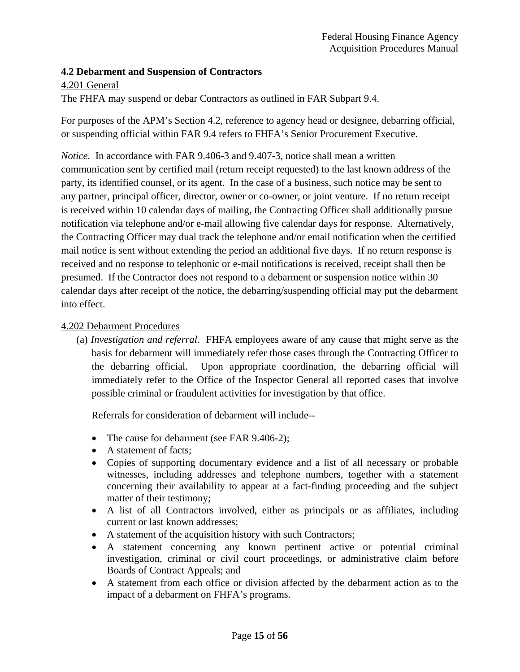### **4.2 Debarment and Suspension of Contractors**

### 4.201 General

The FHFA may suspend or debar Contractors as outlined in FAR Subpart 9.4.

For purposes of the APM's Section 4.2, reference to agency head or designee, debarring official, or suspending official within FAR 9.4 refers to FHFA's Senior Procurement Executive.

*Notice.* In accordance with FAR 9.406-3 and 9.407-3, notice shall mean a written communication sent by certified mail (return receipt requested) to the last known address of the party, its identified counsel, or its agent. In the case of a business, such notice may be sent to any partner, principal officer, director, owner or co-owner, or joint venture. If no return receipt is received within 10 calendar days of mailing, the Contracting Officer shall additionally pursue notification via telephone and/or e-mail allowing five calendar days for response. Alternatively, the Contracting Officer may dual track the telephone and/or email notification when the certified mail notice is sent without extending the period an additional five days. If no return response is received and no response to telephonic or e-mail notifications is received, receipt shall then be presumed. If the Contractor does not respond to a debarment or suspension notice within 30 calendar days after receipt of the notice, the debarring/suspending official may put the debarment into effect.

### 4.202 Debarment Procedures

(a) *Investigation and referral.* FHFA employees aware of any cause that might serve as the basis for debarment will immediately refer those cases through the Contracting Officer to the debarring official. Upon appropriate coordination, the debarring official will immediately refer to the Office of the Inspector General all reported cases that involve possible criminal or fraudulent activities for investigation by that office.

Referrals for consideration of debarment will include--

- The cause for debarment (see FAR 9.406-2);
- A statement of facts:
- Copies of supporting documentary evidence and a list of all necessary or probable witnesses, including addresses and telephone numbers, together with a statement concerning their availability to appear at a fact-finding proceeding and the subject matter of their testimony;
- A list of all Contractors involved, either as principals or as affiliates, including current or last known addresses;
- A statement of the acquisition history with such Contractors;
- A statement concerning any known pertinent active or potential criminal investigation, criminal or civil court proceedings, or administrative claim before Boards of Contract Appeals; and
- A statement from each office or division affected by the debarment action as to the impact of a debarment on FHFA's programs.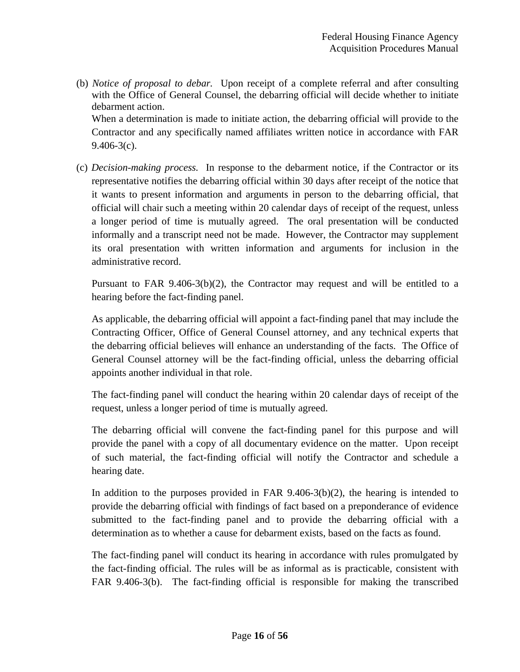(b) *Notice of proposal to debar.* Upon receipt of a complete referral and after consulting with the Office of General Counsel, the debarring official will decide whether to initiate debarment action.

When a determination is made to initiate action, the debarring official will provide to the Contractor and any specifically named affiliates written notice in accordance with FAR  $9.406 - 3(c)$ .

(c) *Decision-making process.* In response to the debarment notice, if the Contractor or its representative notifies the debarring official within 30 days after receipt of the notice that it wants to present information and arguments in person to the debarring official, that official will chair such a meeting within 20 calendar days of receipt of the request, unless a longer period of time is mutually agreed. The oral presentation will be conducted informally and a transcript need not be made. However, the Contractor may supplement its oral presentation with written information and arguments for inclusion in the administrative record.

Pursuant to FAR 9.406-3(b)(2), the Contractor may request and will be entitled to a hearing before the fact-finding panel.

As applicable, the debarring official will appoint a fact-finding panel that may include the Contracting Officer, Office of General Counsel attorney, and any technical experts that the debarring official believes will enhance an understanding of the facts. The Office of General Counsel attorney will be the fact-finding official, unless the debarring official appoints another individual in that role.

The fact-finding panel will conduct the hearing within 20 calendar days of receipt of the request, unless a longer period of time is mutually agreed.

The debarring official will convene the fact-finding panel for this purpose and will provide the panel with a copy of all documentary evidence on the matter. Upon receipt of such material, the fact-finding official will notify the Contractor and schedule a hearing date.

In addition to the purposes provided in FAR  $9.406-3(b)(2)$ , the hearing is intended to provide the debarring official with findings of fact based on a preponderance of evidence submitted to the fact-finding panel and to provide the debarring official with a determination as to whether a cause for debarment exists, based on the facts as found.

The fact-finding panel will conduct its hearing in accordance with rules promulgated by the fact-finding official. The rules will be as informal as is practicable, consistent with FAR 9.406-3(b). The fact-finding official is responsible for making the transcribed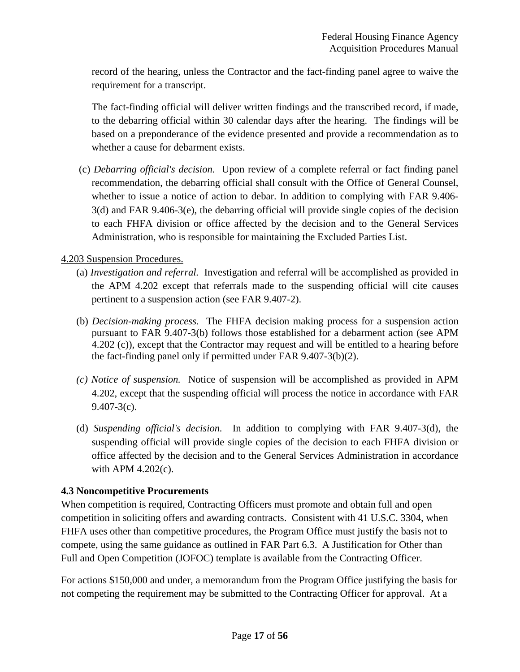record of the hearing, unless the Contractor and the fact-finding panel agree to waive the requirement for a transcript.

The fact-finding official will deliver written findings and the transcribed record, if made, to the debarring official within 30 calendar days after the hearing. The findings will be based on a preponderance of the evidence presented and provide a recommendation as to whether a cause for debarment exists.

 (c) *Debarring official's decision.* Upon review of a complete referral or fact finding panel recommendation, the debarring official shall consult with the Office of General Counsel, whether to issue a notice of action to debar. In addition to complying with FAR 9.406- 3(d) and FAR 9.406-3(e), the debarring official will provide single copies of the decision to each FHFA division or office affected by the decision and to the General Services Administration, who is responsible for maintaining the Excluded Parties List.

# 4.203 Suspension Procedures.

- (a) *Investigation and referral.* Investigation and referral will be accomplished as provided in the APM 4.202 except that referrals made to the suspending official will cite causes pertinent to a suspension action (see FAR 9.407-2).
- (b) *Decision-making process.* The FHFA decision making process for a suspension action pursuant to FAR 9.407-3(b) follows those established for a debarment action (see APM 4.202 (c)), except that the Contractor may request and will be entitled to a hearing before the fact-finding panel only if permitted under FAR 9.407-3(b)(2).
- *(c) Notice of suspension.* Notice of suspension will be accomplished as provided in APM 4.202, except that the suspending official will process the notice in accordance with FAR 9.407-3(c).
- (d) *Suspending official's decision.* In addition to complying with FAR 9.407-3(d), the suspending official will provide single copies of the decision to each FHFA division or office affected by the decision and to the General Services Administration in accordance with APM 4.202(c).

# **4.3 Noncompetitive Procurements**

When competition is required, Contracting Officers must promote and obtain full and open competition in soliciting offers and awarding contracts. Consistent with 41 U.S.C. 3304, when FHFA uses other than competitive procedures, the Program Office must justify the basis not to compete, using the same guidance as outlined in FAR Part 6.3. A Justification for Other than Full and Open Competition (JOFOC) template is available from the Contracting Officer.

For actions \$150,000 and under, a memorandum from the Program Office justifying the basis for not competing the requirement may be submitted to the Contracting Officer for approval. At a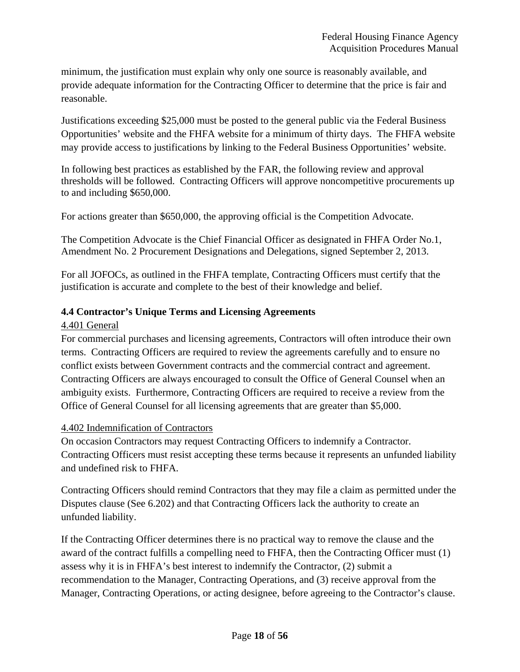minimum, the justification must explain why only one source is reasonably available, and provide adequate information for the Contracting Officer to determine that the price is fair and reasonable.

Justifications exceeding \$25,000 must be posted to the general public via the Federal Business Opportunities' website and the FHFA website for a minimum of thirty days. The FHFA website may provide access to justifications by linking to the Federal Business Opportunities' website.

In following best practices as established by the FAR, the following review and approval thresholds will be followed. Contracting Officers will approve noncompetitive procurements up to and including \$650,000.

For actions greater than \$650,000, the approving official is the Competition Advocate.

The Competition Advocate is the Chief Financial Officer as designated in FHFA Order No.1, Amendment No. 2 Procurement Designations and Delegations, signed September 2, 2013.

For all JOFOCs, as outlined in the FHFA template, Contracting Officers must certify that the justification is accurate and complete to the best of their knowledge and belief.

# **4.4 Contractor's Unique Terms and Licensing Agreements**

#### 4.401 General

For commercial purchases and licensing agreements, Contractors will often introduce their own terms. Contracting Officers are required to review the agreements carefully and to ensure no conflict exists between Government contracts and the commercial contract and agreement. Contracting Officers are always encouraged to consult the Office of General Counsel when an ambiguity exists. Furthermore, Contracting Officers are required to receive a review from the Office of General Counsel for all licensing agreements that are greater than \$5,000.

#### 4.402 Indemnification of Contractors

On occasion Contractors may request Contracting Officers to indemnify a Contractor. Contracting Officers must resist accepting these terms because it represents an unfunded liability and undefined risk to FHFA.

Contracting Officers should remind Contractors that they may file a claim as permitted under the Disputes clause (See 6.202) and that Contracting Officers lack the authority to create an unfunded liability.

If the Contracting Officer determines there is no practical way to remove the clause and the award of the contract fulfills a compelling need to FHFA, then the Contracting Officer must (1) assess why it is in FHFA's best interest to indemnify the Contractor, (2) submit a recommendation to the Manager, Contracting Operations, and (3) receive approval from the Manager, Contracting Operations, or acting designee, before agreeing to the Contractor's clause.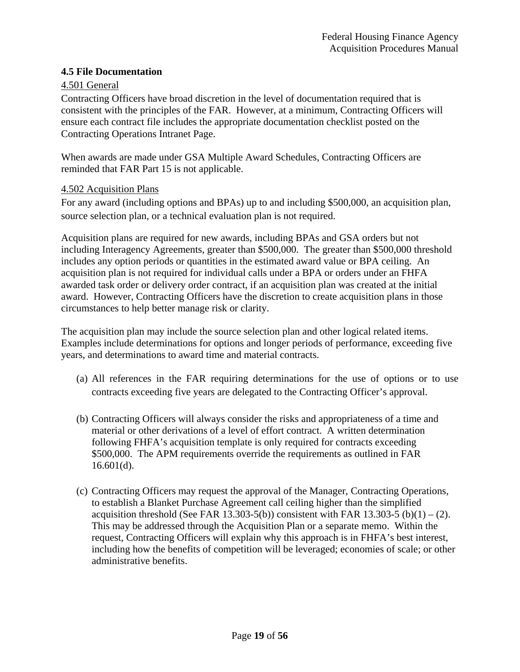### **4.5 File Documentation**

### 4.501 General

Contracting Officers have broad discretion in the level of documentation required that is consistent with the principles of the FAR. However, at a minimum, Contracting Officers will ensure each contract file includes the appropriate documentation checklist posted on the Contracting Operations Intranet Page.

When awards are made under GSA Multiple Award Schedules, Contracting Officers are reminded that FAR Part 15 is not applicable.

#### 4.502 Acquisition Plans

For any award (including options and BPAs) up to and including \$500,000, an acquisition plan, source selection plan, or a technical evaluation plan is not required.

Acquisition plans are required for new awards, including BPAs and GSA orders but not including Interagency Agreements, greater than \$500,000. The greater than \$500,000 threshold includes any option periods or quantities in the estimated award value or BPA ceiling. An acquisition plan is not required for individual calls under a BPA or orders under an FHFA awarded task order or delivery order contract, if an acquisition plan was created at the initial award. However, Contracting Officers have the discretion to create acquisition plans in those circumstances to help better manage risk or clarity.

The acquisition plan may include the source selection plan and other logical related items. Examples include determinations for options and longer periods of performance, exceeding five years, and determinations to award time and material contracts.

- (a) All references in the FAR requiring determinations for the use of options or to use contracts exceeding five years are delegated to the Contracting Officer's approval.
- (b) Contracting Officers will always consider the risks and appropriateness of a time and material or other derivations of a level of effort contract. A written determination following FHFA's acquisition template is only required for contracts exceeding \$500,000. The APM requirements override the requirements as outlined in FAR  $16.601(d)$ .
- (c) Contracting Officers may request the approval of the Manager, Contracting Operations, to establish a Blanket Purchase Agreement call ceiling higher than the simplified acquisition threshold (See FAR 13.303-5(b)) consistent with FAR 13.303-5 (b)(1) – (2). This may be addressed through the Acquisition Plan or a separate memo. Within the request, Contracting Officers will explain why this approach is in FHFA's best interest, including how the benefits of competition will be leveraged; economies of scale; or other administrative benefits.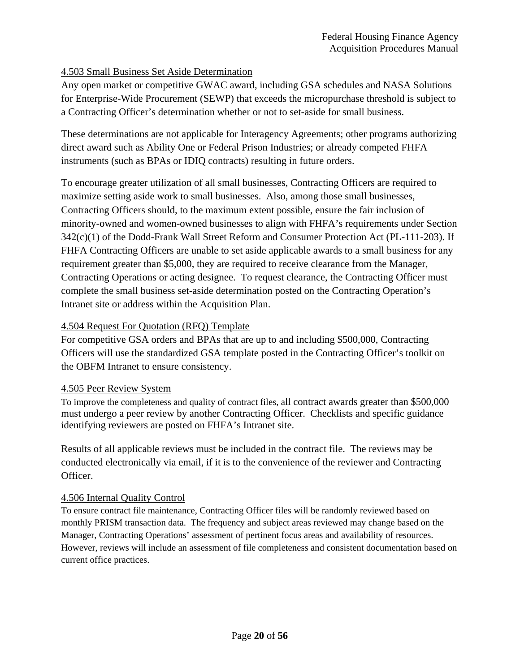### 4.503 Small Business Set Aside Determination

Any open market or competitive GWAC award, including GSA schedules and NASA Solutions for Enterprise-Wide Procurement (SEWP) that exceeds the micropurchase threshold is subject to a Contracting Officer's determination whether or not to set-aside for small business.

These determinations are not applicable for Interagency Agreements; other programs authorizing direct award such as Ability One or Federal Prison Industries; or already competed FHFA instruments (such as BPAs or IDIQ contracts) resulting in future orders.

To encourage greater utilization of all small businesses, Contracting Officers are required to maximize setting aside work to small businesses. Also, among those small businesses, Contracting Officers should, to the maximum extent possible, ensure the fair inclusion of minority-owned and women-owned businesses to align with FHFA's requirements under Section 342(c)(1) of the Dodd-Frank Wall Street Reform and Consumer Protection Act (PL-111-203). If FHFA Contracting Officers are unable to set aside applicable awards to a small business for any requirement greater than \$5,000, they are required to receive clearance from the Manager, Contracting Operations or acting designee. To request clearance, the Contracting Officer must complete the small business set-aside determination posted on the Contracting Operation's Intranet site or address within the Acquisition Plan.

### 4.504 Request For Quotation (RFQ) Template

For competitive GSA orders and BPAs that are up to and including \$500,000, Contracting Officers will use the standardized GSA template posted in the Contracting Officer's toolkit on the OBFM Intranet to ensure consistency.

#### 4.505 Peer Review System

To improve the completeness and quality of contract files, all contract awards greater than \$500,000 must undergo a peer review by another Contracting Officer. Checklists and specific guidance identifying reviewers are posted on FHFA's Intranet site.

Results of all applicable reviews must be included in the contract file. The reviews may be conducted electronically via email, if it is to the convenience of the reviewer and Contracting Officer.

#### 4.506 Internal Quality Control

To ensure contract file maintenance, Contracting Officer files will be randomly reviewed based on monthly PRISM transaction data. The frequency and subject areas reviewed may change based on the Manager, Contracting Operations' assessment of pertinent focus areas and availability of resources. However, reviews will include an assessment of file completeness and consistent documentation based on current office practices.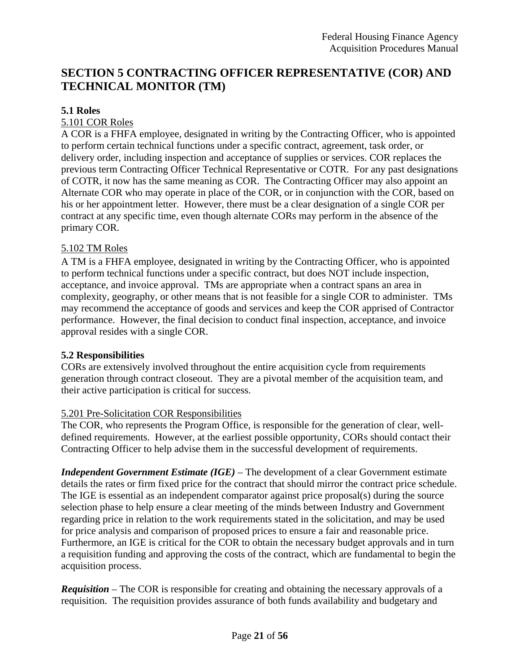# **SECTION 5 CONTRACTING OFFICER REPRESENTATIVE (COR) AND TECHNICAL MONITOR (TM)**

### **5.1 Roles**

### 5.101 COR Roles

A COR is a FHFA employee, designated in writing by the Contracting Officer, who is appointed to perform certain technical functions under a specific contract, agreement, task order, or delivery order, including inspection and acceptance of supplies or services. COR replaces the previous term Contracting Officer Technical Representative or COTR. For any past designations of COTR, it now has the same meaning as COR. The Contracting Officer may also appoint an Alternate COR who may operate in place of the COR, or in conjunction with the COR, based on his or her appointment letter. However, there must be a clear designation of a single COR per contract at any specific time, even though alternate CORs may perform in the absence of the primary COR.

### 5.102 TM Roles

A TM is a FHFA employee, designated in writing by the Contracting Officer, who is appointed to perform technical functions under a specific contract, but does NOT include inspection, acceptance, and invoice approval. TMs are appropriate when a contract spans an area in complexity, geography, or other means that is not feasible for a single COR to administer. TMs may recommend the acceptance of goods and services and keep the COR apprised of Contractor performance. However, the final decision to conduct final inspection, acceptance, and invoice approval resides with a single COR.

#### **5.2 Responsibilities**

CORs are extensively involved throughout the entire acquisition cycle from requirements generation through contract closeout. They are a pivotal member of the acquisition team, and their active participation is critical for success.

#### 5.201 Pre-Solicitation COR Responsibilities

The COR, who represents the Program Office, is responsible for the generation of clear, welldefined requirements. However, at the earliest possible opportunity, CORs should contact their Contracting Officer to help advise them in the successful development of requirements.

*Independent Government Estimate (IGE)* – The development of a clear Government estimate details the rates or firm fixed price for the contract that should mirror the contract price schedule. The IGE is essential as an independent comparator against price proposal(s) during the source selection phase to help ensure a clear meeting of the minds between Industry and Government regarding price in relation to the work requirements stated in the solicitation, and may be used for price analysis and comparison of proposed prices to ensure a fair and reasonable price. Furthermore, an IGE is critical for the COR to obtain the necessary budget approvals and in turn a requisition funding and approving the costs of the contract, which are fundamental to begin the acquisition process.

*Requisition* – The COR is responsible for creating and obtaining the necessary approvals of a requisition. The requisition provides assurance of both funds availability and budgetary and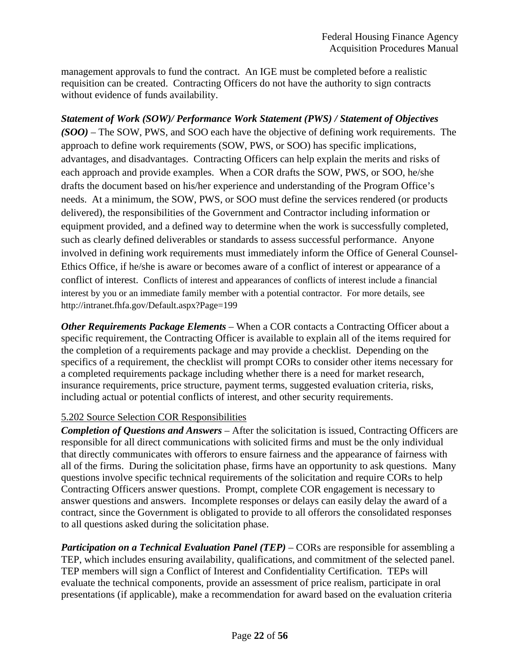management approvals to fund the contract. An IGE must be completed before a realistic requisition can be created. Contracting Officers do not have the authority to sign contracts without evidence of funds availability.

*Statement of Work (SOW)/ Performance Work Statement (PWS) / Statement of Objectives (SOO)* – The SOW, PWS, and SOO each have the objective of defining work requirements. The approach to define work requirements (SOW, PWS, or SOO) has specific implications, advantages, and disadvantages. Contracting Officers can help explain the merits and risks of each approach and provide examples. When a COR drafts the SOW, PWS, or SOO, he/she drafts the document based on his/her experience and understanding of the Program Office's needs. At a minimum, the SOW, PWS, or SOO must define the services rendered (or products delivered), the responsibilities of the Government and Contractor including information or equipment provided, and a defined way to determine when the work is successfully completed, such as clearly defined deliverables or standards to assess successful performance. Anyone involved in defining work requirements must immediately inform the Office of General Counsel-Ethics Office, if he/she is aware or becomes aware of a conflict of interest or appearance of a conflict of interest. Conflicts of interest and appearances of conflicts of interest include a financial interest by you or an immediate family member with a potential contractor. For more details, see http://intranet.fhfa.gov/Default.aspx?Page=199

*Other Requirements Package Elements* – When a COR contacts a Contracting Officer about a specific requirement, the Contracting Officer is available to explain all of the items required for the completion of a requirements package and may provide a checklist. Depending on the specifics of a requirement, the checklist will prompt CORs to consider other items necessary for a completed requirements package including whether there is a need for market research, insurance requirements, price structure, payment terms, suggested evaluation criteria, risks, including actual or potential conflicts of interest, and other security requirements.

# 5.202 Source Selection COR Responsibilities

*Completion of Questions and Answers* – After the solicitation is issued, Contracting Officers are responsible for all direct communications with solicited firms and must be the only individual that directly communicates with offerors to ensure fairness and the appearance of fairness with all of the firms. During the solicitation phase, firms have an opportunity to ask questions. Many questions involve specific technical requirements of the solicitation and require CORs to help Contracting Officers answer questions. Prompt, complete COR engagement is necessary to answer questions and answers. Incomplete responses or delays can easily delay the award of a contract, since the Government is obligated to provide to all offerors the consolidated responses to all questions asked during the solicitation phase.

*Participation on a Technical Evaluation Panel (TEP)* – CORs are responsible for assembling a TEP, which includes ensuring availability, qualifications, and commitment of the selected panel. TEP members will sign a Conflict of Interest and Confidentiality Certification. TEPs will evaluate the technical components, provide an assessment of price realism, participate in oral presentations (if applicable), make a recommendation for award based on the evaluation criteria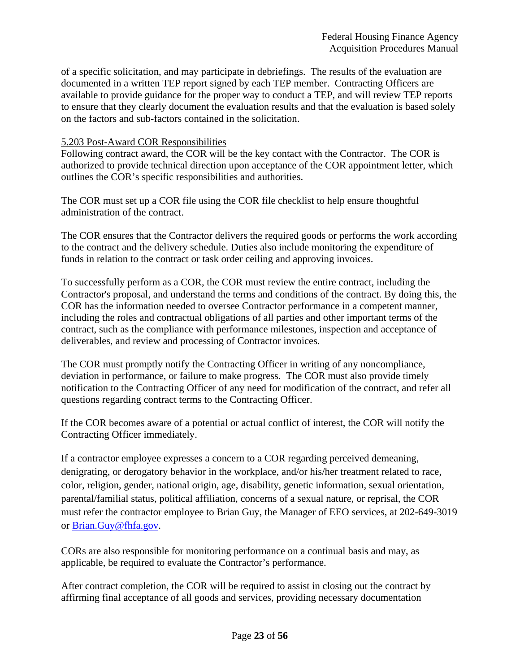of a specific solicitation, and may participate in debriefings. The results of the evaluation are documented in a written TEP report signed by each TEP member. Contracting Officers are available to provide guidance for the proper way to conduct a TEP, and will review TEP reports to ensure that they clearly document the evaluation results and that the evaluation is based solely on the factors and sub-factors contained in the solicitation.

#### 5.203 Post-Award COR Responsibilities

Following contract award, the COR will be the key contact with the Contractor. The COR is authorized to provide technical direction upon acceptance of the COR appointment letter, which outlines the COR's specific responsibilities and authorities.

The COR must set up a COR file using the COR file checklist to help ensure thoughtful administration of the contract.

The COR ensures that the Contractor delivers the required goods or performs the work according to the contract and the delivery schedule. Duties also include monitoring the expenditure of funds in relation to the contract or task order ceiling and approving invoices.

To successfully perform as a COR, the COR must review the entire contract, including the Contractor's proposal, and understand the terms and conditions of the contract. By doing this, the COR has the information needed to oversee Contractor performance in a competent manner, including the roles and contractual obligations of all parties and other important terms of the contract, such as the compliance with performance milestones, inspection and acceptance of deliverables, and review and processing of Contractor invoices.

The COR must promptly notify the Contracting Officer in writing of any noncompliance, deviation in performance, or failure to make progress. The COR must also provide timely notification to the Contracting Officer of any need for modification of the contract, and refer all questions regarding contract terms to the Contracting Officer.

If the COR becomes aware of a potential or actual conflict of interest, the COR will notify the Contracting Officer immediately.

If a contractor employee expresses a concern to a COR regarding perceived demeaning, denigrating, or derogatory behavior in the workplace, and/or his/her treatment related to race, color, religion, gender, national origin, age, disability, genetic information, sexual orientation, parental/familial status, political affiliation, concerns of a sexual nature, or reprisal, the COR must refer the contractor employee to Brian Guy, the Manager of EEO services, at 202-649-3019 or Brian.Guy@fhfa.gov.

CORs are also responsible for monitoring performance on a continual basis and may, as applicable, be required to evaluate the Contractor's performance.

After contract completion, the COR will be required to assist in closing out the contract by affirming final acceptance of all goods and services, providing necessary documentation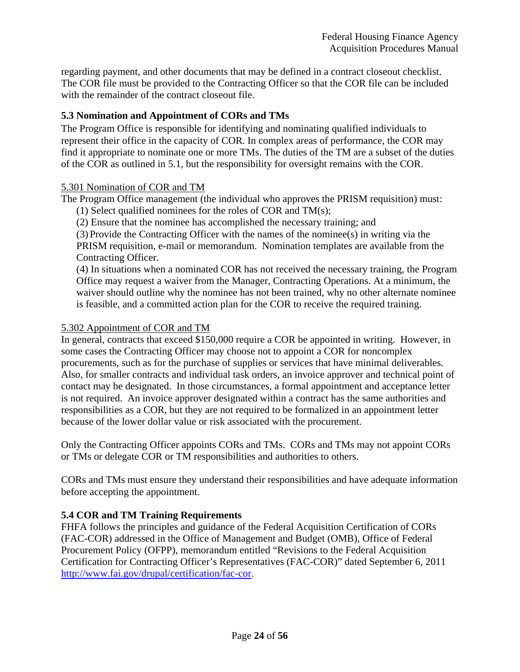regarding payment, and other documents that may be defined in a contract closeout checklist. The COR file must be provided to the Contracting Officer so that the COR file can be included with the remainder of the contract closeout file.

### **5.3 Nomination and Appointment of CORs and TMs**

The Program Office is responsible for identifying and nominating qualified individuals to represent their office in the capacity of COR. In complex areas of performance, the COR may find it appropriate to nominate one or more TMs. The duties of the TM are a subset of the duties of the COR as outlined in 5.1, but the responsibility for oversight remains with the COR.

#### 5.301 Nomination of COR and TM

The Program Office management (the individual who approves the PRISM requisition) must:

(1) Select qualified nominees for the roles of COR and TM(s);

(2) Ensure that the nominee has accomplished the necessary training; and

(3) Provide the Contracting Officer with the names of the nominee(s) in writing via the PRISM requisition, e-mail or memorandum. Nomination templates are available from the Contracting Officer.

(4) In situations when a nominated COR has not received the necessary training, the Program Office may request a waiver from the Manager, Contracting Operations. At a minimum, the waiver should outline why the nominee has not been trained, why no other alternate nominee is feasible, and a committed action plan for the COR to receive the required training.

#### 5.302 Appointment of COR and TM

In general, contracts that exceed \$150,000 require a COR be appointed in writing. However, in some cases the Contracting Officer may choose not to appoint a COR for noncomplex procurements, such as for the purchase of supplies or services that have minimal deliverables. Also, for smaller contracts and individual task orders, an invoice approver and technical point of contact may be designated. In those circumstances, a formal appointment and acceptance letter is not required. An invoice approver designated within a contract has the same authorities and responsibilities as a COR, but they are not required to be formalized in an appointment letter because of the lower dollar value or risk associated with the procurement.

Only the Contracting Officer appoints CORs and TMs. CORs and TMs may not appoint CORs or TMs or delegate COR or TM responsibilities and authorities to others.

CORs and TMs must ensure they understand their responsibilities and have adequate information before accepting the appointment.

# **5.4 COR and TM Training Requirements**

FHFA follows the principles and guidance of the Federal Acquisition Certification of CORs (FAC-COR) addressed in the Office of Management and Budget (OMB), Office of Federal Procurement Policy (OFPP), memorandum entitled "Revisions to the Federal Acquisition Certification for Contracting Officer's Representatives (FAC-COR)" dated September 6, 2011 http://www.fai.gov/drupal/certification/fac-cor.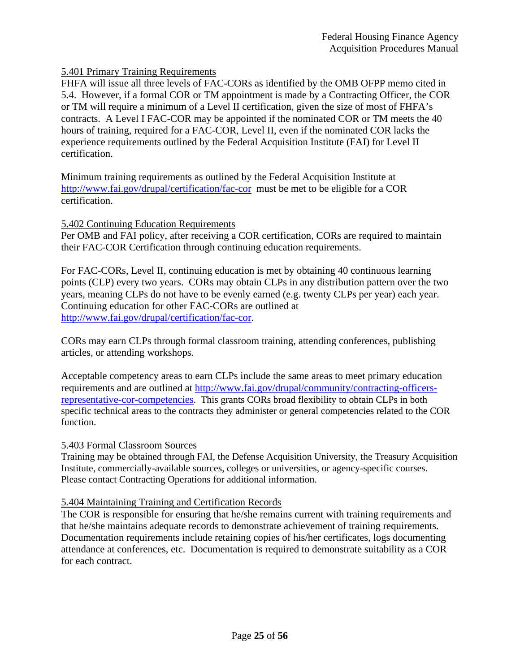# 5.401 Primary Training Requirements

FHFA will issue all three levels of FAC-CORs as identified by the OMB OFPP memo cited in 5.4. However, if a formal COR or TM appointment is made by a Contracting Officer, the COR or TM will require a minimum of a Level II certification, given the size of most of FHFA's contracts. A Level I FAC-COR may be appointed if the nominated COR or TM meets the 40 hours of training, required for a FAC-COR, Level II, even if the nominated COR lacks the experience requirements outlined by the Federal Acquisition Institute (FAI) for Level II certification.

Minimum training requirements as outlined by the Federal Acquisition Institute at http://www.fai.gov/drupal/certification/fac-cor must be met to be eligible for a COR certification.

#### 5.402 Continuing Education Requirements

Per OMB and FAI policy, after receiving a COR certification, CORs are required to maintain their FAC-COR Certification through continuing education requirements.

For FAC-CORs, Level II, continuing education is met by obtaining 40 continuous learning points (CLP) every two years. CORs may obtain CLPs in any distribution pattern over the two years, meaning CLPs do not have to be evenly earned (e.g. twenty CLPs per year) each year. Continuing education for other FAC-CORs are outlined at http://www.fai.gov/drupal/certification/fac-cor.

CORs may earn CLPs through formal classroom training, attending conferences, publishing articles, or attending workshops.

Acceptable competency areas to earn CLPs include the same areas to meet primary education requirements and are outlined at http://www.fai.gov/drupal/community/contracting-officersrepresentative-cor-competencies. This grants CORs broad flexibility to obtain CLPs in both specific technical areas to the contracts they administer or general competencies related to the COR function.

#### 5.403 Formal Classroom Sources

Training may be obtained through FAI, the Defense Acquisition University, the Treasury Acquisition Institute, commercially-available sources, colleges or universities, or agency-specific courses. Please contact Contracting Operations for additional information.

#### 5.404 Maintaining Training and Certification Records

The COR is responsible for ensuring that he/she remains current with training requirements and that he/she maintains adequate records to demonstrate achievement of training requirements. Documentation requirements include retaining copies of his/her certificates, logs documenting attendance at conferences, etc. Documentation is required to demonstrate suitability as a COR for each contract.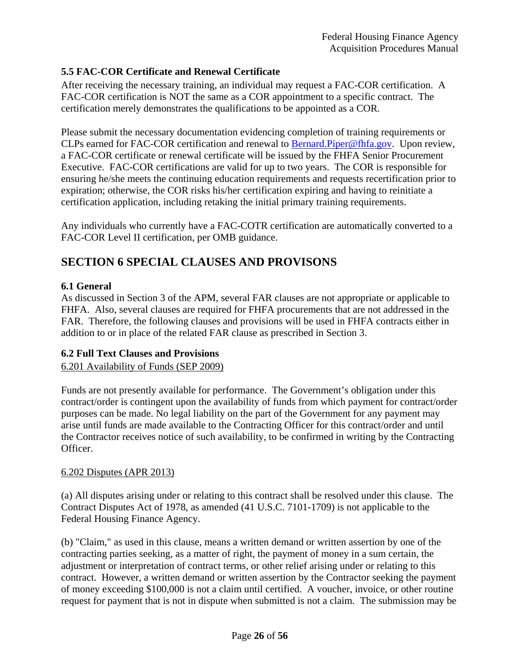# **5.5 FAC-COR Certificate and Renewal Certificate**

After receiving the necessary training, an individual may request a FAC-COR certification. A FAC-COR certification is NOT the same as a COR appointment to a specific contract. The certification merely demonstrates the qualifications to be appointed as a COR.

Please submit the necessary documentation evidencing completion of training requirements or CLPs earned for FAC-COR certification and renewal to **Bernard.Piper@fhfa.gov.** Upon review, a FAC-COR certificate or renewal certificate will be issued by the FHFA Senior Procurement Executive. FAC-COR certifications are valid for up to two years. The COR is responsible for ensuring he/she meets the continuing education requirements and requests recertification prior to expiration; otherwise, the COR risks his/her certification expiring and having to reinitiate a certification application, including retaking the initial primary training requirements.

Any individuals who currently have a FAC-COTR certification are automatically converted to a FAC-COR Level II certification, per OMB guidance.

# **SECTION 6 SPECIAL CLAUSES AND PROVISONS**

# **6.1 General**

As discussed in Section 3 of the APM, several FAR clauses are not appropriate or applicable to FHFA. Also, several clauses are required for FHFA procurements that are not addressed in the FAR. Therefore, the following clauses and provisions will be used in FHFA contracts either in addition to or in place of the related FAR clause as prescribed in Section 3.

# **6.2 Full Text Clauses and Provisions**

# 6.201 Availability of Funds (SEP 2009)

Funds are not presently available for performance. The Government's obligation under this contract/order is contingent upon the availability of funds from which payment for contract/order purposes can be made. No legal liability on the part of the Government for any payment may arise until funds are made available to the Contracting Officer for this contract/order and until the Contractor receives notice of such availability, to be confirmed in writing by the Contracting Officer.

# 6.202 Disputes (APR 2013)

(a) All disputes arising under or relating to this contract shall be resolved under this clause. The Contract Disputes Act of 1978, as amended (41 U.S.C. 7101-1709) is not applicable to the Federal Housing Finance Agency.

(b) "Claim," as used in this clause, means a written demand or written assertion by one of the contracting parties seeking, as a matter of right, the payment of money in a sum certain, the adjustment or interpretation of contract terms, or other relief arising under or relating to this contract. However, a written demand or written assertion by the Contractor seeking the payment of money exceeding \$100,000 is not a claim until certified. A voucher, invoice, or other routine request for payment that is not in dispute when submitted is not a claim. The submission may be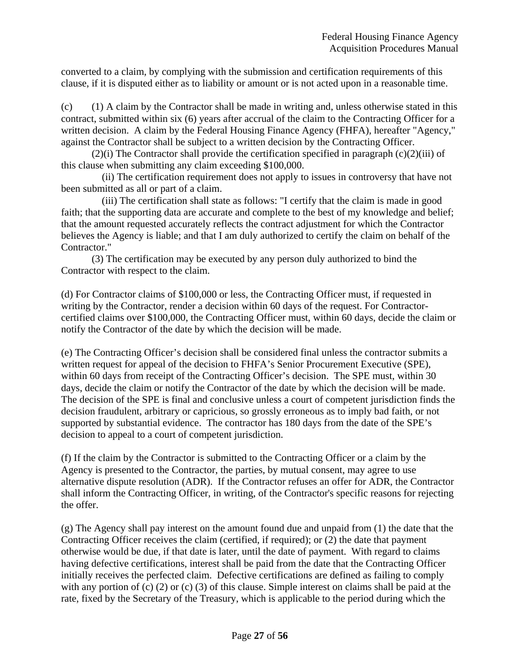converted to a claim, by complying with the submission and certification requirements of this clause, if it is disputed either as to liability or amount or is not acted upon in a reasonable time.

(c) (1) A claim by the Contractor shall be made in writing and, unless otherwise stated in this contract, submitted within six (6) years after accrual of the claim to the Contracting Officer for a written decision. A claim by the Federal Housing Finance Agency (FHFA), hereafter "Agency," against the Contractor shall be subject to a written decision by the Contracting Officer.

 $(2)(i)$  The Contractor shall provide the certification specified in paragraph  $(c)(2)(iii)$  of this clause when submitting any claim exceeding \$100,000.

 (ii) The certification requirement does not apply to issues in controversy that have not been submitted as all or part of a claim.

 (iii) The certification shall state as follows: "I certify that the claim is made in good faith; that the supporting data are accurate and complete to the best of my knowledge and belief; that the amount requested accurately reflects the contract adjustment for which the Contractor believes the Agency is liable; and that I am duly authorized to certify the claim on behalf of the Contractor."

(3) The certification may be executed by any person duly authorized to bind the Contractor with respect to the claim.

(d) For Contractor claims of \$100,000 or less, the Contracting Officer must, if requested in writing by the Contractor, render a decision within 60 days of the request. For Contractorcertified claims over \$100,000, the Contracting Officer must, within 60 days, decide the claim or notify the Contractor of the date by which the decision will be made.

(e) The Contracting Officer's decision shall be considered final unless the contractor submits a written request for appeal of the decision to FHFA's Senior Procurement Executive (SPE), within 60 days from receipt of the Contracting Officer's decision. The SPE must, within 30 days, decide the claim or notify the Contractor of the date by which the decision will be made. The decision of the SPE is final and conclusive unless a court of competent jurisdiction finds the decision fraudulent, arbitrary or capricious, so grossly erroneous as to imply bad faith, or not supported by substantial evidence. The contractor has 180 days from the date of the SPE's decision to appeal to a court of competent jurisdiction.

(f) If the claim by the Contractor is submitted to the Contracting Officer or a claim by the Agency is presented to the Contractor, the parties, by mutual consent, may agree to use alternative dispute resolution (ADR). If the Contractor refuses an offer for ADR, the Contractor shall inform the Contracting Officer, in writing, of the Contractor's specific reasons for rejecting the offer.

 $(g)$  The Agency shall pay interest on the amount found due and unpaid from  $(1)$  the date that the Contracting Officer receives the claim (certified, if required); or (2) the date that payment otherwise would be due, if that date is later, until the date of payment. With regard to claims having defective certifications, interest shall be paid from the date that the Contracting Officer initially receives the perfected claim. Defective certifications are defined as failing to comply with any portion of (c) (2) or (c) (3) of this clause. Simple interest on claims shall be paid at the rate, fixed by the Secretary of the Treasury, which is applicable to the period during which the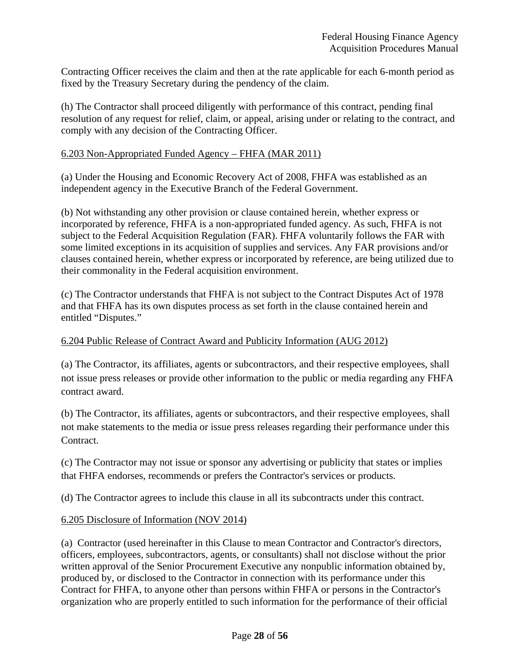Contracting Officer receives the claim and then at the rate applicable for each 6-month period as fixed by the Treasury Secretary during the pendency of the claim.

(h) The Contractor shall proceed diligently with performance of this contract, pending final resolution of any request for relief, claim, or appeal, arising under or relating to the contract, and comply with any decision of the Contracting Officer.

### 6.203 Non-Appropriated Funded Agency – FHFA (MAR 2011)

(a) Under the Housing and Economic Recovery Act of 2008, FHFA was established as an independent agency in the Executive Branch of the Federal Government.

(b) Not withstanding any other provision or clause contained herein, whether express or incorporated by reference, FHFA is a non-appropriated funded agency. As such, FHFA is not subject to the Federal Acquisition Regulation (FAR). FHFA voluntarily follows the FAR with some limited exceptions in its acquisition of supplies and services. Any FAR provisions and/or clauses contained herein, whether express or incorporated by reference, are being utilized due to their commonality in the Federal acquisition environment.

(c) The Contractor understands that FHFA is not subject to the Contract Disputes Act of 1978 and that FHFA has its own disputes process as set forth in the clause contained herein and entitled "Disputes."

### 6.204 Public Release of Contract Award and Publicity Information (AUG 2012)

(a) The Contractor, its affiliates, agents or subcontractors, and their respective employees, shall not issue press releases or provide other information to the public or media regarding any FHFA contract award.

(b) The Contractor, its affiliates, agents or subcontractors, and their respective employees, shall not make statements to the media or issue press releases regarding their performance under this Contract.

(c) The Contractor may not issue or sponsor any advertising or publicity that states or implies that FHFA endorses, recommends or prefers the Contractor's services or products.

(d) The Contractor agrees to include this clause in all its subcontracts under this contract.

#### 6.205 Disclosure of Information (NOV 2014)

(a) Contractor (used hereinafter in this Clause to mean Contractor and Contractor's directors, officers, employees, subcontractors, agents, or consultants) shall not disclose without the prior written approval of the Senior Procurement Executive any nonpublic information obtained by, produced by, or disclosed to the Contractor in connection with its performance under this Contract for FHFA, to anyone other than persons within FHFA or persons in the Contractor's organization who are properly entitled to such information for the performance of their official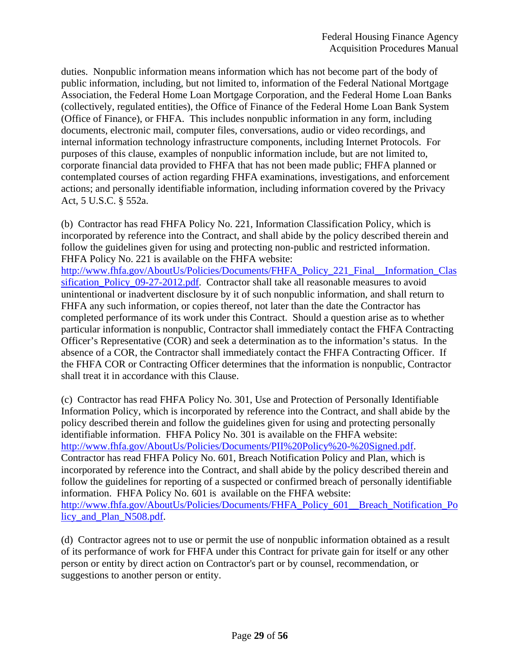duties. Nonpublic information means information which has not become part of the body of public information, including, but not limited to, information of the Federal National Mortgage Association, the Federal Home Loan Mortgage Corporation, and the Federal Home Loan Banks (collectively, regulated entities), the Office of Finance of the Federal Home Loan Bank System (Office of Finance), or FHFA. This includes nonpublic information in any form, including documents, electronic mail, computer files, conversations, audio or video recordings, and internal information technology infrastructure components, including Internet Protocols. For purposes of this clause, examples of nonpublic information include, but are not limited to, corporate financial data provided to FHFA that has not been made public; FHFA planned or contemplated courses of action regarding FHFA examinations, investigations, and enforcement actions; and personally identifiable information, including information covered by the Privacy Act, 5 U.S.C. § 552a.

(b) Contractor has read FHFA Policy No. 221, Information Classification Policy, which is incorporated by reference into the Contract, and shall abide by the policy described therein and follow the guidelines given for using and protecting non-public and restricted information. FHFA Policy No. 221 is available on the FHFA website:

http://www.fhfa.gov/AboutUs/Policies/Documents/FHFA\_Policy\_221\_Final\_\_Information\_Clas sification Policy 09-27-2012.pdf. Contractor shall take all reasonable measures to avoid unintentional or inadvertent disclosure by it of such nonpublic information, and shall return to FHFA any such information, or copies thereof, not later than the date the Contractor has completed performance of its work under this Contract. Should a question arise as to whether particular information is nonpublic, Contractor shall immediately contact the FHFA Contracting Officer's Representative (COR) and seek a determination as to the information's status. In the absence of a COR, the Contractor shall immediately contact the FHFA Contracting Officer. If the FHFA COR or Contracting Officer determines that the information is nonpublic, Contractor shall treat it in accordance with this Clause.

(c) Contractor has read FHFA Policy No. 301, Use and Protection of Personally Identifiable Information Policy, which is incorporated by reference into the Contract, and shall abide by the policy described therein and follow the guidelines given for using and protecting personally identifiable information. FHFA Policy No. 301 is available on the FHFA website: http://www.fhfa.gov/AboutUs/Policies/Documents/PII%20Policy%20-%20Signed.pdf. Contractor has read FHFA Policy No. 601, Breach Notification Policy and Plan, which is incorporated by reference into the Contract, and shall abide by the policy described therein and follow the guidelines for reporting of a suspected or confirmed breach of personally identifiable information. FHFA Policy No. 601 is available on the FHFA website: http://www.fhfa.gov/AboutUs/Policies/Documents/FHFA\_Policy\_601\_\_Breach\_Notification\_Po licy and Plan N508.pdf.

(d) Contractor agrees not to use or permit the use of nonpublic information obtained as a result of its performance of work for FHFA under this Contract for private gain for itself or any other person or entity by direct action on Contractor's part or by counsel, recommendation, or suggestions to another person or entity.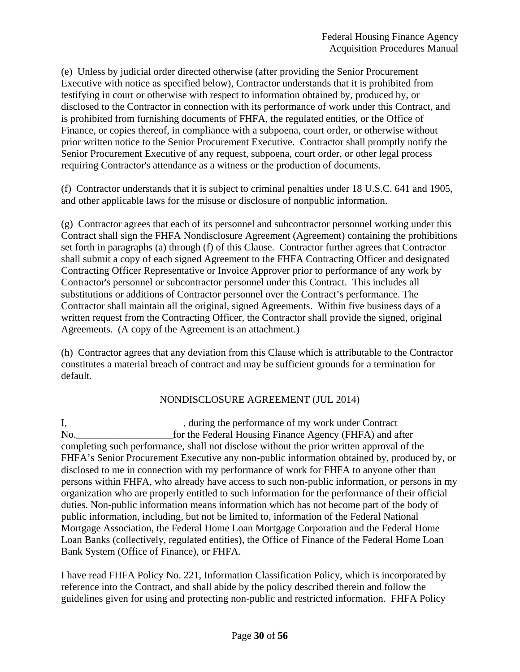(e) Unless by judicial order directed otherwise (after providing the Senior Procurement Executive with notice as specified below), Contractor understands that it is prohibited from testifying in court or otherwise with respect to information obtained by, produced by, or disclosed to the Contractor in connection with its performance of work under this Contract, and is prohibited from furnishing documents of FHFA, the regulated entities, or the Office of Finance, or copies thereof, in compliance with a subpoena, court order, or otherwise without prior written notice to the Senior Procurement Executive. Contractor shall promptly notify the Senior Procurement Executive of any request, subpoena, court order, or other legal process requiring Contractor's attendance as a witness or the production of documents.

(f) Contractor understands that it is subject to criminal penalties under 18 U.S.C. 641 and 1905, and other applicable laws for the misuse or disclosure of nonpublic information.

(g) Contractor agrees that each of its personnel and subcontractor personnel working under this Contract shall sign the FHFA Nondisclosure Agreement (Agreement) containing the prohibitions set forth in paragraphs (a) through (f) of this Clause. Contractor further agrees that Contractor shall submit a copy of each signed Agreement to the FHFA Contracting Officer and designated Contracting Officer Representative or Invoice Approver prior to performance of any work by Contractor's personnel or subcontractor personnel under this Contract. This includes all substitutions or additions of Contractor personnel over the Contract's performance. The Contractor shall maintain all the original, signed Agreements. Within five business days of a written request from the Contracting Officer, the Contractor shall provide the signed, original Agreements. (A copy of the Agreement is an attachment.)

(h) Contractor agrees that any deviation from this Clause which is attributable to the Contractor constitutes a material breach of contract and may be sufficient grounds for a termination for default.

# NONDISCLOSURE AGREEMENT (JUL 2014)

I, during the performance of my work under Contract No. for the Federal Housing Finance Agency (FHFA) and after completing such performance, shall not disclose without the prior written approval of the FHFA's Senior Procurement Executive any non-public information obtained by, produced by, or disclosed to me in connection with my performance of work for FHFA to anyone other than persons within FHFA, who already have access to such non-public information, or persons in my organization who are properly entitled to such information for the performance of their official duties. Non-public information means information which has not become part of the body of public information, including, but not be limited to, information of the Federal National Mortgage Association, the Federal Home Loan Mortgage Corporation and the Federal Home Loan Banks (collectively, regulated entities), the Office of Finance of the Federal Home Loan Bank System (Office of Finance), or FHFA.

I have read FHFA Policy No. 221, Information Classification Policy, which is incorporated by reference into the Contract, and shall abide by the policy described therein and follow the guidelines given for using and protecting non-public and restricted information. FHFA Policy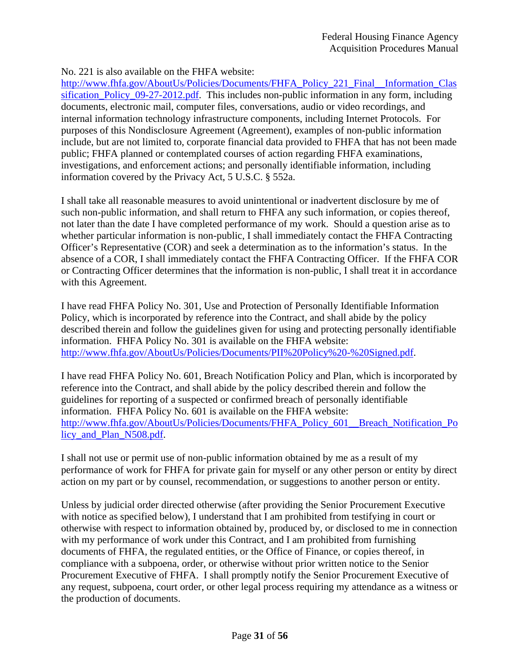### No. 221 is also available on the FHFA website:

http://www.fhfa.gov/AboutUs/Policies/Documents/FHFA\_Policy\_221\_Final\_\_Information\_Clas sification\_Policy\_09-27-2012.pdf. This includes non-public information in any form, including documents, electronic mail, computer files, conversations, audio or video recordings, and internal information technology infrastructure components, including Internet Protocols. For purposes of this Nondisclosure Agreement (Agreement), examples of non-public information include, but are not limited to, corporate financial data provided to FHFA that has not been made public; FHFA planned or contemplated courses of action regarding FHFA examinations, investigations, and enforcement actions; and personally identifiable information, including information covered by the Privacy Act, 5 U.S.C. § 552a.

I shall take all reasonable measures to avoid unintentional or inadvertent disclosure by me of such non-public information, and shall return to FHFA any such information, or copies thereof, not later than the date I have completed performance of my work. Should a question arise as to whether particular information is non-public, I shall immediately contact the FHFA Contracting Officer's Representative (COR) and seek a determination as to the information's status. In the absence of a COR, I shall immediately contact the FHFA Contracting Officer. If the FHFA COR or Contracting Officer determines that the information is non-public, I shall treat it in accordance with this Agreement.

I have read FHFA Policy No. 301, Use and Protection of Personally Identifiable Information Policy, which is incorporated by reference into the Contract, and shall abide by the policy described therein and follow the guidelines given for using and protecting personally identifiable information. FHFA Policy No. 301 is available on the FHFA website: http://www.fhfa.gov/AboutUs/Policies/Documents/PII%20Policy%20-%20Signed.pdf.

I have read FHFA Policy No. 601, Breach Notification Policy and Plan, which is incorporated by reference into the Contract, and shall abide by the policy described therein and follow the guidelines for reporting of a suspected or confirmed breach of personally identifiable information. FHFA Policy No. 601 is available on the FHFA website: http://www.fhfa.gov/AboutUs/Policies/Documents/FHFA\_Policy\_601\_\_Breach\_Notification\_Po licy and Plan N508.pdf.

I shall not use or permit use of non-public information obtained by me as a result of my performance of work for FHFA for private gain for myself or any other person or entity by direct action on my part or by counsel, recommendation, or suggestions to another person or entity.

Unless by judicial order directed otherwise (after providing the Senior Procurement Executive with notice as specified below), I understand that I am prohibited from testifying in court or otherwise with respect to information obtained by, produced by, or disclosed to me in connection with my performance of work under this Contract, and I am prohibited from furnishing documents of FHFA, the regulated entities, or the Office of Finance, or copies thereof, in compliance with a subpoena, order, or otherwise without prior written notice to the Senior Procurement Executive of FHFA. I shall promptly notify the Senior Procurement Executive of any request, subpoena, court order, or other legal process requiring my attendance as a witness or the production of documents.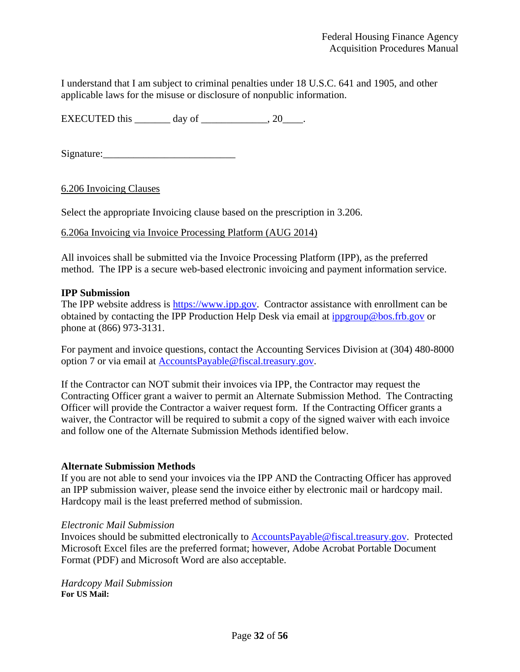I understand that I am subject to criminal penalties under 18 U.S.C. 641 and 1905, and other applicable laws for the misuse or disclosure of nonpublic information.

EXECUTED this  $\_\_\_\_\_\$  day of  $\_\_\_\_\_\_\_\$ , 20 $\_\_\_\_\$ .

Signature:\_\_\_\_\_\_\_\_\_\_\_\_\_\_\_\_\_\_\_\_\_\_\_\_\_\_

6.206 Invoicing Clauses

Select the appropriate Invoicing clause based on the prescription in 3.206.

#### 6.206a Invoicing via Invoice Processing Platform (AUG 2014)

All invoices shall be submitted via the Invoice Processing Platform (IPP), as the preferred method. The IPP is a secure web-based electronic invoicing and payment information service.

#### **IPP Submission**

The IPP website address is https://www.ipp.gov. Contractor assistance with enrollment can be obtained by contacting the IPP Production Help Desk via email at ippgroup@bos.frb.gov or phone at (866) 973-3131.

For payment and invoice questions, contact the Accounting Services Division at (304) 480-8000 option 7 or via email at AccountsPayable@fiscal.treasury.gov.

If the Contractor can NOT submit their invoices via IPP, the Contractor may request the Contracting Officer grant a waiver to permit an Alternate Submission Method. The Contracting Officer will provide the Contractor a waiver request form. If the Contracting Officer grants a waiver, the Contractor will be required to submit a copy of the signed waiver with each invoice and follow one of the Alternate Submission Methods identified below.

#### **Alternate Submission Methods**

If you are not able to send your invoices via the IPP AND the Contracting Officer has approved an IPP submission waiver, please send the invoice either by electronic mail or hardcopy mail. Hardcopy mail is the least preferred method of submission.

#### *Electronic Mail Submission*

Invoices should be submitted electronically to AccountsPayable@fiscal.treasury.gov. Protected Microsoft Excel files are the preferred format; however, Adobe Acrobat Portable Document Format (PDF) and Microsoft Word are also acceptable.

*Hardcopy Mail Submission*  **For US Mail:**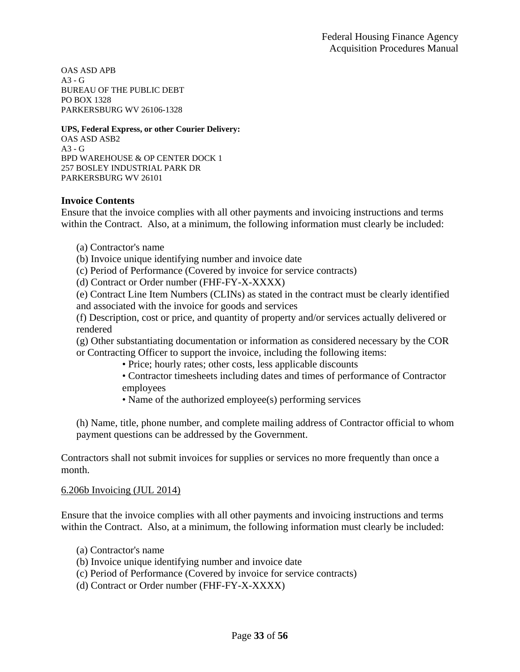OAS ASD APB A3 - G BUREAU OF THE PUBLIC DEBT PO BOX 1328 PARKERSBURG WV 26106-1328

#### **UPS, Federal Express, or other Courier Delivery:**

OAS ASD ASB2  $A3 - G$ BPD WAREHOUSE & OP CENTER DOCK 1 257 BOSLEY INDUSTRIAL PARK DR PARKERSBURG WV 26101

#### **Invoice Contents**

Ensure that the invoice complies with all other payments and invoicing instructions and terms within the Contract. Also, at a minimum, the following information must clearly be included:

- (a) Contractor's name
- (b) Invoice unique identifying number and invoice date
- (c) Period of Performance (Covered by invoice for service contracts)
- (d) Contract or Order number (FHF-FY-X-XXXX)

(e) Contract Line Item Numbers (CLINs) as stated in the contract must be clearly identified and associated with the invoice for goods and services

(f) Description, cost or price, and quantity of property and/or services actually delivered or rendered

(g) Other substantiating documentation or information as considered necessary by the COR or Contracting Officer to support the invoice, including the following items:

- Price; hourly rates; other costs, less applicable discounts
- Contractor timesheets including dates and times of performance of Contractor employees
- Name of the authorized employee(s) performing services

(h) Name, title, phone number, and complete mailing address of Contractor official to whom payment questions can be addressed by the Government.

Contractors shall not submit invoices for supplies or services no more frequently than once a month.

#### 6.206b Invoicing (JUL 2014)

Ensure that the invoice complies with all other payments and invoicing instructions and terms within the Contract. Also, at a minimum, the following information must clearly be included:

- (a) Contractor's name
- (b) Invoice unique identifying number and invoice date
- (c) Period of Performance (Covered by invoice for service contracts)
- (d) Contract or Order number (FHF-FY-X-XXXX)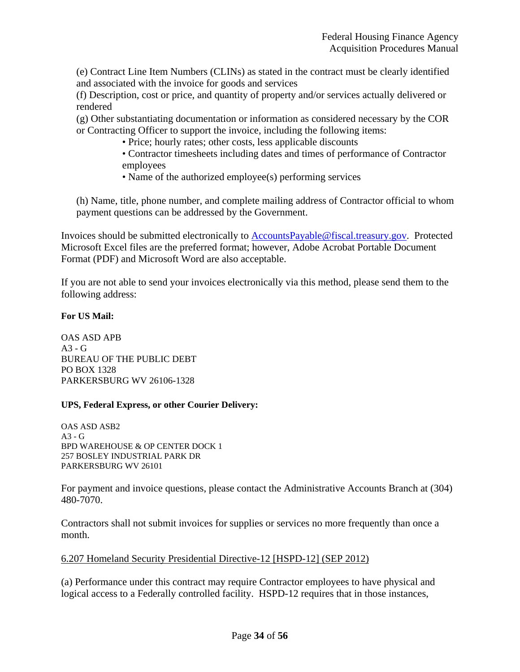(e) Contract Line Item Numbers (CLINs) as stated in the contract must be clearly identified and associated with the invoice for goods and services

(f) Description, cost or price, and quantity of property and/or services actually delivered or rendered

(g) Other substantiating documentation or information as considered necessary by the COR or Contracting Officer to support the invoice, including the following items:

• Price; hourly rates; other costs, less applicable discounts

• Contractor timesheets including dates and times of performance of Contractor employees

• Name of the authorized employee(s) performing services

(h) Name, title, phone number, and complete mailing address of Contractor official to whom payment questions can be addressed by the Government.

Invoices should be submitted electronically to AccountsPayable@fiscal.treasury.gov. Protected Microsoft Excel files are the preferred format; however, Adobe Acrobat Portable Document Format (PDF) and Microsoft Word are also acceptable.

If you are not able to send your invoices electronically via this method, please send them to the following address:

#### **For US Mail:**

OAS ASD APB  $A3 - G$ BUREAU OF THE PUBLIC DEBT PO BOX 1328 PARKERSBURG WV 26106-1328

#### **UPS, Federal Express, or other Courier Delivery:**

OAS ASD ASB2  $A3 - G$ BPD WAREHOUSE & OP CENTER DOCK 1 257 BOSLEY INDUSTRIAL PARK DR PARKERSBURG WV 26101

For payment and invoice questions, please contact the Administrative Accounts Branch at (304) 480-7070.

Contractors shall not submit invoices for supplies or services no more frequently than once a month.

#### 6.207 Homeland Security Presidential Directive-12 [HSPD-12] (SEP 2012)

(a) Performance under this contract may require Contractor employees to have physical and logical access to a Federally controlled facility. HSPD-12 requires that in those instances,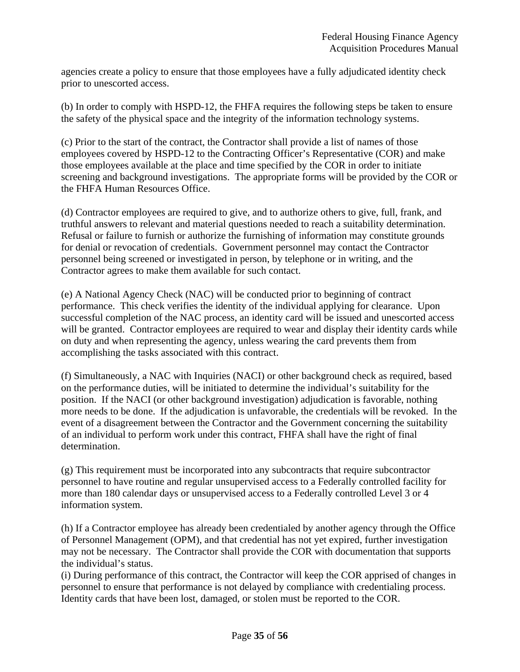agencies create a policy to ensure that those employees have a fully adjudicated identity check prior to unescorted access.

(b) In order to comply with HSPD-12, the FHFA requires the following steps be taken to ensure the safety of the physical space and the integrity of the information technology systems.

(c) Prior to the start of the contract, the Contractor shall provide a list of names of those employees covered by HSPD-12 to the Contracting Officer's Representative (COR) and make those employees available at the place and time specified by the COR in order to initiate screening and background investigations. The appropriate forms will be provided by the COR or the FHFA Human Resources Office.

(d) Contractor employees are required to give, and to authorize others to give, full, frank, and truthful answers to relevant and material questions needed to reach a suitability determination. Refusal or failure to furnish or authorize the furnishing of information may constitute grounds for denial or revocation of credentials. Government personnel may contact the Contractor personnel being screened or investigated in person, by telephone or in writing, and the Contractor agrees to make them available for such contact.

(e) A National Agency Check (NAC) will be conducted prior to beginning of contract performance. This check verifies the identity of the individual applying for clearance. Upon successful completion of the NAC process, an identity card will be issued and unescorted access will be granted. Contractor employees are required to wear and display their identity cards while on duty and when representing the agency, unless wearing the card prevents them from accomplishing the tasks associated with this contract.

(f) Simultaneously, a NAC with Inquiries (NACI) or other background check as required, based on the performance duties, will be initiated to determine the individual's suitability for the position. If the NACI (or other background investigation) adjudication is favorable, nothing more needs to be done. If the adjudication is unfavorable, the credentials will be revoked. In the event of a disagreement between the Contractor and the Government concerning the suitability of an individual to perform work under this contract, FHFA shall have the right of final determination.

(g) This requirement must be incorporated into any subcontracts that require subcontractor personnel to have routine and regular unsupervised access to a Federally controlled facility for more than 180 calendar days or unsupervised access to a Federally controlled Level 3 or 4 information system.

(h) If a Contractor employee has already been credentialed by another agency through the Office of Personnel Management (OPM), and that credential has not yet expired, further investigation may not be necessary. The Contractor shall provide the COR with documentation that supports the individual's status.

(i) During performance of this contract, the Contractor will keep the COR apprised of changes in personnel to ensure that performance is not delayed by compliance with credentialing process. Identity cards that have been lost, damaged, or stolen must be reported to the COR.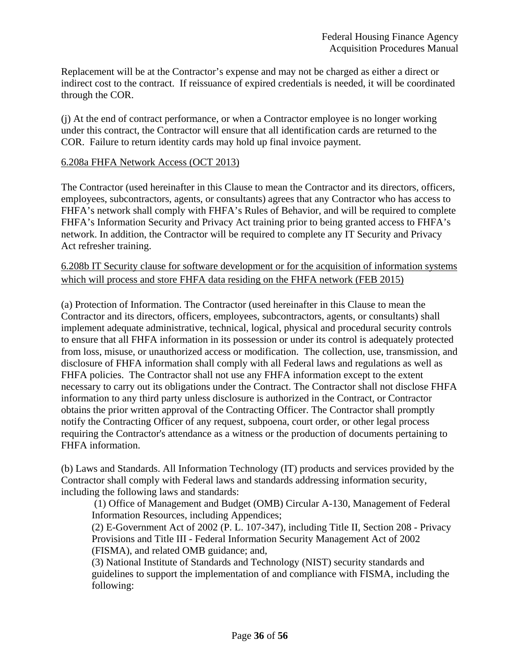Replacement will be at the Contractor's expense and may not be charged as either a direct or indirect cost to the contract. If reissuance of expired credentials is needed, it will be coordinated through the COR.

(j) At the end of contract performance, or when a Contractor employee is no longer working under this contract, the Contractor will ensure that all identification cards are returned to the COR. Failure to return identity cards may hold up final invoice payment.

#### 6.208a FHFA Network Access (OCT 2013)

The Contractor (used hereinafter in this Clause to mean the Contractor and its directors, officers, employees, subcontractors, agents, or consultants) agrees that any Contractor who has access to FHFA's network shall comply with FHFA's Rules of Behavior, and will be required to complete FHFA's Information Security and Privacy Act training prior to being granted access to FHFA's network. In addition, the Contractor will be required to complete any IT Security and Privacy Act refresher training.

6.208b IT Security clause for software development or for the acquisition of information systems which will process and store FHFA data residing on the FHFA network (FEB 2015)

(a) Protection of Information. The Contractor (used hereinafter in this Clause to mean the Contractor and its directors, officers, employees, subcontractors, agents, or consultants) shall implement adequate administrative, technical, logical, physical and procedural security controls to ensure that all FHFA information in its possession or under its control is adequately protected from loss, misuse, or unauthorized access or modification. The collection, use, transmission, and disclosure of FHFA information shall comply with all Federal laws and regulations as well as FHFA policies. The Contractor shall not use any FHFA information except to the extent necessary to carry out its obligations under the Contract. The Contractor shall not disclose FHFA information to any third party unless disclosure is authorized in the Contract, or Contractor obtains the prior written approval of the Contracting Officer. The Contractor shall promptly notify the Contracting Officer of any request, subpoena, court order, or other legal process requiring the Contractor's attendance as a witness or the production of documents pertaining to FHFA information.

(b) Laws and Standards. All Information Technology (IT) products and services provided by the Contractor shall comply with Federal laws and standards addressing information security, including the following laws and standards:

 (1) Office of Management and Budget (OMB) Circular A-130, Management of Federal Information Resources, including Appendices;

(2) E-Government Act of 2002 (P. L. 107-347), including Title II, Section 208 - Privacy Provisions and Title III - Federal Information Security Management Act of 2002 (FISMA), and related OMB guidance; and,

(3) National Institute of Standards and Technology (NIST) security standards and guidelines to support the implementation of and compliance with FISMA, including the following: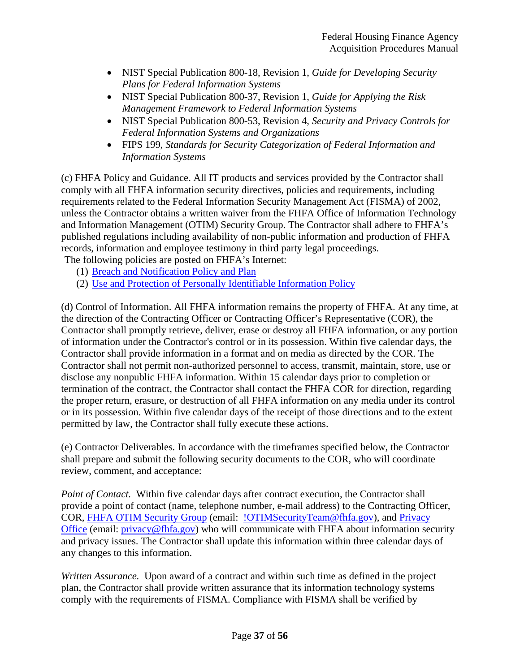- NIST Special Publication 800-18, Revision 1, *Guide for Developing Security Plans for Federal Information Systems*
- NIST Special Publication 800-37, Revision 1, *Guide for Applying the Risk Management Framework to Federal Information Systems*
- NIST Special Publication 800-53, Revision 4, *Security and Privacy Controls for Federal Information Systems and Organizations*
- FIPS 199, *Standards for Security Categorization of Federal Information and Information Systems*

(c) FHFA Policy and Guidance. All IT products and services provided by the Contractor shall comply with all FHFA information security directives, policies and requirements, including requirements related to the Federal Information Security Management Act (FISMA) of 2002, unless the Contractor obtains a written waiver from the FHFA Office of Information Technology and Information Management (OTIM) Security Group. The Contractor shall adhere to FHFA's published regulations including availability of non-public information and production of FHFA records, information and employee testimony in third party legal proceedings.

The following policies are posted on FHFA's Internet:

- (1) Breach and Notification Policy and Plan
- (2) Use and Protection of Personally Identifiable Information Policy

(d) Control of Information. All FHFA information remains the property of FHFA. At any time, at the direction of the Contracting Officer or Contracting Officer's Representative (COR), the Contractor shall promptly retrieve, deliver, erase or destroy all FHFA information, or any portion of information under the Contractor's control or in its possession. Within five calendar days, the Contractor shall provide information in a format and on media as directed by the COR. The Contractor shall not permit non-authorized personnel to access, transmit, maintain, store, use or disclose any nonpublic FHFA information. Within 15 calendar days prior to completion or termination of the contract, the Contractor shall contact the FHFA COR for direction, regarding the proper return, erasure, or destruction of all FHFA information on any media under its control or in its possession. Within five calendar days of the receipt of those directions and to the extent permitted by law, the Contractor shall fully execute these actions.

(e) Contractor Deliverables*.* In accordance with the timeframes specified below, the Contractor shall prepare and submit the following security documents to the COR, who will coordinate review, comment, and acceptance:

*Point of Contact.* Within five calendar days after contract execution, the Contractor shall provide a point of contact (name, telephone number, e-mail address) to the Contracting Officer, COR, FHFA OTIM Security Group (email: !OTIMSecurityTeam@fhfa.gov), and Privacy Office (email: privacy@fhfa.gov) who will communicate with FHFA about information security and privacy issues. The Contractor shall update this information within three calendar days of any changes to this information.

*Written Assurance.* Upon award of a contract and within such time as defined in the project plan, the Contractor shall provide written assurance that its information technology systems comply with the requirements of FISMA. Compliance with FISMA shall be verified by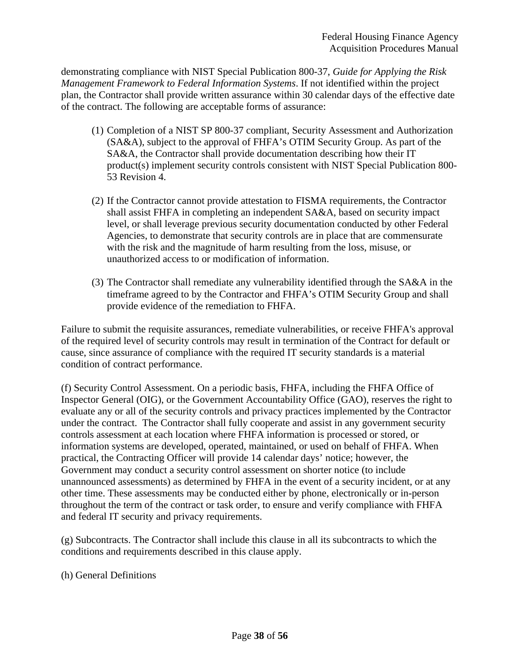demonstrating compliance with NIST Special Publication 800-37, *Guide for Applying the Risk Management Framework to Federal Information Systems*. If not identified within the project plan, the Contractor shall provide written assurance within 30 calendar days of the effective date of the contract. The following are acceptable forms of assurance:

- (1) Completion of a NIST SP 800-37 compliant, Security Assessment and Authorization (SA&A), subject to the approval of FHFA's OTIM Security Group. As part of the SA&A, the Contractor shall provide documentation describing how their IT product(s) implement security controls consistent with NIST Special Publication 800- 53 Revision 4.
- (2) If the Contractor cannot provide attestation to FISMA requirements, the Contractor shall assist FHFA in completing an independent SA&A, based on security impact level, or shall leverage previous security documentation conducted by other Federal Agencies, to demonstrate that security controls are in place that are commensurate with the risk and the magnitude of harm resulting from the loss, misuse, or unauthorized access to or modification of information.
- (3) The Contractor shall remediate any vulnerability identified through the SA&A in the timeframe agreed to by the Contractor and FHFA's OTIM Security Group and shall provide evidence of the remediation to FHFA.

Failure to submit the requisite assurances, remediate vulnerabilities, or receive FHFA's approval of the required level of security controls may result in termination of the Contract for default or cause, since assurance of compliance with the required IT security standards is a material condition of contract performance.

(f) Security Control Assessment. On a periodic basis, FHFA, including the FHFA Office of Inspector General (OIG), or the Government Accountability Office (GAO), reserves the right to evaluate any or all of the security controls and privacy practices implemented by the Contractor under the contract. The Contractor shall fully cooperate and assist in any government security controls assessment at each location where FHFA information is processed or stored, or information systems are developed, operated, maintained, or used on behalf of FHFA. When practical, the Contracting Officer will provide 14 calendar days' notice; however, the Government may conduct a security control assessment on shorter notice (to include unannounced assessments) as determined by FHFA in the event of a security incident, or at any other time. These assessments may be conducted either by phone, electronically or in-person throughout the term of the contract or task order, to ensure and verify compliance with FHFA and federal IT security and privacy requirements.

(g) Subcontracts. The Contractor shall include this clause in all its subcontracts to which the conditions and requirements described in this clause apply.

(h) General Definitions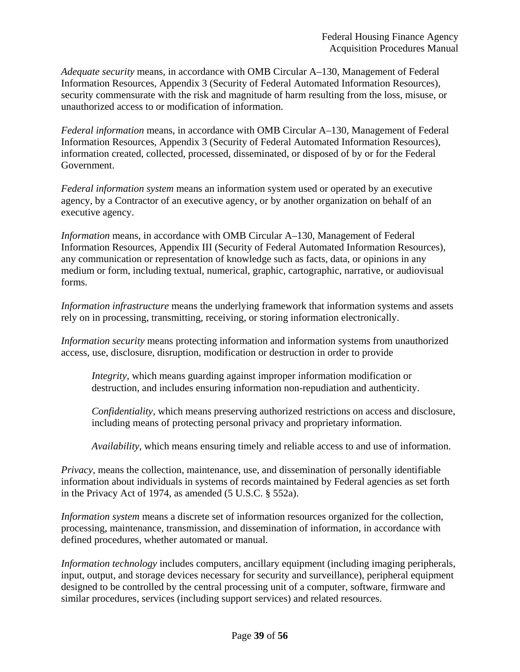*Adequate security* means, in accordance with OMB Circular A–130, Management of Federal Information Resources, Appendix 3 (Security of Federal Automated Information Resources), security commensurate with the risk and magnitude of harm resulting from the loss, misuse, or unauthorized access to or modification of information.

*Federal information* means, in accordance with OMB Circular A–130, Management of Federal Information Resources, Appendix 3 (Security of Federal Automated Information Resources), information created, collected, processed, disseminated, or disposed of by or for the Federal Government.

*Federal information system* means an information system used or operated by an executive agency, by a Contractor of an executive agency, or by another organization on behalf of an executive agency.

*Information* means, in accordance with OMB Circular A–130, Management of Federal Information Resources, Appendix III (Security of Federal Automated Information Resources), any communication or representation of knowledge such as facts, data, or opinions in any medium or form, including textual, numerical, graphic, cartographic, narrative, or audiovisual forms.

*Information infrastructure* means the underlying framework that information systems and assets rely on in processing, transmitting, receiving, or storing information electronically.

*Information security* means protecting information and information systems from unauthorized access, use, disclosure, disruption, modification or destruction in order to provide

*Integrity,* which means guarding against improper information modification or destruction, and includes ensuring information non-repudiation and authenticity.

*Confidentiality,* which means preserving authorized restrictions on access and disclosure, including means of protecting personal privacy and proprietary information.

*Availability,* which means ensuring timely and reliable access to and use of information.

*Privacy,* means the collection, maintenance, use, and dissemination of personally identifiable information about individuals in systems of records maintained by Federal agencies as set forth in the Privacy Act of 1974, as amended (5 U.S.C. § 552a).

*Information system* means a discrete set of information resources organized for the collection, processing, maintenance, transmission, and dissemination of information, in accordance with defined procedures, whether automated or manual.

*Information technology* includes computers, ancillary equipment (including imaging peripherals, input, output, and storage devices necessary for security and surveillance), peripheral equipment designed to be controlled by the central processing unit of a computer, software, firmware and similar procedures, services (including support services) and related resources.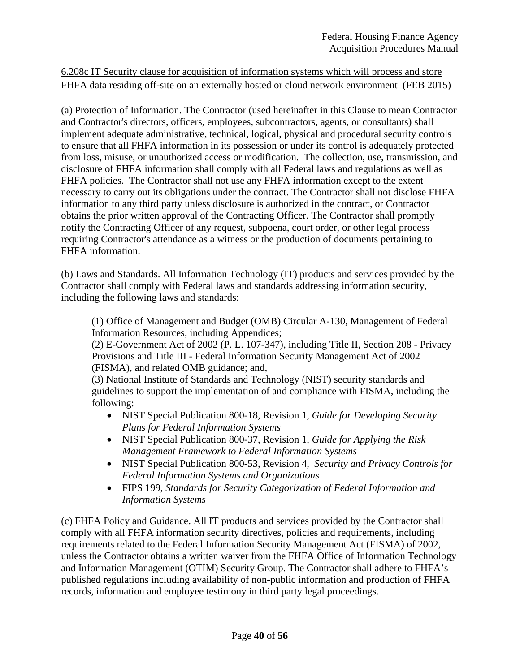# 6.208c IT Security clause for acquisition of information systems which will process and store FHFA data residing off-site on an externally hosted or cloud network environment (FEB 2015)

(a) Protection of Information. The Contractor (used hereinafter in this Clause to mean Contractor and Contractor's directors, officers, employees, subcontractors, agents, or consultants) shall implement adequate administrative, technical, logical, physical and procedural security controls to ensure that all FHFA information in its possession or under its control is adequately protected from loss, misuse, or unauthorized access or modification. The collection, use, transmission, and disclosure of FHFA information shall comply with all Federal laws and regulations as well as FHFA policies. The Contractor shall not use any FHFA information except to the extent necessary to carry out its obligations under the contract. The Contractor shall not disclose FHFA information to any third party unless disclosure is authorized in the contract, or Contractor obtains the prior written approval of the Contracting Officer. The Contractor shall promptly notify the Contracting Officer of any request, subpoena, court order, or other legal process requiring Contractor's attendance as a witness or the production of documents pertaining to FHFA information.

(b) Laws and Standards. All Information Technology (IT) products and services provided by the Contractor shall comply with Federal laws and standards addressing information security, including the following laws and standards:

(1) Office of Management and Budget (OMB) Circular A-130, Management of Federal Information Resources, including Appendices;

(2) E-Government Act of 2002 (P. L. 107-347), including Title II, Section 208 - Privacy Provisions and Title III - Federal Information Security Management Act of 2002 (FISMA), and related OMB guidance; and,

(3) National Institute of Standards and Technology (NIST) security standards and guidelines to support the implementation of and compliance with FISMA, including the following:

- NIST Special Publication 800-18, Revision 1, *Guide for Developing Security Plans for Federal Information Systems*
- NIST Special Publication 800-37, Revision 1, *Guide for Applying the Risk Management Framework to Federal Information Systems*
- NIST Special Publication 800-53, Revision 4, *Security and Privacy Controls for Federal Information Systems and Organizations*
- FIPS 199, *Standards for Security Categorization of Federal Information and Information Systems*

(c) FHFA Policy and Guidance. All IT products and services provided by the Contractor shall comply with all FHFA information security directives, policies and requirements, including requirements related to the Federal Information Security Management Act (FISMA) of 2002, unless the Contractor obtains a written waiver from the FHFA Office of Information Technology and Information Management (OTIM) Security Group. The Contractor shall adhere to FHFA's published regulations including availability of non-public information and production of FHFA records, information and employee testimony in third party legal proceedings.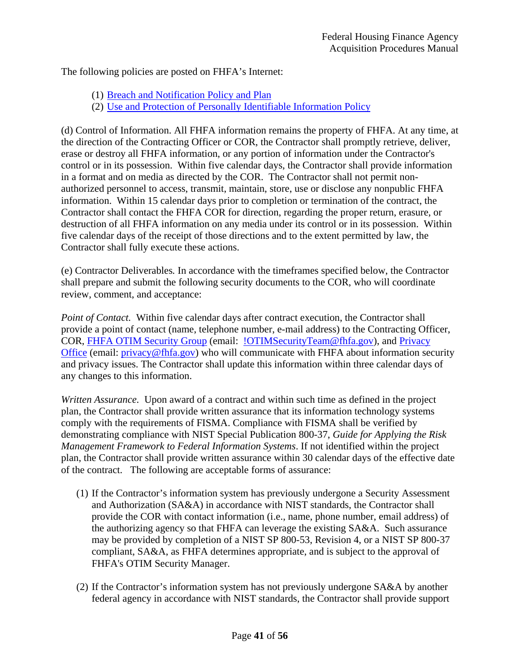The following policies are posted on FHFA's Internet:

- (1) Breach and Notification Policy and Plan
- (2) Use and Protection of Personally Identifiable Information Policy

(d) Control of Information. All FHFA information remains the property of FHFA. At any time, at the direction of the Contracting Officer or COR, the Contractor shall promptly retrieve, deliver, erase or destroy all FHFA information, or any portion of information under the Contractor's control or in its possession. Within five calendar days, the Contractor shall provide information in a format and on media as directed by the COR. The Contractor shall not permit nonauthorized personnel to access, transmit, maintain, store, use or disclose any nonpublic FHFA information. Within 15 calendar days prior to completion or termination of the contract, the Contractor shall contact the FHFA COR for direction, regarding the proper return, erasure, or destruction of all FHFA information on any media under its control or in its possession. Within five calendar days of the receipt of those directions and to the extent permitted by law, the Contractor shall fully execute these actions.

(e) Contractor Deliverables*.* In accordance with the timeframes specified below, the Contractor shall prepare and submit the following security documents to the COR, who will coordinate review, comment, and acceptance:

*Point of Contact.* Within five calendar days after contract execution, the Contractor shall provide a point of contact (name, telephone number, e-mail address) to the Contracting Officer, COR, FHFA OTIM Security Group (email: !OTIMSecurityTeam@fhfa.gov), and Privacy Office (email: privacy@fhfa.gov) who will communicate with FHFA about information security and privacy issues. The Contractor shall update this information within three calendar days of any changes to this information.

*Written Assurance.* Upon award of a contract and within such time as defined in the project plan, the Contractor shall provide written assurance that its information technology systems comply with the requirements of FISMA. Compliance with FISMA shall be verified by demonstrating compliance with NIST Special Publication 800-37, *Guide for Applying the Risk Management Framework to Federal Information Systems*. If not identified within the project plan, the Contractor shall provide written assurance within 30 calendar days of the effective date of the contract. The following are acceptable forms of assurance:

- (1) If the Contractor's information system has previously undergone a Security Assessment and Authorization (SA&A) in accordance with NIST standards, the Contractor shall provide the COR with contact information (i.e., name, phone number, email address) of the authorizing agency so that FHFA can leverage the existing SA&A. Such assurance may be provided by completion of a NIST SP 800-53, Revision 4, or a NIST SP 800-37 compliant, SA&A, as FHFA determines appropriate, and is subject to the approval of FHFA's OTIM Security Manager.
- (2) If the Contractor's information system has not previously undergone SA&A by another federal agency in accordance with NIST standards, the Contractor shall provide support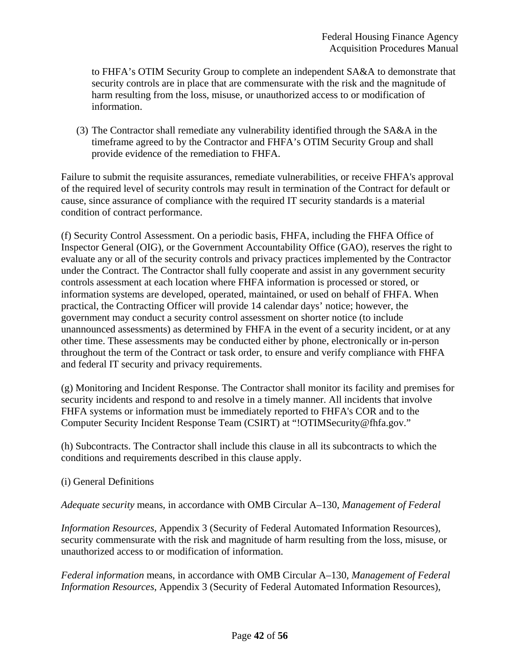to FHFA's OTIM Security Group to complete an independent SA&A to demonstrate that security controls are in place that are commensurate with the risk and the magnitude of harm resulting from the loss, misuse, or unauthorized access to or modification of information.

(3) The Contractor shall remediate any vulnerability identified through the SA&A in the timeframe agreed to by the Contractor and FHFA's OTIM Security Group and shall provide evidence of the remediation to FHFA.

Failure to submit the requisite assurances, remediate vulnerabilities, or receive FHFA's approval of the required level of security controls may result in termination of the Contract for default or cause, since assurance of compliance with the required IT security standards is a material condition of contract performance.

(f) Security Control Assessment. On a periodic basis, FHFA, including the FHFA Office of Inspector General (OIG), or the Government Accountability Office (GAO), reserves the right to evaluate any or all of the security controls and privacy practices implemented by the Contractor under the Contract. The Contractor shall fully cooperate and assist in any government security controls assessment at each location where FHFA information is processed or stored, or information systems are developed, operated, maintained, or used on behalf of FHFA. When practical, the Contracting Officer will provide 14 calendar days' notice; however, the government may conduct a security control assessment on shorter notice (to include unannounced assessments) as determined by FHFA in the event of a security incident, or at any other time. These assessments may be conducted either by phone, electronically or in-person throughout the term of the Contract or task order, to ensure and verify compliance with FHFA and federal IT security and privacy requirements.

(g) Monitoring and Incident Response. The Contractor shall monitor its facility and premises for security incidents and respond to and resolve in a timely manner. All incidents that involve FHFA systems or information must be immediately reported to FHFA's COR and to the Computer Security Incident Response Team (CSIRT) at "!OTIMSecurity@fhfa.gov."

(h) Subcontracts. The Contractor shall include this clause in all its subcontracts to which the conditions and requirements described in this clause apply.

(i) General Definitions

*Adequate security* means, in accordance with OMB Circular A–130, *Management of Federal* 

*Information Resources*, Appendix 3 (Security of Federal Automated Information Resources), security commensurate with the risk and magnitude of harm resulting from the loss, misuse, or unauthorized access to or modification of information.

*Federal information* means, in accordance with OMB Circular A–130, *Management of Federal Information Resources*, Appendix 3 (Security of Federal Automated Information Resources),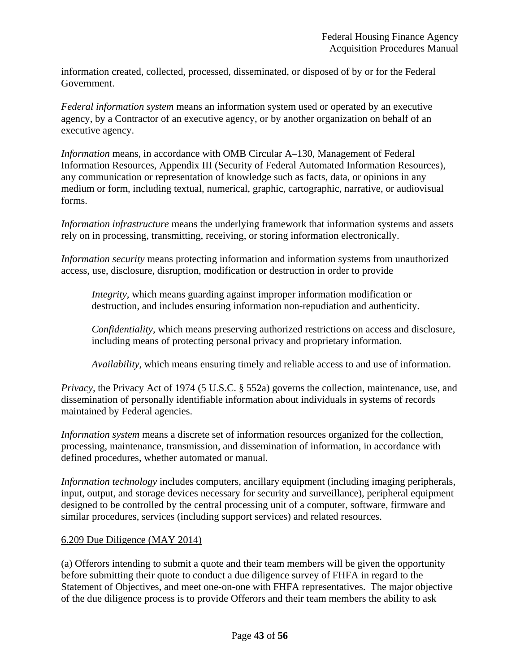information created, collected, processed, disseminated, or disposed of by or for the Federal Government.

*Federal information system* means an information system used or operated by an executive agency, by a Contractor of an executive agency, or by another organization on behalf of an executive agency.

*Information* means, in accordance with OMB Circular A–130, Management of Federal Information Resources, Appendix III (Security of Federal Automated Information Resources), any communication or representation of knowledge such as facts, data, or opinions in any medium or form, including textual, numerical, graphic, cartographic, narrative, or audiovisual forms.

*Information infrastructure* means the underlying framework that information systems and assets rely on in processing, transmitting, receiving, or storing information electronically.

*Information security* means protecting information and information systems from unauthorized access, use, disclosure, disruption, modification or destruction in order to provide

*Integrity,* which means guarding against improper information modification or destruction, and includes ensuring information non-repudiation and authenticity.

*Confidentiality,* which means preserving authorized restrictions on access and disclosure, including means of protecting personal privacy and proprietary information.

*Availability,* which means ensuring timely and reliable access to and use of information.

*Privacy*, the Privacy Act of 1974 (5 U.S.C. § 552a) governs the collection, maintenance, use, and dissemination of personally identifiable information about individuals in systems of records maintained by Federal agencies.

*Information system* means a discrete set of information resources organized for the collection, processing, maintenance, transmission, and dissemination of information, in accordance with defined procedures, whether automated or manual.

*Information technology* includes computers, ancillary equipment (including imaging peripherals, input, output, and storage devices necessary for security and surveillance), peripheral equipment designed to be controlled by the central processing unit of a computer, software, firmware and similar procedures, services (including support services) and related resources.

#### 6.209 Due Diligence (MAY 2014)

(a) Offerors intending to submit a quote and their team members will be given the opportunity before submitting their quote to conduct a due diligence survey of FHFA in regard to the Statement of Objectives, and meet one-on-one with FHFA representatives. The major objective of the due diligence process is to provide Offerors and their team members the ability to ask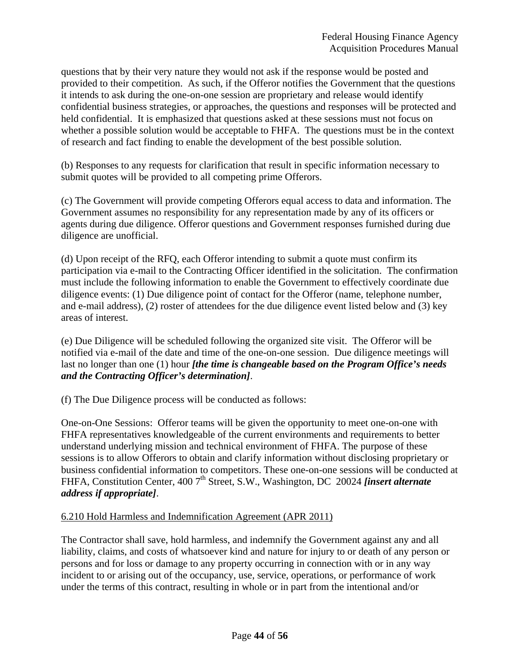questions that by their very nature they would not ask if the response would be posted and provided to their competition. As such, if the Offeror notifies the Government that the questions it intends to ask during the one-on-one session are proprietary and release would identify confidential business strategies, or approaches, the questions and responses will be protected and held confidential. It is emphasized that questions asked at these sessions must not focus on whether a possible solution would be acceptable to FHFA. The questions must be in the context of research and fact finding to enable the development of the best possible solution.

(b) Responses to any requests for clarification that result in specific information necessary to submit quotes will be provided to all competing prime Offerors.

(c) The Government will provide competing Offerors equal access to data and information. The Government assumes no responsibility for any representation made by any of its officers or agents during due diligence. Offeror questions and Government responses furnished during due diligence are unofficial.

(d) Upon receipt of the RFQ, each Offeror intending to submit a quote must confirm its participation via e-mail to the Contracting Officer identified in the solicitation. The confirmation must include the following information to enable the Government to effectively coordinate due diligence events: (1) Due diligence point of contact for the Offeror (name, telephone number, and e-mail address), (2) roster of attendees for the due diligence event listed below and (3) key areas of interest.

(e) Due Diligence will be scheduled following the organized site visit. The Offeror will be notified via e-mail of the date and time of the one-on-one session. Due diligence meetings will last no longer than one (1) hour *[the time is changeable based on the Program Office's needs and the Contracting Officer's determination]*.

(f) The Due Diligence process will be conducted as follows:

One-on-One Sessions: Offeror teams will be given the opportunity to meet one-on-one with FHFA representatives knowledgeable of the current environments and requirements to better understand underlying mission and technical environment of FHFA. The purpose of these sessions is to allow Offerors to obtain and clarify information without disclosing proprietary or business confidential information to competitors. These one-on-one sessions will be conducted at FHFA, Constitution Center, 400 7<sup>th</sup> Street, S.W., Washington, DC 20024 *finsert alternate address if appropriate]*.

#### 6.210 Hold Harmless and Indemnification Agreement (APR 2011)

The Contractor shall save, hold harmless, and indemnify the Government against any and all liability, claims, and costs of whatsoever kind and nature for injury to or death of any person or persons and for loss or damage to any property occurring in connection with or in any way incident to or arising out of the occupancy, use, service, operations, or performance of work under the terms of this contract, resulting in whole or in part from the intentional and/or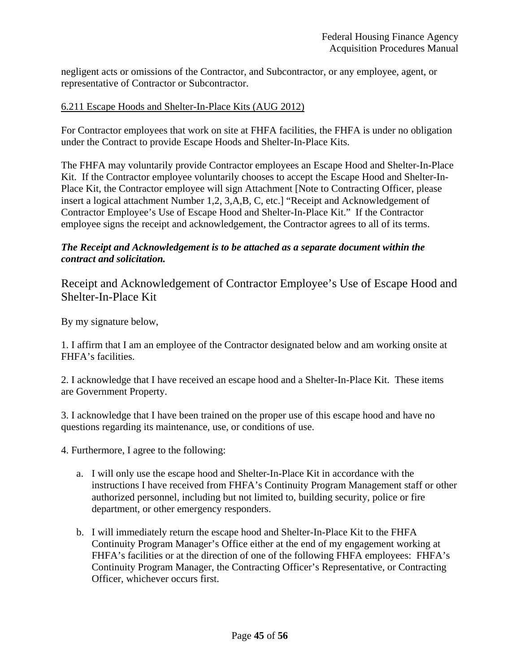negligent acts or omissions of the Contractor, and Subcontractor, or any employee, agent, or representative of Contractor or Subcontractor.

#### 6.211 Escape Hoods and Shelter-In-Place Kits (AUG 2012)

For Contractor employees that work on site at FHFA facilities, the FHFA is under no obligation under the Contract to provide Escape Hoods and Shelter-In-Place Kits.

The FHFA may voluntarily provide Contractor employees an Escape Hood and Shelter-In-Place Kit. If the Contractor employee voluntarily chooses to accept the Escape Hood and Shelter-In-Place Kit, the Contractor employee will sign Attachment [Note to Contracting Officer, please insert a logical attachment Number 1,2, 3,A,B, C, etc.] "Receipt and Acknowledgement of Contractor Employee's Use of Escape Hood and Shelter-In-Place Kit." If the Contractor employee signs the receipt and acknowledgement, the Contractor agrees to all of its terms.

### *The Receipt and Acknowledgement is to be attached as a separate document within the contract and solicitation.*

Receipt and Acknowledgement of Contractor Employee's Use of Escape Hood and Shelter-In-Place Kit

By my signature below,

1. I affirm that I am an employee of the Contractor designated below and am working onsite at FHFA's facilities.

2. I acknowledge that I have received an escape hood and a Shelter-In-Place Kit. These items are Government Property.

3. I acknowledge that I have been trained on the proper use of this escape hood and have no questions regarding its maintenance, use, or conditions of use.

4. Furthermore, I agree to the following:

- a. I will only use the escape hood and Shelter-In-Place Kit in accordance with the instructions I have received from FHFA's Continuity Program Management staff or other authorized personnel, including but not limited to, building security, police or fire department, or other emergency responders.
- b. I will immediately return the escape hood and Shelter-In-Place Kit to the FHFA Continuity Program Manager's Office either at the end of my engagement working at FHFA's facilities or at the direction of one of the following FHFA employees: FHFA's Continuity Program Manager, the Contracting Officer's Representative, or Contracting Officer, whichever occurs first.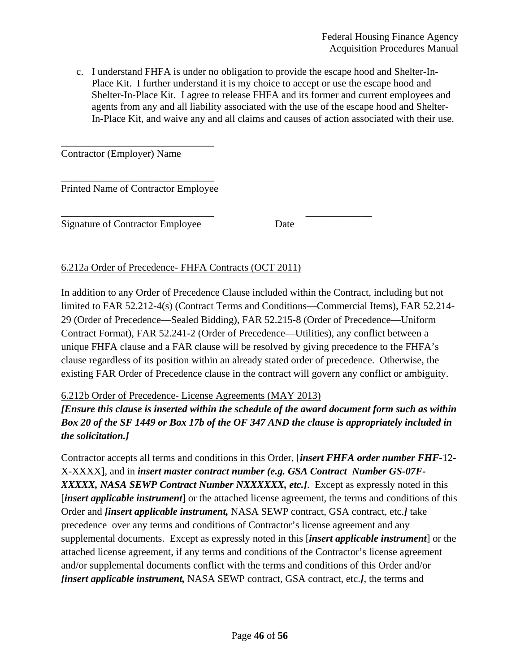c. I understand FHFA is under no obligation to provide the escape hood and Shelter-In-Place Kit. I further understand it is my choice to accept or use the escape hood and Shelter-In-Place Kit. I agree to release FHFA and its former and current employees and agents from any and all liability associated with the use of the escape hood and Shelter-In-Place Kit, and waive any and all claims and causes of action associated with their use.

Contractor (Employer) Name

\_\_\_\_\_\_\_\_\_\_\_\_\_\_\_\_\_\_\_\_\_\_\_\_\_\_\_\_\_\_ Printed Name of Contractor Employee

\_\_\_\_\_\_\_\_\_\_\_\_\_\_\_\_\_\_\_\_\_\_\_\_\_\_\_\_\_\_

\_\_\_\_\_\_\_\_\_\_\_\_\_\_\_\_\_\_\_\_\_\_\_\_\_\_\_\_\_\_ \_\_\_\_\_\_\_\_\_\_\_\_\_ Signature of Contractor Employee Date

6.212a Order of Precedence- FHFA Contracts (OCT 2011)

In addition to any Order of Precedence Clause included within the Contract, including but not limited to FAR 52.212-4(s) (Contract Terms and Conditions—Commercial Items), FAR 52.214- 29 (Order of Precedence—Sealed Bidding), FAR 52.215-8 (Order of Precedence—Uniform Contract Format), FAR 52.241-2 (Order of Precedence—Utilities), any conflict between a unique FHFA clause and a FAR clause will be resolved by giving precedence to the FHFA's clause regardless of its position within an already stated order of precedence. Otherwise, the existing FAR Order of Precedence clause in the contract will govern any conflict or ambiguity.

# 6.212b Order of Precedence- License Agreements (MAY 2013)

*[Ensure this clause is inserted within the schedule of the award document form such as within Box 20 of the SF 1449 or Box 17b of the OF 347 AND the clause is appropriately included in the solicitation.]* 

Contractor accepts all terms and conditions in this Order, [*insert FHFA order number FHF-*12- X-XXXX], and in *insert master contract number (e.g. GSA Contract Number GS-07F-XXXXX, NASA SEWP Contract Number NXXXXXX, etc.]*. Except as expressly noted in this [*insert applicable instrument*] or the attached license agreement, the terms and conditions of this Order and *[insert applicable instrument,* NASA SEWP contract, GSA contract, etc.*]* take precedence over any terms and conditions of Contractor's license agreement and any supplemental documents. Except as expressly noted in this [*insert applicable instrument*] or the attached license agreement, if any terms and conditions of the Contractor's license agreement and/or supplemental documents conflict with the terms and conditions of this Order and/or *[insert applicable instrument,* NASA SEWP contract, GSA contract, etc.*]*, the terms and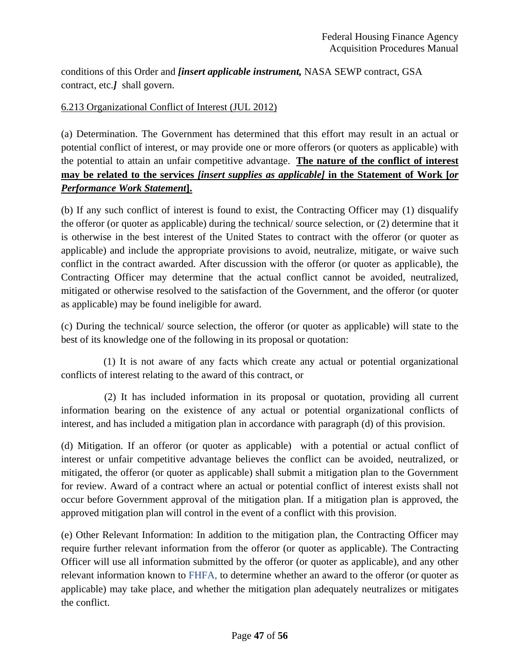conditions of this Order and *[insert applicable instrument,* NASA SEWP contract, GSA contract, etc.*]* shall govern.

# 6.213 Organizational Conflict of Interest (JUL 2012)

(a) Determination. The Government has determined that this effort may result in an actual or potential conflict of interest, or may provide one or more offerors (or quoters as applicable) with the potential to attain an unfair competitive advantage. **The nature of the conflict of interest may be related to the services** *[insert supplies as applicable]* **in the Statement of Work [***or Performance Work Statement***].** 

(b) If any such conflict of interest is found to exist, the Contracting Officer may (1) disqualify the offeror (or quoter as applicable) during the technical/ source selection, or (2) determine that it is otherwise in the best interest of the United States to contract with the offeror (or quoter as applicable) and include the appropriate provisions to avoid, neutralize, mitigate, or waive such conflict in the contract awarded. After discussion with the offeror (or quoter as applicable), the Contracting Officer may determine that the actual conflict cannot be avoided, neutralized, mitigated or otherwise resolved to the satisfaction of the Government, and the offeror (or quoter as applicable) may be found ineligible for award.

(c) During the technical/ source selection, the offeror (or quoter as applicable) will state to the best of its knowledge one of the following in its proposal or quotation:

 (1) It is not aware of any facts which create any actual or potential organizational conflicts of interest relating to the award of this contract, or

 (2) It has included information in its proposal or quotation, providing all current information bearing on the existence of any actual or potential organizational conflicts of interest, and has included a mitigation plan in accordance with paragraph (d) of this provision.

(d) Mitigation. If an offeror (or quoter as applicable) with a potential or actual conflict of interest or unfair competitive advantage believes the conflict can be avoided, neutralized, or mitigated, the offeror (or quoter as applicable) shall submit a mitigation plan to the Government for review. Award of a contract where an actual or potential conflict of interest exists shall not occur before Government approval of the mitigation plan. If a mitigation plan is approved, the approved mitigation plan will control in the event of a conflict with this provision.

(e) Other Relevant Information: In addition to the mitigation plan, the Contracting Officer may require further relevant information from the offeror (or quoter as applicable). The Contracting Officer will use all information submitted by the offeror (or quoter as applicable), and any other relevant information known to FHFA, to determine whether an award to the offeror (or quoter as applicable) may take place, and whether the mitigation plan adequately neutralizes or mitigates the conflict.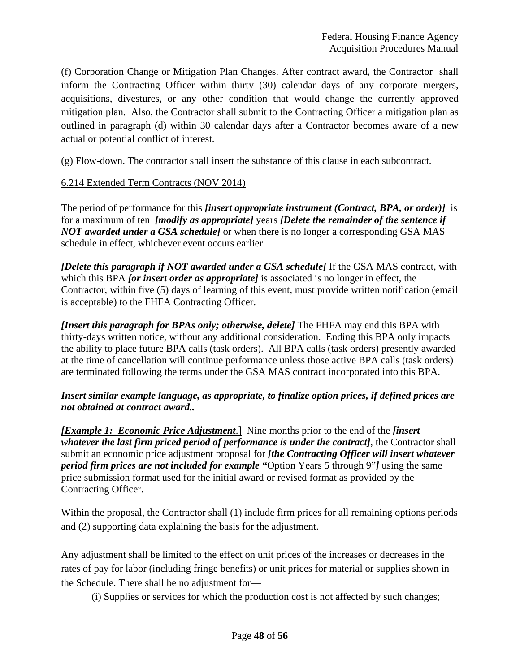(f) Corporation Change or Mitigation Plan Changes. After contract award, the Contractor shall inform the Contracting Officer within thirty (30) calendar days of any corporate mergers, acquisitions, divestures, or any other condition that would change the currently approved mitigation plan. Also, the Contractor shall submit to the Contracting Officer a mitigation plan as outlined in paragraph (d) within 30 calendar days after a Contractor becomes aware of a new actual or potential conflict of interest.

(g) Flow-down. The contractor shall insert the substance of this clause in each subcontract.

## 6.214 Extended Term Contracts (NOV 2014)

The period of performance for this *[insert appropriate instrument (Contract, BPA, or order)]* is for a maximum of ten *[modify as appropriate]* years *[Delete the remainder of the sentence if NOT awarded under a GSA schedule]* or when there is no longer a corresponding GSA MAS schedule in effect, whichever event occurs earlier.

*[Delete this paragraph if NOT awarded under a GSA schedule]* If the GSA MAS contract, with which this BPA *[or insert order as appropriate]* is associated is no longer in effect, the Contractor, within five (5) days of learning of this event, must provide written notification (email is acceptable) to the FHFA Contracting Officer.

*[Insert this paragraph for BPAs only; otherwise, delete]* The FHFA may end this BPA with thirty-days written notice, without any additional consideration. Ending this BPA only impacts the ability to place future BPA calls (task orders). All BPA calls (task orders) presently awarded at the time of cancellation will continue performance unless those active BPA calls (task orders) are terminated following the terms under the GSA MAS contract incorporated into this BPA.

## *Insert similar example language, as appropriate, to finalize option prices, if defined prices are not obtained at contract award..*

*[Example 1: Economic Price Adjustment*.] Nine months prior to the end of the *[insert whatever the last firm priced period of performance is under the contract]*, the Contractor shall submit an economic price adjustment proposal for *[the Contracting Officer will insert whatever period firm prices are not included for example "*Option Years 5 through 9"*]* using the same price submission format used for the initial award or revised format as provided by the Contracting Officer.

Within the proposal, the Contractor shall (1) include firm prices for all remaining options periods and (2) supporting data explaining the basis for the adjustment.

Any adjustment shall be limited to the effect on unit prices of the increases or decreases in the rates of pay for labor (including fringe benefits) or unit prices for material or supplies shown in the Schedule. There shall be no adjustment for—

(i) Supplies or services for which the production cost is not affected by such changes;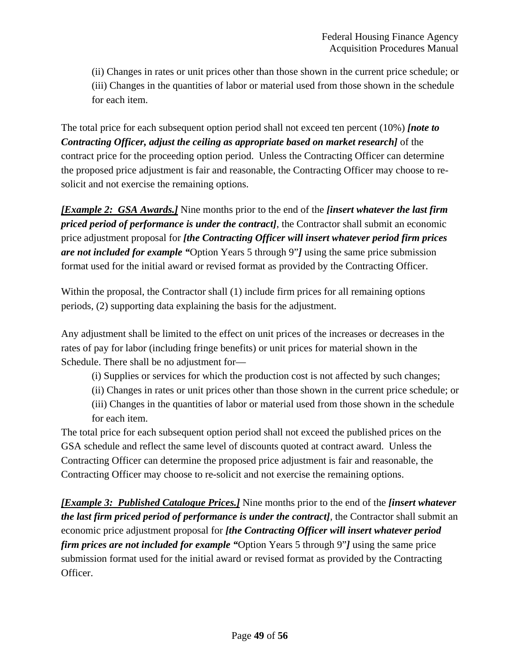(ii) Changes in rates or unit prices other than those shown in the current price schedule; or (iii) Changes in the quantities of labor or material used from those shown in the schedule for each item.

The total price for each subsequent option period shall not exceed ten percent (10%) *[note to Contracting Officer, adjust the ceiling as appropriate based on market research]* of the contract price for the proceeding option period. Unless the Contracting Officer can determine the proposed price adjustment is fair and reasonable, the Contracting Officer may choose to resolicit and not exercise the remaining options.

*[Example 2: GSA Awards.]* Nine months prior to the end of the *[insert whatever the last firm priced period of performance is under the contract]*, the Contractor shall submit an economic price adjustment proposal for *[the Contracting Officer will insert whatever period firm prices are not included for example "*Option Years 5 through 9"*]* using the same price submission format used for the initial award or revised format as provided by the Contracting Officer.

Within the proposal, the Contractor shall (1) include firm prices for all remaining options periods, (2) supporting data explaining the basis for the adjustment.

Any adjustment shall be limited to the effect on unit prices of the increases or decreases in the rates of pay for labor (including fringe benefits) or unit prices for material shown in the Schedule. There shall be no adjustment for—

- (i) Supplies or services for which the production cost is not affected by such changes;
- (ii) Changes in rates or unit prices other than those shown in the current price schedule; or
- (iii) Changes in the quantities of labor or material used from those shown in the schedule for each item.

The total price for each subsequent option period shall not exceed the published prices on the GSA schedule and reflect the same level of discounts quoted at contract award. Unless the Contracting Officer can determine the proposed price adjustment is fair and reasonable, the Contracting Officer may choose to re-solicit and not exercise the remaining options.

*[Example 3: Published Catalogue Prices.]* Nine months prior to the end of the *[insert whatever the last firm priced period of performance is under the contract]*, the Contractor shall submit an economic price adjustment proposal for *[the Contracting Officer will insert whatever period firm prices are not included for example "*Option Years 5 through 9"*]* using the same price submission format used for the initial award or revised format as provided by the Contracting Officer.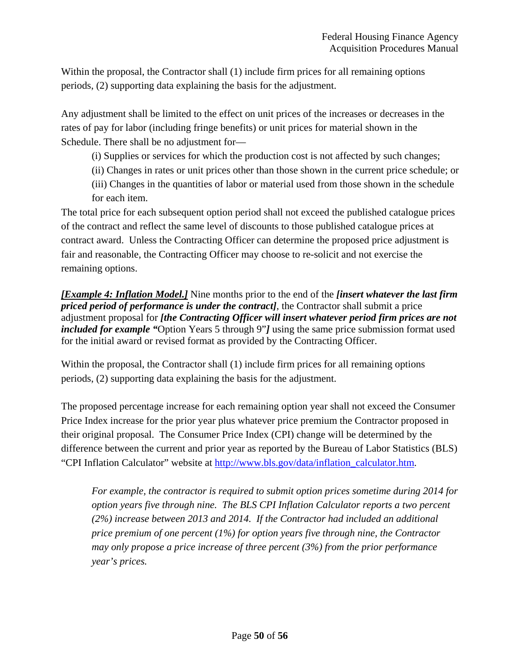Within the proposal, the Contractor shall (1) include firm prices for all remaining options periods, (2) supporting data explaining the basis for the adjustment.

Any adjustment shall be limited to the effect on unit prices of the increases or decreases in the rates of pay for labor (including fringe benefits) or unit prices for material shown in the Schedule. There shall be no adjustment for—

(i) Supplies or services for which the production cost is not affected by such changes;

(ii) Changes in rates or unit prices other than those shown in the current price schedule; or

(iii) Changes in the quantities of labor or material used from those shown in the schedule for each item.

The total price for each subsequent option period shall not exceed the published catalogue prices of the contract and reflect the same level of discounts to those published catalogue prices at contract award. Unless the Contracting Officer can determine the proposed price adjustment is fair and reasonable, the Contracting Officer may choose to re-solicit and not exercise the remaining options.

*[Example 4: Inflation Model.]* Nine months prior to the end of the *[insert whatever the last firm priced period of performance is under the contract]*, the Contractor shall submit a price adjustment proposal for *[the Contracting Officer will insert whatever period firm prices are not included for example "*Option Years 5 through 9"*]* using the same price submission format used for the initial award or revised format as provided by the Contracting Officer.

Within the proposal, the Contractor shall (1) include firm prices for all remaining options periods, (2) supporting data explaining the basis for the adjustment.

The proposed percentage increase for each remaining option year shall not exceed the Consumer Price Index increase for the prior year plus whatever price premium the Contractor proposed in their original proposal. The Consumer Price Index (CPI) change will be determined by the difference between the current and prior year as reported by the Bureau of Labor Statistics (BLS) "CPI Inflation Calculator" website at http://www.bls.gov/data/inflation\_calculator.htm.

*For example, the contractor is required to submit option prices sometime during 2014 for option years five through nine. The BLS CPI Inflation Calculator reports a two percent (2%) increase between 2013 and 2014. If the Contractor had included an additional price premium of one percent (1%) for option years five through nine, the Contractor may only propose a price increase of three percent (3%) from the prior performance year's prices.*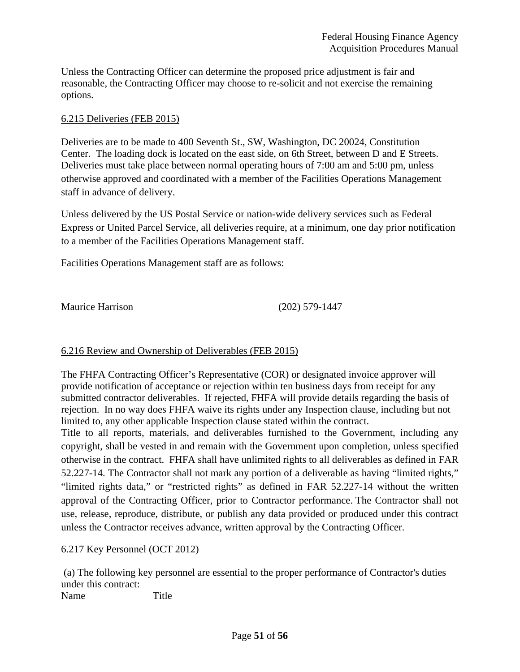Unless the Contracting Officer can determine the proposed price adjustment is fair and reasonable, the Contracting Officer may choose to re-solicit and not exercise the remaining options.

### 6.215 Deliveries (FEB 2015)

Deliveries are to be made to 400 Seventh St., SW, Washington, DC 20024, Constitution Center. The loading dock is located on the east side, on 6th Street, between D and E Streets. Deliveries must take place between normal operating hours of 7:00 am and 5:00 pm, unless otherwise approved and coordinated with a member of the Facilities Operations Management staff in advance of delivery.

Unless delivered by the US Postal Service or nation-wide delivery services such as Federal Express or United Parcel Service, all deliveries require, at a minimum, one day prior notification to a member of the Facilities Operations Management staff.

Facilities Operations Management staff are as follows:

Maurice Harrison (202) 579-1447

# 6.216 Review and Ownership of Deliverables (FEB 2015)

The FHFA Contracting Officer's Representative (COR) or designated invoice approver will provide notification of acceptance or rejection within ten business days from receipt for any submitted contractor deliverables. If rejected, FHFA will provide details regarding the basis of rejection. In no way does FHFA waive its rights under any Inspection clause, including but not limited to, any other applicable Inspection clause stated within the contract.

Title to all reports, materials, and deliverables furnished to the Government, including any copyright, shall be vested in and remain with the Government upon completion, unless specified otherwise in the contract. FHFA shall have unlimited rights to all deliverables as defined in FAR 52.227-14. The Contractor shall not mark any portion of a deliverable as having "limited rights," "limited rights data," or "restricted rights" as defined in FAR 52.227-14 without the written approval of the Contracting Officer, prior to Contractor performance. The Contractor shall not use, release, reproduce, distribute, or publish any data provided or produced under this contract unless the Contractor receives advance, written approval by the Contracting Officer.

#### 6.217 Key Personnel (OCT 2012)

 (a) The following key personnel are essential to the proper performance of Contractor's duties under this contract:

Name Title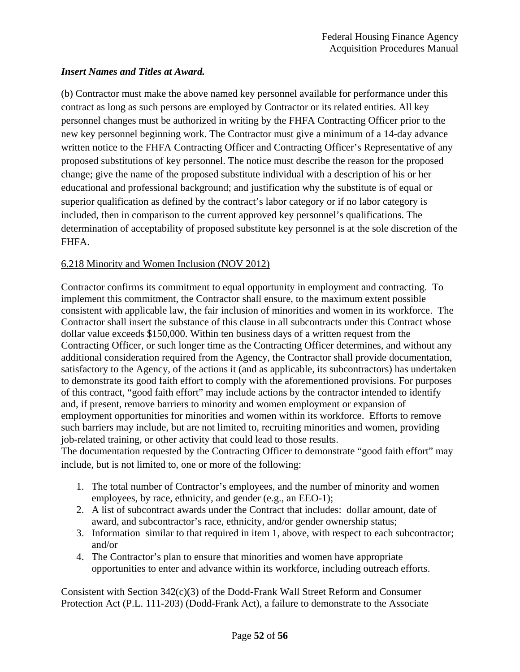# *Insert Names and Titles at Award.*

(b) Contractor must make the above named key personnel available for performance under this contract as long as such persons are employed by Contractor or its related entities. All key personnel changes must be authorized in writing by the FHFA Contracting Officer prior to the new key personnel beginning work. The Contractor must give a minimum of a 14-day advance written notice to the FHFA Contracting Officer and Contracting Officer's Representative of any proposed substitutions of key personnel. The notice must describe the reason for the proposed change; give the name of the proposed substitute individual with a description of his or her educational and professional background; and justification why the substitute is of equal or superior qualification as defined by the contract's labor category or if no labor category is included, then in comparison to the current approved key personnel's qualifications. The determination of acceptability of proposed substitute key personnel is at the sole discretion of the FHFA.

# 6.218 Minority and Women Inclusion (NOV 2012)

Contractor confirms its commitment to equal opportunity in employment and contracting. To implement this commitment, the Contractor shall ensure, to the maximum extent possible consistent with applicable law, the fair inclusion of minorities and women in its workforce. The Contractor shall insert the substance of this clause in all subcontracts under this Contract whose dollar value exceeds \$150,000. Within ten business days of a written request from the Contracting Officer, or such longer time as the Contracting Officer determines, and without any additional consideration required from the Agency, the Contractor shall provide documentation, satisfactory to the Agency, of the actions it (and as applicable, its subcontractors) has undertaken to demonstrate its good faith effort to comply with the aforementioned provisions. For purposes of this contract, "good faith effort" may include actions by the contractor intended to identify and, if present, remove barriers to minority and women employment or expansion of employment opportunities for minorities and women within its workforce. Efforts to remove such barriers may include, but are not limited to, recruiting minorities and women, providing job-related training, or other activity that could lead to those results.

The documentation requested by the Contracting Officer to demonstrate "good faith effort" may include, but is not limited to, one or more of the following:

- 1. The total number of Contractor's employees, and the number of minority and women employees, by race, ethnicity, and gender (e.g., an EEO-1);
- 2. A list of subcontract awards under the Contract that includes: dollar amount, date of award, and subcontractor's race, ethnicity, and/or gender ownership status;
- 3. Information similar to that required in item 1, above, with respect to each subcontractor; and/or
- 4. The Contractor's plan to ensure that minorities and women have appropriate opportunities to enter and advance within its workforce, including outreach efforts.

Consistent with Section  $342(c)(3)$  of the Dodd-Frank Wall Street Reform and Consumer Protection Act (P.L. 111-203) (Dodd-Frank Act), a failure to demonstrate to the Associate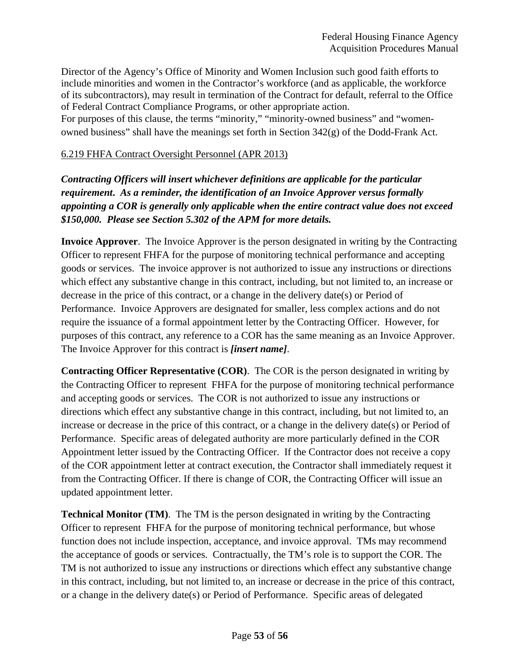Director of the Agency's Office of Minority and Women Inclusion such good faith efforts to include minorities and women in the Contractor's workforce (and as applicable, the workforce of its subcontractors), may result in termination of the Contract for default, referral to the Office of Federal Contract Compliance Programs, or other appropriate action.

For purposes of this clause, the terms "minority," "minority-owned business" and "womenowned business" shall have the meanings set forth in Section 342(g) of the Dodd-Frank Act.

# 6.219 FHFA Contract Oversight Personnel (APR 2013)

*Contracting Officers will insert whichever definitions are applicable for the particular requirement***.** *As a reminder, the identification of an Invoice Approver versus formally appointing a COR is generally only applicable when the entire contract value does not exceed \$150,000. Please see Section 5.302 of the APM for more details.* 

**Invoice Approver**. The Invoice Approver is the person designated in writing by the Contracting Officer to represent FHFA for the purpose of monitoring technical performance and accepting goods or services. The invoice approver is not authorized to issue any instructions or directions which effect any substantive change in this contract, including, but not limited to, an increase or decrease in the price of this contract, or a change in the delivery date(s) or Period of Performance. Invoice Approvers are designated for smaller, less complex actions and do not require the issuance of a formal appointment letter by the Contracting Officer. However, for purposes of this contract, any reference to a COR has the same meaning as an Invoice Approver. The Invoice Approver for this contract is *[insert name]*.

**Contracting Officer Representative (COR)**. The COR is the person designated in writing by the Contracting Officer to represent FHFA for the purpose of monitoring technical performance and accepting goods or services. The COR is not authorized to issue any instructions or directions which effect any substantive change in this contract, including, but not limited to, an increase or decrease in the price of this contract, or a change in the delivery date(s) or Period of Performance. Specific areas of delegated authority are more particularly defined in the COR Appointment letter issued by the Contracting Officer. If the Contractor does not receive a copy of the COR appointment letter at contract execution, the Contractor shall immediately request it from the Contracting Officer. If there is change of COR, the Contracting Officer will issue an updated appointment letter.

**Technical Monitor (TM)**. The TM is the person designated in writing by the Contracting Officer to represent FHFA for the purpose of monitoring technical performance, but whose function does not include inspection, acceptance, and invoice approval. TMs may recommend the acceptance of goods or services. Contractually, the TM's role is to support the COR. The TM is not authorized to issue any instructions or directions which effect any substantive change in this contract, including, but not limited to, an increase or decrease in the price of this contract, or a change in the delivery date(s) or Period of Performance. Specific areas of delegated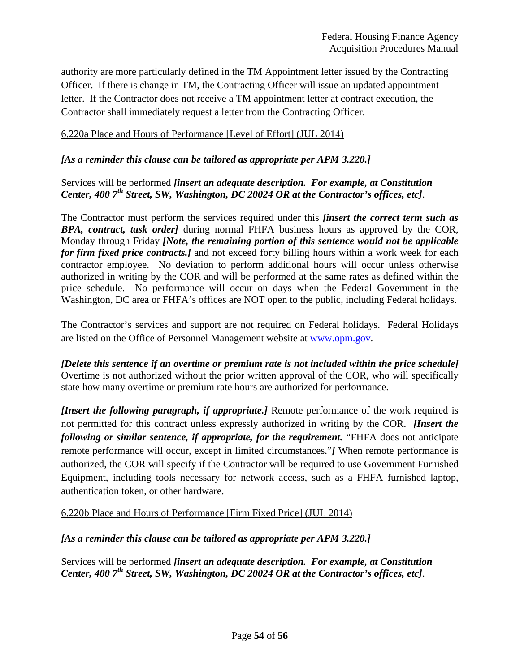authority are more particularly defined in the TM Appointment letter issued by the Contracting Officer. If there is change in TM, the Contracting Officer will issue an updated appointment letter. If the Contractor does not receive a TM appointment letter at contract execution, the Contractor shall immediately request a letter from the Contracting Officer.

### 6.220a Place and Hours of Performance [Level of Effort] (JUL 2014)

### *[As a reminder this clause can be tailored as appropriate per APM 3.220.]*

# Services will be performed *[insert an adequate description. For example, at Constitution Center, 400 7<sup>th</sup> Street, SW, Washington, DC 20024 OR at the Contractor's offices, etc].*

The Contractor must perform the services required under this *[insert the correct term such as BPA, contract, task order]* during normal FHFA business hours as approved by the COR, Monday through Friday *[Note, the remaining portion of this sentence would not be applicable for firm fixed price contracts.]* and not exceed forty billing hours within a work week for each contractor employee. No deviation to perform additional hours will occur unless otherwise authorized in writing by the COR and will be performed at the same rates as defined within the price schedule. No performance will occur on days when the Federal Government in the Washington, DC area or FHFA's offices are NOT open to the public, including Federal holidays.

The Contractor's services and support are not required on Federal holidays. Federal Holidays are listed on the Office of Personnel Management website at www.opm.gov.

*[Delete this sentence if an overtime or premium rate is not included within the price schedule]*  Overtime is not authorized without the prior written approval of the COR, who will specifically state how many overtime or premium rate hours are authorized for performance.

*[Insert the following paragraph, if appropriate.]* Remote performance of the work required is not permitted for this contract unless expressly authorized in writing by the COR. *[Insert the following or similar sentence, if appropriate, for the requirement.* "FHFA does not anticipate remote performance will occur, except in limited circumstances."*]* When remote performance is authorized, the COR will specify if the Contractor will be required to use Government Furnished Equipment, including tools necessary for network access, such as a FHFA furnished laptop, authentication token, or other hardware.

6.220b Place and Hours of Performance [Firm Fixed Price] (JUL 2014)

#### *[As a reminder this clause can be tailored as appropriate per APM 3.220.]*

Services will be performed *[insert an adequate description. For example, at Constitution Center, 400 7th Street, SW, Washington, DC 20024 OR at the Contractor's offices, etc]*.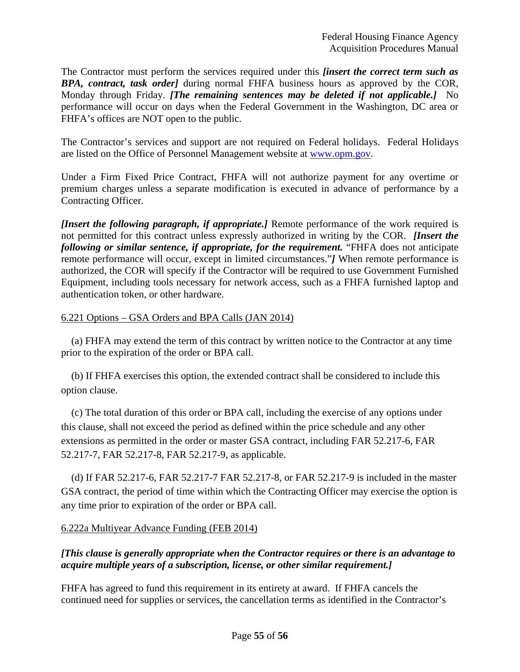The Contractor must perform the services required under this *[insert the correct term such as BPA, contract, task order]* during normal FHFA business hours as approved by the COR, Monday through Friday. *[The remaining sentences may be deleted if not applicable.]* No performance will occur on days when the Federal Government in the Washington, DC area or FHFA's offices are NOT open to the public.

The Contractor's services and support are not required on Federal holidays. Federal Holidays are listed on the Office of Personnel Management website at www.opm.gov.

Under a Firm Fixed Price Contract, FHFA will not authorize payment for any overtime or premium charges unless a separate modification is executed in advance of performance by a Contracting Officer.

*[Insert the following paragraph, if appropriate.]* Remote performance of the work required is not permitted for this contract unless expressly authorized in writing by the COR. *[Insert the following or similar sentence, if appropriate, for the requirement.* "FHFA does not anticipate remote performance will occur, except in limited circumstances."*]* When remote performance is authorized, the COR will specify if the Contractor will be required to use Government Furnished Equipment, including tools necessary for network access, such as a FHFA furnished laptop and authentication token, or other hardware.

## 6.221 Options – GSA Orders and BPA Calls (JAN 2014)

(a) FHFA may extend the term of this contract by written notice to the Contractor at any time prior to the expiration of the order or BPA call.

(b) If FHFA exercises this option, the extended contract shall be considered to include this option clause.

(c) The total duration of this order or BPA call, including the exercise of any options under this clause, shall not exceed the period as defined within the price schedule and any other extensions as permitted in the order or master GSA contract, including FAR 52.217-6, FAR 52.217-7, FAR 52.217-8, FAR 52.217-9, as applicable.

(d) If FAR 52.217-6, FAR 52.217-7 FAR 52.217-8, or FAR 52.217-9 is included in the master GSA contract, the period of time within which the Contracting Officer may exercise the option is any time prior to expiration of the order or BPA call.

#### 6.222a Multiyear Advance Funding (FEB 2014)

# *[This clause is generally appropriate when the Contractor requires or there is an advantage to acquire multiple years of a subscription, license, or other similar requirement.]*

FHFA has agreed to fund this requirement in its entirety at award. If FHFA cancels the continued need for supplies or services, the cancellation terms as identified in the Contractor's